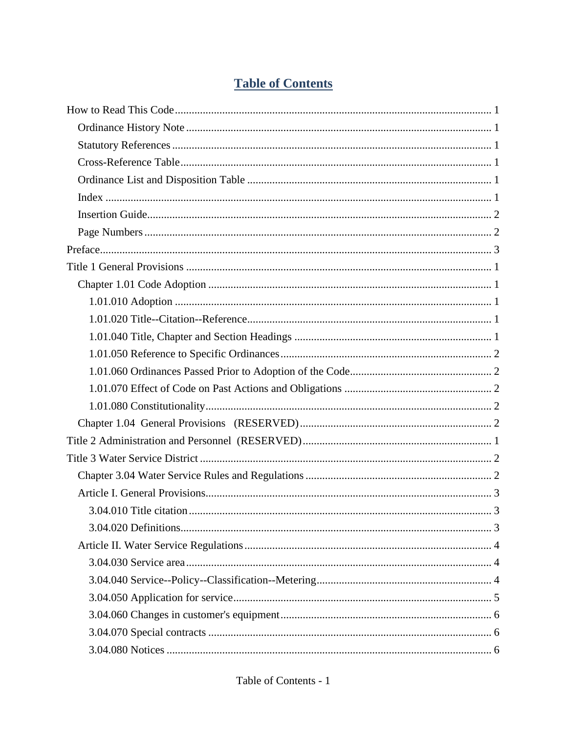# **Table of Contents**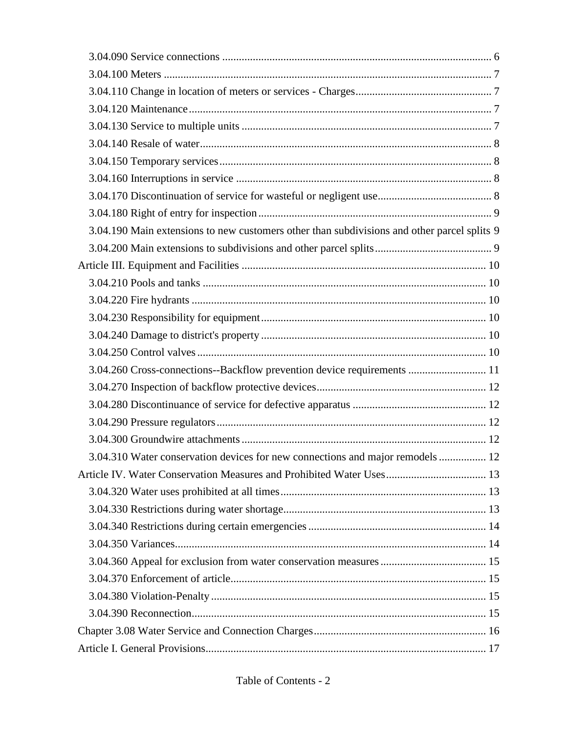| 3.04.190 Main extensions to new customers other than subdivisions and other parcel splits 9 |  |
|---------------------------------------------------------------------------------------------|--|
|                                                                                             |  |
|                                                                                             |  |
|                                                                                             |  |
|                                                                                             |  |
|                                                                                             |  |
|                                                                                             |  |
|                                                                                             |  |
| 3.04.260 Cross-connections--Backflow prevention device requirements  11                     |  |
|                                                                                             |  |
|                                                                                             |  |
|                                                                                             |  |
|                                                                                             |  |
| 3.04.310 Water conservation devices for new connections and major remodels 12               |  |
|                                                                                             |  |
|                                                                                             |  |
|                                                                                             |  |
|                                                                                             |  |
|                                                                                             |  |
|                                                                                             |  |
|                                                                                             |  |
|                                                                                             |  |
|                                                                                             |  |
|                                                                                             |  |
|                                                                                             |  |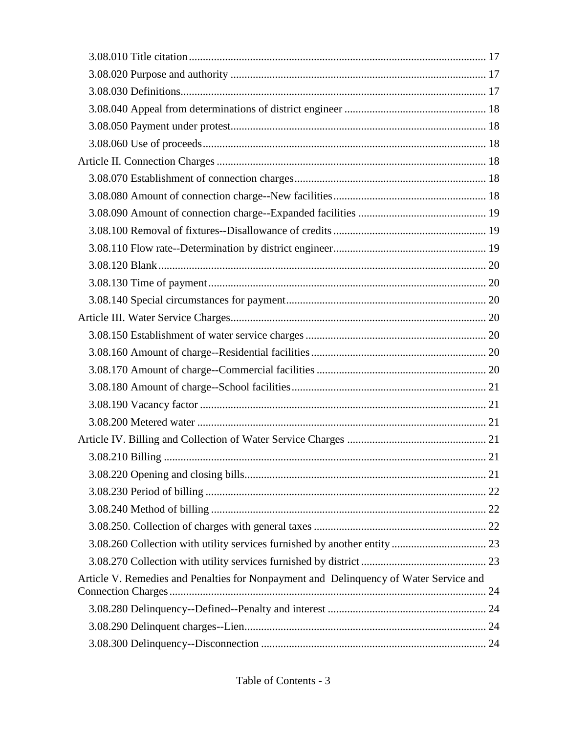| Article V. Remedies and Penalties for Nonpayment and Delinquency of Water Service and |  |
|---------------------------------------------------------------------------------------|--|
|                                                                                       |  |
|                                                                                       |  |
|                                                                                       |  |
|                                                                                       |  |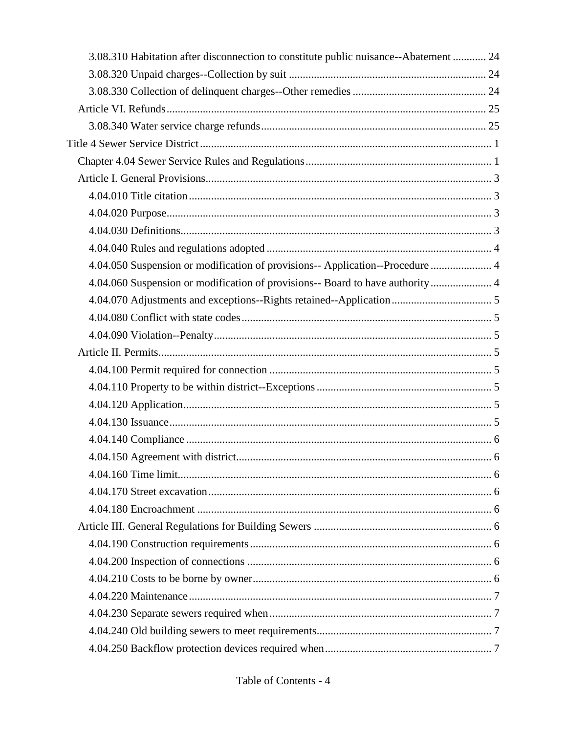| 3.08.310 Habitation after disconnection to constitute public nuisance--Abatement  24 |  |
|--------------------------------------------------------------------------------------|--|
|                                                                                      |  |
|                                                                                      |  |
|                                                                                      |  |
|                                                                                      |  |
|                                                                                      |  |
|                                                                                      |  |
|                                                                                      |  |
|                                                                                      |  |
|                                                                                      |  |
|                                                                                      |  |
|                                                                                      |  |
| 4.04.050 Suspension or modification of provisions-- Application--Procedure  4        |  |
| 4.04.060 Suspension or modification of provisions-- Board to have authority 4        |  |
|                                                                                      |  |
|                                                                                      |  |
|                                                                                      |  |
|                                                                                      |  |
|                                                                                      |  |
|                                                                                      |  |
|                                                                                      |  |
|                                                                                      |  |
|                                                                                      |  |
|                                                                                      |  |
|                                                                                      |  |
|                                                                                      |  |
|                                                                                      |  |
|                                                                                      |  |
|                                                                                      |  |
|                                                                                      |  |
|                                                                                      |  |
|                                                                                      |  |
|                                                                                      |  |
|                                                                                      |  |
|                                                                                      |  |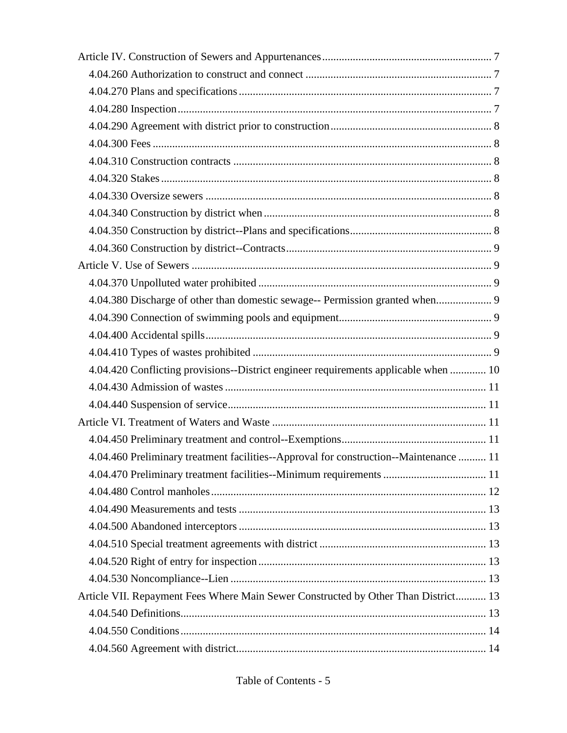| 4.04.380 Discharge of other than domestic sewage-- Permission granted when 9          |  |
|---------------------------------------------------------------------------------------|--|
|                                                                                       |  |
|                                                                                       |  |
|                                                                                       |  |
| 4.04.420 Conflicting provisions--District engineer requirements applicable when  10   |  |
|                                                                                       |  |
|                                                                                       |  |
|                                                                                       |  |
|                                                                                       |  |
| 4.04.460 Preliminary treatment facilities--Approval for construction--Maintenance  11 |  |
|                                                                                       |  |
|                                                                                       |  |
|                                                                                       |  |
|                                                                                       |  |
|                                                                                       |  |
|                                                                                       |  |
|                                                                                       |  |
| Article VII. Repayment Fees Where Main Sewer Constructed by Other Than District 13    |  |
|                                                                                       |  |
|                                                                                       |  |
|                                                                                       |  |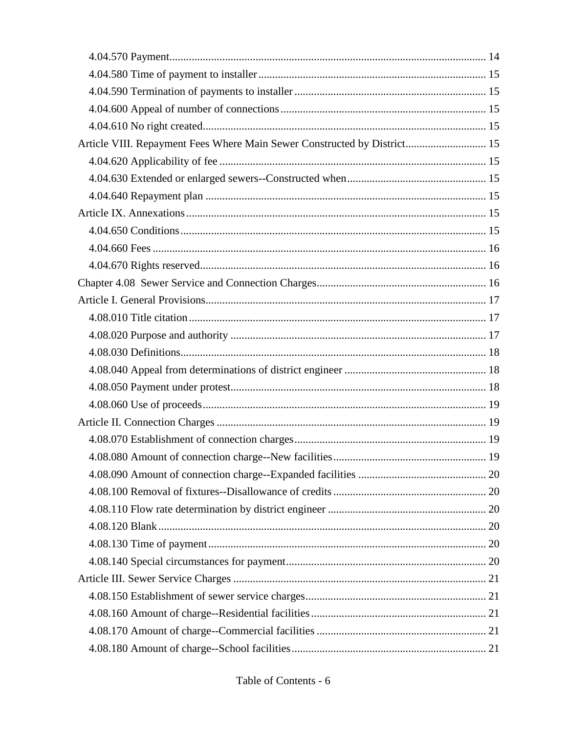| Article VIII. Repayment Fees Where Main Sewer Constructed by District 15 |  |
|--------------------------------------------------------------------------|--|
|                                                                          |  |
|                                                                          |  |
|                                                                          |  |
|                                                                          |  |
|                                                                          |  |
|                                                                          |  |
|                                                                          |  |
|                                                                          |  |
|                                                                          |  |
|                                                                          |  |
|                                                                          |  |
|                                                                          |  |
|                                                                          |  |
|                                                                          |  |
|                                                                          |  |
|                                                                          |  |
|                                                                          |  |
|                                                                          |  |
|                                                                          |  |
|                                                                          |  |
|                                                                          |  |
|                                                                          |  |
|                                                                          |  |
|                                                                          |  |
|                                                                          |  |
|                                                                          |  |
|                                                                          |  |
|                                                                          |  |
|                                                                          |  |

Table of Contents - 6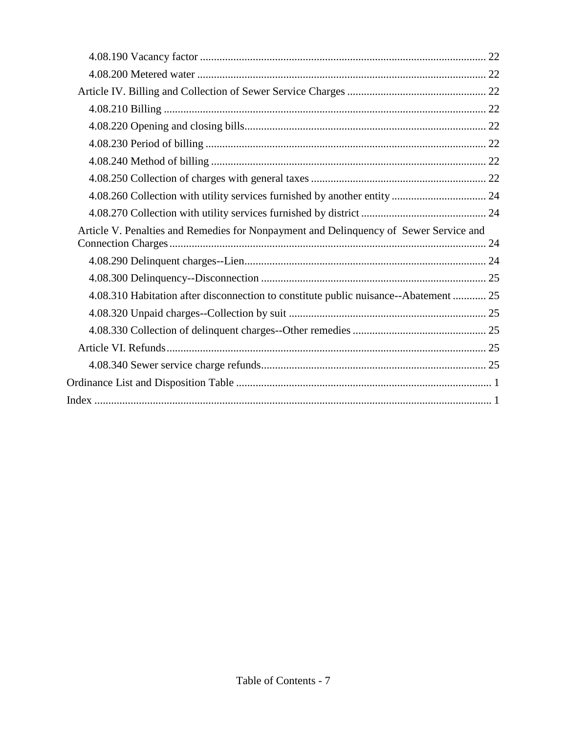| Article V. Penalties and Remedies for Nonpayment and Delinquency of Sewer Service and |
|---------------------------------------------------------------------------------------|
|                                                                                       |
|                                                                                       |
| 4.08.310 Habitation after disconnection to constitute public nuisance--Abatement  25  |
|                                                                                       |
|                                                                                       |
|                                                                                       |
|                                                                                       |
|                                                                                       |
|                                                                                       |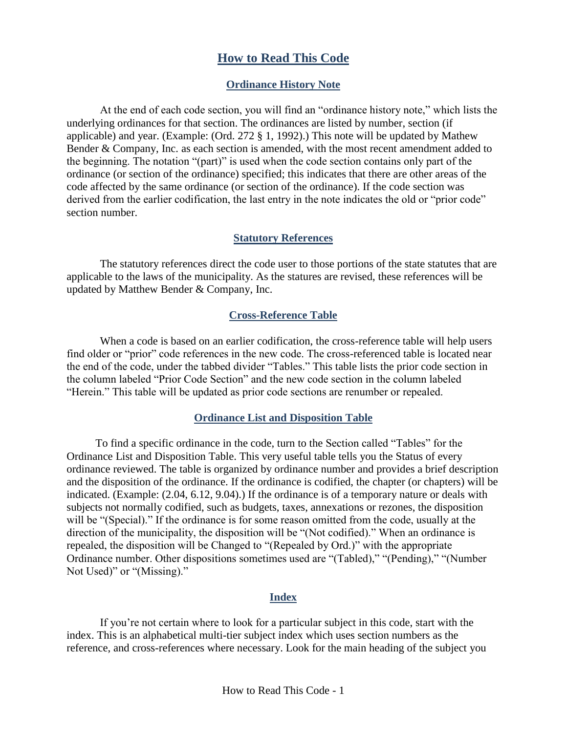# **How to Read This Code**

#### **Ordinance History Note**

<span id="page-7-1"></span><span id="page-7-0"></span>At the end of each code section, you will find an "ordinance history note," which lists the underlying ordinances for that section. The ordinances are listed by number, section (if applicable) and year. (Example: (Ord. 272 § 1, 1992).) This note will be updated by Mathew Bender & Company, Inc. as each section is amended, with the most recent amendment added to the beginning. The notation "(part)" is used when the code section contains only part of the ordinance (or section of the ordinance) specified; this indicates that there are other areas of the code affected by the same ordinance (or section of the ordinance). If the code section was derived from the earlier codification, the last entry in the note indicates the old or "prior code" section number.

#### **Statutory References**

<span id="page-7-2"></span>The statutory references direct the code user to those portions of the state statutes that are applicable to the laws of the municipality. As the statures are revised, these references will be updated by Matthew Bender & Company, Inc.

#### **Cross-Reference Table**

<span id="page-7-3"></span>When a code is based on an earlier codification, the cross-reference table will help users find older or "prior" code references in the new code. The cross-referenced table is located near the end of the code, under the tabbed divider "Tables." This table lists the prior code section in the column labeled "Prior Code Section" and the new code section in the column labeled "Herein." This table will be updated as prior code sections are renumber or repealed.

#### **Ordinance List and Disposition Table**

<span id="page-7-4"></span>To find a specific ordinance in the code, turn to the Section called "Tables" for the Ordinance List and Disposition Table. This very useful table tells you the Status of every ordinance reviewed. The table is organized by ordinance number and provides a brief description and the disposition of the ordinance. If the ordinance is codified, the chapter (or chapters) will be indicated. (Example: (2.04, 6.12, 9.04).) If the ordinance is of a temporary nature or deals with subjects not normally codified, such as budgets, taxes, annexations or rezones, the disposition will be "(Special)." If the ordinance is for some reason omitted from the code, usually at the direction of the municipality, the disposition will be "(Not codified)." When an ordinance is repealed, the disposition will be Changed to "(Repealed by Ord.)" with the appropriate Ordinance number. Other dispositions sometimes used are "(Tabled)," "(Pending)," "(Number Not Used)" or "(Missing)."

#### **Index**

<span id="page-7-5"></span>If you're not certain where to look for a particular subject in this code, start with the index. This is an alphabetical multi-tier subject index which uses section numbers as the reference, and cross-references where necessary. Look for the main heading of the subject you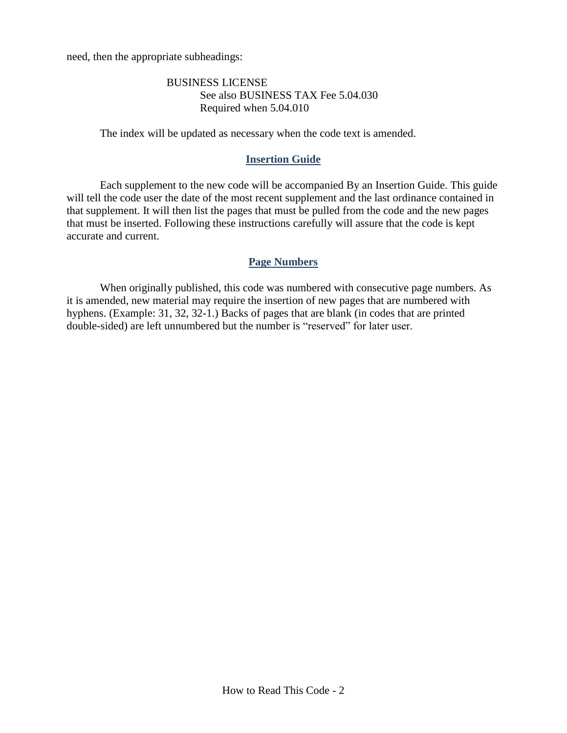need, then the appropriate subheadings:

#### BUSINESS LICENSE See also BUSINESS TAX Fee 5.04.030 Required when 5.04.010

The index will be updated as necessary when the code text is amended.

#### **Insertion Guide**

<span id="page-8-0"></span>Each supplement to the new code will be accompanied By an Insertion Guide. This guide will tell the code user the date of the most recent supplement and the last ordinance contained in that supplement. It will then list the pages that must be pulled from the code and the new pages that must be inserted. Following these instructions carefully will assure that the code is kept accurate and current.

#### **Page Numbers**

<span id="page-8-1"></span>When originally published, this code was numbered with consecutive page numbers. As it is amended, new material may require the insertion of new pages that are numbered with hyphens. (Example: 31, 32, 32-1.) Backs of pages that are blank (in codes that are printed double-sided) are left unnumbered but the number is "reserved" for later user.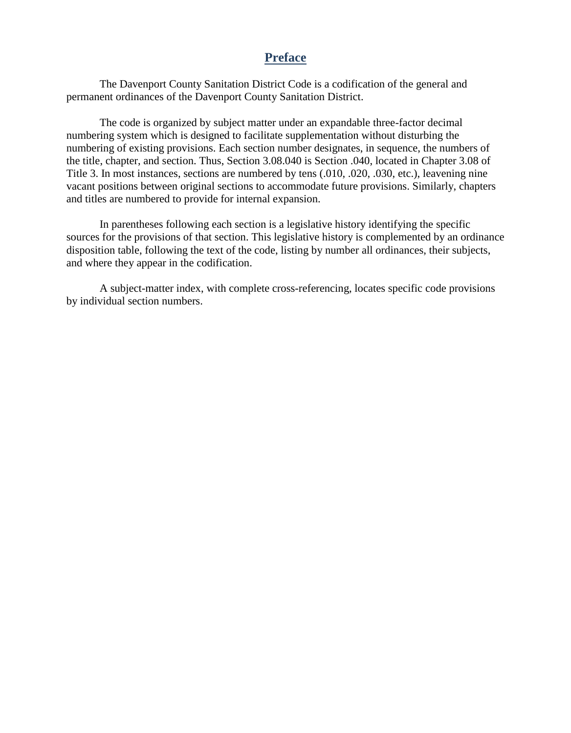# **Preface**

<span id="page-9-0"></span>The Davenport County Sanitation District Code is a codification of the general and permanent ordinances of the Davenport County Sanitation District.

The code is organized by subject matter under an expandable three-factor decimal numbering system which is designed to facilitate supplementation without disturbing the numbering of existing provisions. Each section number designates, in sequence, the numbers of the title, chapter, and section. Thus, Section 3.08.040 is Section .040, located in Chapter 3.08 of Title 3. In most instances, sections are numbered by tens (.010, .020, .030, etc.), leavening nine vacant positions between original sections to accommodate future provisions. Similarly, chapters and titles are numbered to provide for internal expansion.

In parentheses following each section is a legislative history identifying the specific sources for the provisions of that section. This legislative history is complemented by an ordinance disposition table, following the text of the code, listing by number all ordinances, their subjects, and where they appear in the codification.

A subject-matter index, with complete cross-referencing, locates specific code provisions by individual section numbers.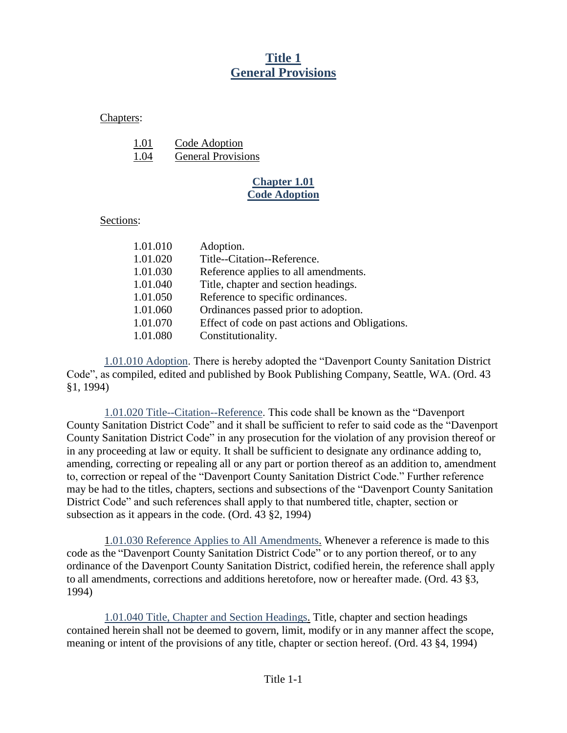# **Title 1 General Provisions**

<span id="page-10-1"></span><span id="page-10-0"></span>Chapters:

| 1.01 | Code Adoption             |
|------|---------------------------|
| 1.04 | <b>General Provisions</b> |

### **Chapter 1.01 Code Adoption**

### Sections:

| 1.01.010 | Adoption.                                       |
|----------|-------------------------------------------------|
| 1.01.020 | Title--Citation--Reference.                     |
| 1.01.030 | Reference applies to all amendments.            |
| 1.01.040 | Title, chapter and section headings.            |
| 1.01.050 | Reference to specific ordinances.               |
| 1.01.060 | Ordinances passed prior to adoption.            |
| 1.01.070 | Effect of code on past actions and Obligations. |
| 1.01.080 | Constitutionality.                              |

<span id="page-10-2"></span>1.01.010 Adoption. There is hereby adopted the "Davenport County Sanitation District Code", as compiled, edited and published by Book Publishing Company, Seattle, WA. (Ord. 43 §1, 1994)

<span id="page-10-3"></span>1.01.020 Title--Citation--Reference. This code shall be known as the "Davenport County Sanitation District Code" and it shall be sufficient to refer to said code as the "Davenport County Sanitation District Code" in any prosecution for the violation of any provision thereof or in any proceeding at law or equity. It shall be sufficient to designate any ordinance adding to, amending, correcting or repealing all or any part or portion thereof as an addition to, amendment to, correction or repeal of the "Davenport County Sanitation District Code." Further reference may be had to the titles, chapters, sections and subsections of the "Davenport County Sanitation District Code" and such references shall apply to that numbered title, chapter, section or subsection as it appears in the code. (Ord. 43 §2, 1994)

1.01.030 Reference Applies to All Amendments. Whenever a reference is made to this code as the "Davenport County Sanitation District Code" or to any portion thereof, or to any ordinance of the Davenport County Sanitation District, codified herein, the reference shall apply to all amendments, corrections and additions heretofore, now or hereafter made. (Ord. 43 §3, 1994)

<span id="page-10-4"></span>1.01.040 Title, Chapter and Section Headings. Title, chapter and section headings contained herein shall not be deemed to govern, limit, modify or in any manner affect the scope, meaning or intent of the provisions of any title, chapter or section hereof. (Ord. 43 §4, 1994)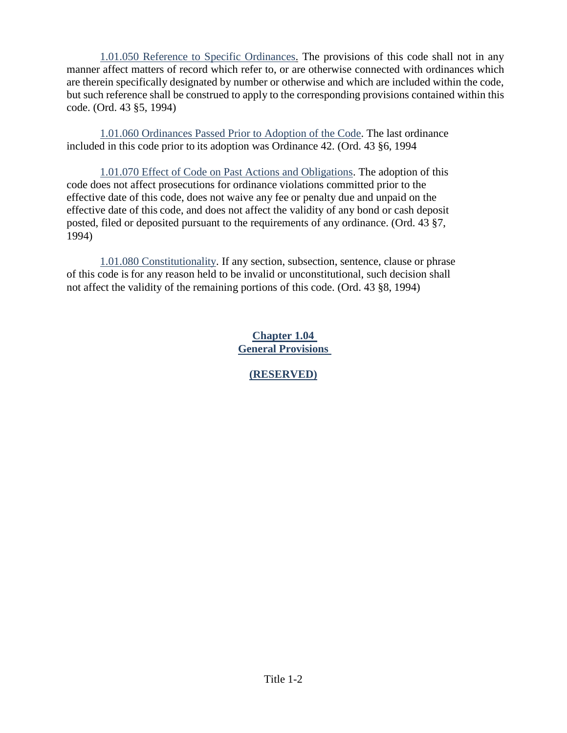<span id="page-11-0"></span>1.01.050 Reference to Specific Ordinances. The provisions of this code shall not in any manner affect matters of record which refer to, or are otherwise connected with ordinances which are therein specifically designated by number or otherwise and which are included within the code, but such reference shall be construed to apply to the corresponding provisions contained within this code. (Ord. 43 §5, 1994)

<span id="page-11-1"></span>1.01.060 Ordinances Passed Prior to Adoption of the Code. The last ordinance included in this code prior to its adoption was Ordinance 42. (Ord. 43 §6, 1994

<span id="page-11-2"></span>1.01.070 Effect of Code on Past Actions and Obligations. The adoption of this code does not affect prosecutions for ordinance violations committed prior to the effective date of this code, does not waive any fee or penalty due and unpaid on the effective date of this code, and does not affect the validity of any bond or cash deposit posted, filed or deposited pursuant to the requirements of any ordinance. (Ord. 43 §7, 1994)

<span id="page-11-4"></span><span id="page-11-3"></span>1.01.080 Constitutionality. If any section, subsection, sentence, clause or phrase of this code is for any reason held to be invalid or unconstitutional, such decision shall not affect the validity of the remaining portions of this code. (Ord. 43 §8, 1994)

> **Chapter 1.04 General Provisions**

> > **(RESERVED)**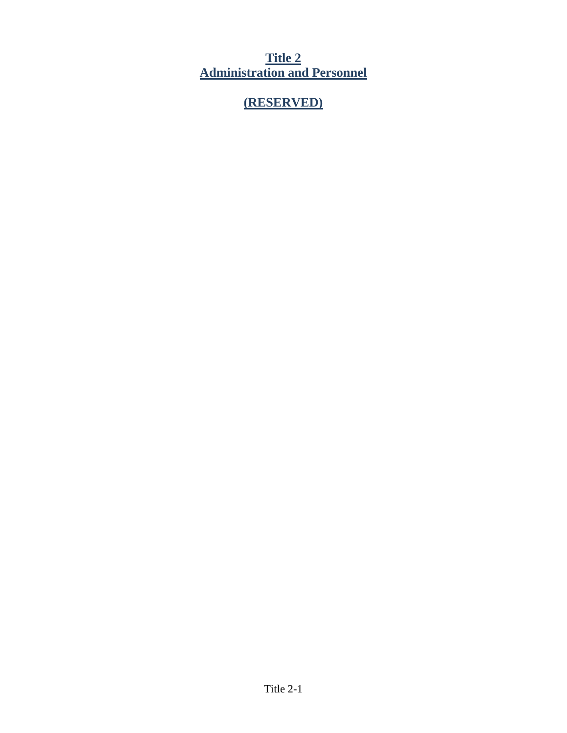<span id="page-12-0"></span>**Title 2 Administration and Personnel**

# **(RESERVED)**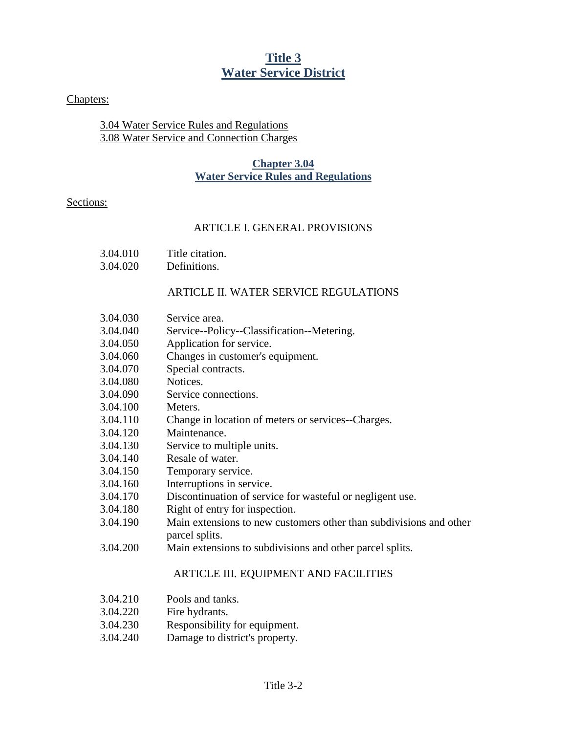# **Title 3 Water Service District**

#### <span id="page-13-0"></span>Chapters:

#### <span id="page-13-1"></span>3.04 Water Service Rules and Regulations 3.08 Water Service and Connection Charges

#### **Chapter 3.04 Water Service Rules and Regulations**

#### Sections:

#### ARTICLE I. GENERAL PROVISIONS

- 3.04.010 Title citation.
- 3.04.020 Definitions.

#### ARTICLE II. WATER SERVICE REGULATIONS

- 3.04.030 Service area.
- 3.04.040 Service--Policy--Classification--Metering.
- 3.04.050 Application for service.
- 3.04.060 Changes in customer's equipment.
- 3.04.070 Special contracts.
- 3.04.080 Notices.
- 3.04.090 Service connections.
- 3.04.100 Meters.
- 3.04.110 Change in location of meters or services--Charges.
- 3.04.120 Maintenance.
- 3.04.130 Service to multiple units.
- 3.04.140 Resale of water.
- 3.04.150 Temporary service.
- 3.04.160 Interruptions in service.
- 3.04.170 Discontinuation of service for wasteful or negligent use.
- 3.04.180 Right of entry for inspection.
- 3.04.190 Main extensions to new customers other than subdivisions and other parcel splits.
- 3.04.200 Main extensions to subdivisions and other parcel splits.

#### ARTICLE III. EQUIPMENT AND FACILITIES

- 3.04.210 Pools and tanks.
- 3.04.220 Fire hydrants.
- 3.04.230 Responsibility for equipment.
- 3.04.240 Damage to district's property.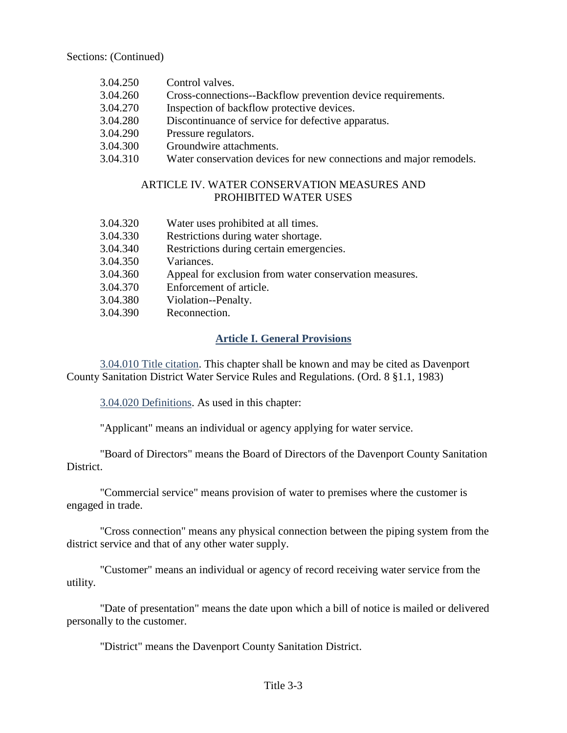Sections: (Continued)

- 3.04.250 Control valves.
- 3.04.260 Cross-connections--Backflow prevention device requirements.
- 3.04.270 Inspection of backflow protective devices.
- 3.04.280 Discontinuance of service for defective apparatus.
- 3.04.290 Pressure regulators.
- 3.04.300 Groundwire attachments.
- 3.04.310 Water conservation devices for new connections and major remodels.

#### ARTICLE IV. WATER CONSERVATION MEASURES AND PROHIBITED WATER USES

| 3.04.320 | Water uses prohibited at all times.                    |
|----------|--------------------------------------------------------|
| 3.04.330 | Restrictions during water shortage.                    |
| 3.04.340 | Restrictions during certain emergencies.               |
| 3.04.350 | Variances.                                             |
| 3.04.360 | Appeal for exclusion from water conservation measures. |
| 3.04.370 | Enforcement of article.                                |
| 3.04.380 | Violation--Penalty.                                    |
| 3.04.390 | Reconnection.                                          |

### **Article I. General Provisions**

<span id="page-14-1"></span><span id="page-14-0"></span>3.04.010 Title citation. This chapter shall be known and may be cited as Davenport County Sanitation District Water Service Rules and Regulations. (Ord. 8 §1.1, 1983)

<span id="page-14-2"></span>3.04.020 Definitions. As used in this chapter:

"Applicant" means an individual or agency applying for water service.

"Board of Directors" means the Board of Directors of the Davenport County Sanitation District.

"Commercial service" means provision of water to premises where the customer is engaged in trade.

"Cross connection" means any physical connection between the piping system from the district service and that of any other water supply.

"Customer" means an individual or agency of record receiving water service from the utility.

"Date of presentation" means the date upon which a bill of notice is mailed or delivered personally to the customer.

"District" means the Davenport County Sanitation District.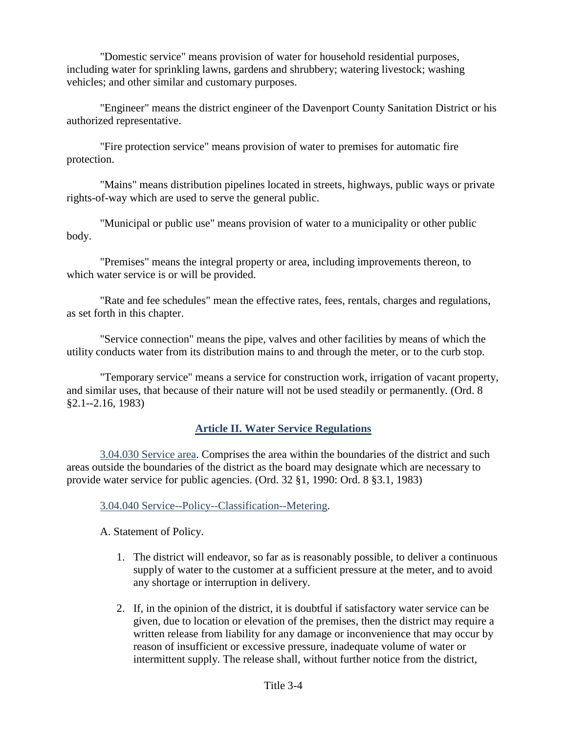"Domestic service" means provision of water for household residential purposes, including water for sprinkling lawns, gardens and shrubbery; watering livestock; washing vehicles; and other similar and customary purposes.

"Engineer" means the district engineer of the Davenport County Sanitation District or his authorized representative.

"Fire protection service" means provision of water to premises for automatic fire protection.

"Mains" means distribution pipelines located in streets, highways, public ways or private rights-of-way which are used to serve the general public.

"Municipal or public use" means provision of water to a municipality or other public body.

"Premises" means the integral property or area, including improvements thereon, to which water service is or will be provided.

"Rate and fee schedules" mean the effective rates, fees, rentals, charges and regulations, as set forth in this chapter.

"Service connection" means the pipe, valves and other facilities by means of which the utility conducts water from its distribution mains to and through the meter, or to the curb stop.

"Temporary service" means a service for construction work, irrigation of vacant property, and similar uses, that because of their nature will not be used steadily or permanently. (Ord. 8 §2.1--2.16, 1983)

### **Article II. Water Service Regulations**

<span id="page-15-1"></span><span id="page-15-0"></span>3.04.030 Service area. Comprises the area within the boundaries of the district and such areas outside the boundaries of the district as the board may designate which are necessary to provide water service for public agencies. (Ord. 32 §1, 1990: Ord. 8 §3.1, 1983)

<span id="page-15-2"></span>3.04.040 Service--Policy--Classification--Metering.

A. Statement of Policy.

- 1. The district will endeavor, so far as is reasonably possible, to deliver a continuous supply of water to the customer at a sufficient pressure at the meter, and to avoid any shortage or interruption in delivery.
- 2. If, in the opinion of the district, it is doubtful if satisfactory water service can be given, due to location or elevation of the premises, then the district may require a written release from liability for any damage or inconvenience that may occur by reason of insufficient or excessive pressure, inadequate volume of water or intermittent supply. The release shall, without further notice from the district,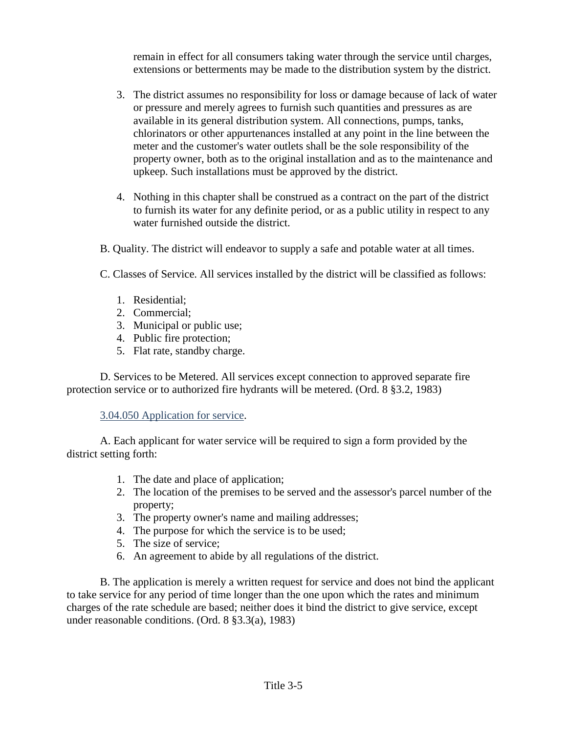remain in effect for all consumers taking water through the service until charges, extensions or betterments may be made to the distribution system by the district.

- 3. The district assumes no responsibility for loss or damage because of lack of water or pressure and merely agrees to furnish such quantities and pressures as are available in its general distribution system. All connections, pumps, tanks, chlorinators or other appurtenances installed at any point in the line between the meter and the customer's water outlets shall be the sole responsibility of the property owner, both as to the original installation and as to the maintenance and upkeep. Such installations must be approved by the district.
- 4. Nothing in this chapter shall be construed as a contract on the part of the district to furnish its water for any definite period, or as a public utility in respect to any water furnished outside the district.
- B. Quality. The district will endeavor to supply a safe and potable water at all times.
- C. Classes of Service. All services installed by the district will be classified as follows:
	- 1. Residential;
	- 2. Commercial;
	- 3. Municipal or public use;
	- 4. Public fire protection;
	- 5. Flat rate, standby charge.

D. Services to be Metered. All services except connection to approved separate fire protection service or to authorized fire hydrants will be metered. (Ord. 8 §3.2, 1983)

#### <span id="page-16-0"></span>3.04.050 Application for service.

A. Each applicant for water service will be required to sign a form provided by the district setting forth:

- 1. The date and place of application;
- 2. The location of the premises to be served and the assessor's parcel number of the property;
- 3. The property owner's name and mailing addresses;
- 4. The purpose for which the service is to be used;
- 5. The size of service;
- 6. An agreement to abide by all regulations of the district.

B. The application is merely a written request for service and does not bind the applicant to take service for any period of time longer than the one upon which the rates and minimum charges of the rate schedule are based; neither does it bind the district to give service, except under reasonable conditions. (Ord. 8 §3.3(a), 1983)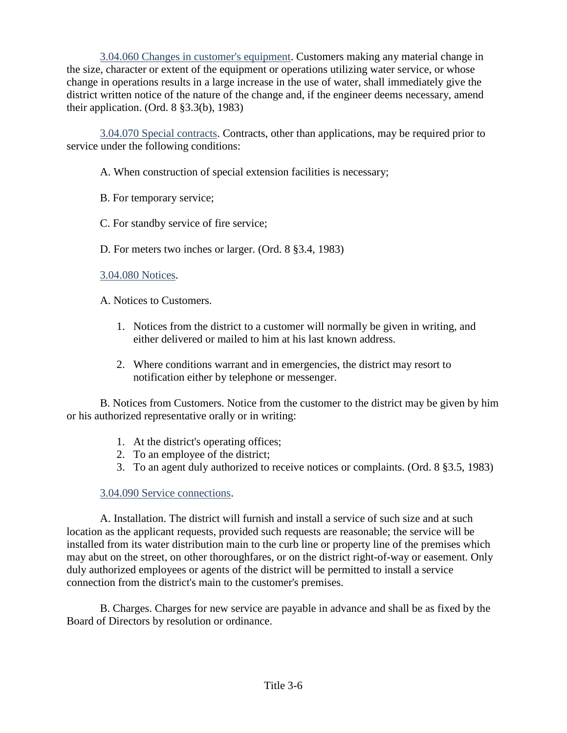<span id="page-17-0"></span>3.04.060 Changes in customer's equipment. Customers making any material change in the size, character or extent of the equipment or operations utilizing water service, or whose change in operations results in a large increase in the use of water, shall immediately give the district written notice of the nature of the change and, if the engineer deems necessary, amend their application. (Ord. 8 §3.3(b), 1983)

<span id="page-17-1"></span>3.04.070 Special contracts. Contracts, other than applications, may be required prior to service under the following conditions:

- A. When construction of special extension facilities is necessary;
- B. For temporary service;
- C. For standby service of fire service;
- D. For meters two inches or larger. (Ord. 8 §3.4, 1983)

#### <span id="page-17-2"></span>3.04.080 Notices.

- A. Notices to Customers.
	- 1. Notices from the district to a customer will normally be given in writing, and either delivered or mailed to him at his last known address.
	- 2. Where conditions warrant and in emergencies, the district may resort to notification either by telephone or messenger.

B. Notices from Customers. Notice from the customer to the district may be given by him or his authorized representative orally or in writing:

- 1. At the district's operating offices;
- 2. To an employee of the district;
- 3. To an agent duly authorized to receive notices or complaints. (Ord. 8 §3.5, 1983)

# 3.04.090 Service connections.

<span id="page-17-3"></span>A. Installation. The district will furnish and install a service of such size and at such location as the applicant requests, provided such requests are reasonable; the service will be installed from its water distribution main to the curb line or property line of the premises which may abut on the street, on other thoroughfares, or on the district right-of-way or easement. Only duly authorized employees or agents of the district will be permitted to install a service connection from the district's main to the customer's premises.

B. Charges. Charges for new service are payable in advance and shall be as fixed by the Board of Directors by resolution or ordinance.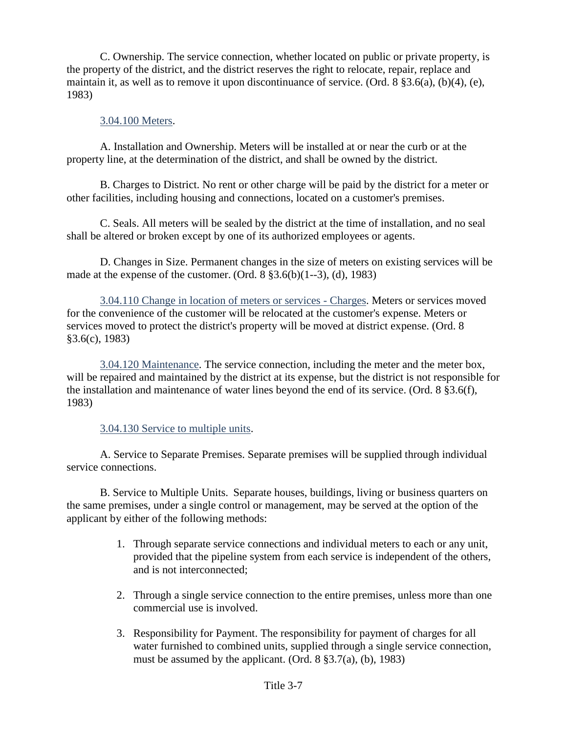C. Ownership. The service connection, whether located on public or private property, is the property of the district, and the district reserves the right to relocate, repair, replace and maintain it, as well as to remove it upon discontinuance of service. (Ord. 8 §3.6(a), (b)(4), (e), 1983)

#### 3.04.100 Meters.

<span id="page-18-0"></span>A. Installation and Ownership. Meters will be installed at or near the curb or at the property line, at the determination of the district, and shall be owned by the district.

B. Charges to District. No rent or other charge will be paid by the district for a meter or other facilities, including housing and connections, located on a customer's premises.

C. Seals. All meters will be sealed by the district at the time of installation, and no seal shall be altered or broken except by one of its authorized employees or agents.

D. Changes in Size. Permanent changes in the size of meters on existing services will be made at the expense of the customer. (Ord.  $8 \frac{1}{3}3.6(b)(1-3)$ , (d), 1983)

<span id="page-18-1"></span>3.04.110 Change in location of meters or services - Charges. Meters or services moved for the convenience of the customer will be relocated at the customer's expense. Meters or services moved to protect the district's property will be moved at district expense. (Ord. 8 §3.6(c), 1983)

<span id="page-18-2"></span>3.04.120 Maintenance. The service connection, including the meter and the meter box, will be repaired and maintained by the district at its expense, but the district is not responsible for the installation and maintenance of water lines beyond the end of its service. (Ord. 8 §3.6(f), 1983)

#### 3.04.130 Service to multiple units.

<span id="page-18-3"></span>A. Service to Separate Premises. Separate premises will be supplied through individual service connections.

B. Service to Multiple Units. Separate houses, buildings, living or business quarters on the same premises, under a single control or management, may be served at the option of the applicant by either of the following methods:

- 1. Through separate service connections and individual meters to each or any unit, provided that the pipeline system from each service is independent of the others, and is not interconnected;
- 2. Through a single service connection to the entire premises, unless more than one commercial use is involved.
- 3. Responsibility for Payment. The responsibility for payment of charges for all water furnished to combined units, supplied through a single service connection, must be assumed by the applicant. (Ord. 8 §3.7(a), (b), 1983)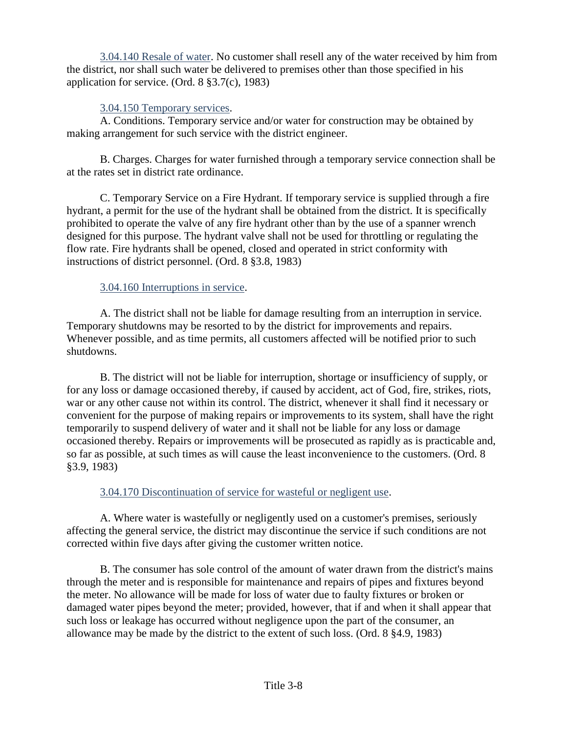<span id="page-19-0"></span>3.04.140 Resale of water. No customer shall resell any of the water received by him from the district, nor shall such water be delivered to premises other than those specified in his application for service. (Ord. 8 §3.7(c), 1983)

#### <span id="page-19-1"></span>3.04.150 Temporary services.

A. Conditions. Temporary service and/or water for construction may be obtained by making arrangement for such service with the district engineer.

B. Charges. Charges for water furnished through a temporary service connection shall be at the rates set in district rate ordinance.

C. Temporary Service on a Fire Hydrant. If temporary service is supplied through a fire hydrant, a permit for the use of the hydrant shall be obtained from the district. It is specifically prohibited to operate the valve of any fire hydrant other than by the use of a spanner wrench designed for this purpose. The hydrant valve shall not be used for throttling or regulating the flow rate. Fire hydrants shall be opened, closed and operated in strict conformity with instructions of district personnel. (Ord. 8 §3.8, 1983)

# <span id="page-19-2"></span>3.04.160 Interruptions in service.

A. The district shall not be liable for damage resulting from an interruption in service. Temporary shutdowns may be resorted to by the district for improvements and repairs. Whenever possible, and as time permits, all customers affected will be notified prior to such shutdowns.

B. The district will not be liable for interruption, shortage or insufficiency of supply, or for any loss or damage occasioned thereby, if caused by accident, act of God, fire, strikes, riots, war or any other cause not within its control. The district, whenever it shall find it necessary or convenient for the purpose of making repairs or improvements to its system, shall have the right temporarily to suspend delivery of water and it shall not be liable for any loss or damage occasioned thereby. Repairs or improvements will be prosecuted as rapidly as is practicable and, so far as possible, at such times as will cause the least inconvenience to the customers. (Ord. 8 §3.9, 1983)

# <span id="page-19-3"></span>3.04.170 Discontinuation of service for wasteful or negligent use.

A. Where water is wastefully or negligently used on a customer's premises, seriously affecting the general service, the district may discontinue the service if such conditions are not corrected within five days after giving the customer written notice.

B. The consumer has sole control of the amount of water drawn from the district's mains through the meter and is responsible for maintenance and repairs of pipes and fixtures beyond the meter. No allowance will be made for loss of water due to faulty fixtures or broken or damaged water pipes beyond the meter; provided, however, that if and when it shall appear that such loss or leakage has occurred without negligence upon the part of the consumer, an allowance may be made by the district to the extent of such loss. (Ord. 8 §4.9, 1983)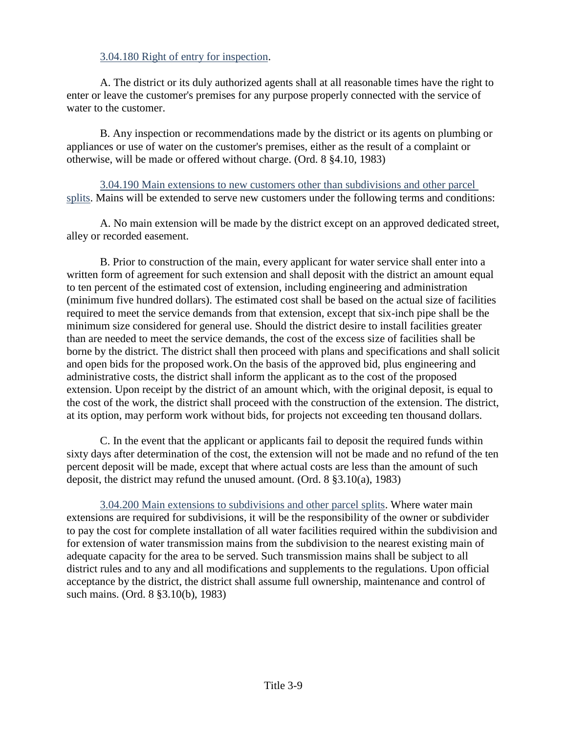#### <span id="page-20-0"></span>3.04.180 Right of entry for inspection.

A. The district or its duly authorized agents shall at all reasonable times have the right to enter or leave the customer's premises for any purpose properly connected with the service of water to the customer.

B. Any inspection or recommendations made by the district or its agents on plumbing or appliances or use of water on the customer's premises, either as the result of a complaint or otherwise, will be made or offered without charge. (Ord. 8 §4.10, 1983)

<span id="page-20-1"></span>3.04.190 Main extensions to new customers other than subdivisions and other parcel splits. Mains will be extended to serve new customers under the following terms and conditions:

A. No main extension will be made by the district except on an approved dedicated street, alley or recorded easement.

B. Prior to construction of the main, every applicant for water service shall enter into a written form of agreement for such extension and shall deposit with the district an amount equal to ten percent of the estimated cost of extension, including engineering and administration (minimum five hundred dollars). The estimated cost shall be based on the actual size of facilities required to meet the service demands from that extension, except that six-inch pipe shall be the minimum size considered for general use. Should the district desire to install facilities greater than are needed to meet the service demands, the cost of the excess size of facilities shall be borne by the district. The district shall then proceed with plans and specifications and shall solicit and open bids for the proposed work.On the basis of the approved bid, plus engineering and administrative costs, the district shall inform the applicant as to the cost of the proposed extension. Upon receipt by the district of an amount which, with the original deposit, is equal to the cost of the work, the district shall proceed with the construction of the extension. The district, at its option, may perform work without bids, for projects not exceeding ten thousand dollars.

C. In the event that the applicant or applicants fail to deposit the required funds within sixty days after determination of the cost, the extension will not be made and no refund of the ten percent deposit will be made, except that where actual costs are less than the amount of such deposit, the district may refund the unused amount. (Ord. 8 §3.10(a), 1983)

<span id="page-20-2"></span>3.04.200 Main extensions to subdivisions and other parcel splits. Where water main extensions are required for subdivisions, it will be the responsibility of the owner or subdivider to pay the cost for complete installation of all water facilities required within the subdivision and for extension of water transmission mains from the subdivision to the nearest existing main of adequate capacity for the area to be served. Such transmission mains shall be subject to all district rules and to any and all modifications and supplements to the regulations. Upon official acceptance by the district, the district shall assume full ownership, maintenance and control of such mains. (Ord. 8 §3.10(b), 1983)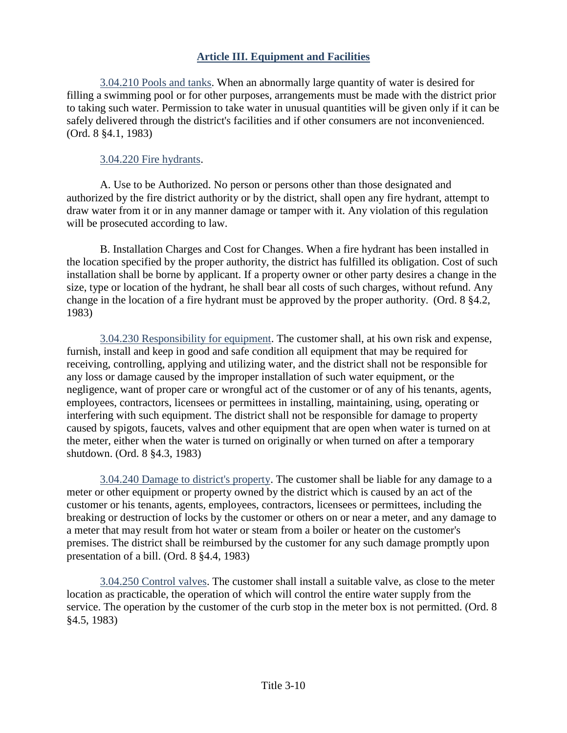## **Article III. Equipment and Facilities**

<span id="page-21-1"></span><span id="page-21-0"></span>3.04.210 Pools and tanks. When an abnormally large quantity of water is desired for filling a swimming pool or for other purposes, arrangements must be made with the district prior to taking such water. Permission to take water in unusual quantities will be given only if it can be safely delivered through the district's facilities and if other consumers are not inconvenienced. (Ord. 8 §4.1, 1983)

#### <span id="page-21-2"></span>3.04.220 Fire hydrants.

A. Use to be Authorized. No person or persons other than those designated and authorized by the fire district authority or by the district, shall open any fire hydrant, attempt to draw water from it or in any manner damage or tamper with it. Any violation of this regulation will be prosecuted according to law.

B. Installation Charges and Cost for Changes. When a fire hydrant has been installed in the location specified by the proper authority, the district has fulfilled its obligation. Cost of such installation shall be borne by applicant. If a property owner or other party desires a change in the size, type or location of the hydrant, he shall bear all costs of such charges, without refund. Any change in the location of a fire hydrant must be approved by the proper authority. (Ord. 8 §4.2, 1983)

<span id="page-21-3"></span>3.04.230 Responsibility for equipment. The customer shall, at his own risk and expense, furnish, install and keep in good and safe condition all equipment that may be required for receiving, controlling, applying and utilizing water, and the district shall not be responsible for any loss or damage caused by the improper installation of such water equipment, or the negligence, want of proper care or wrongful act of the customer or of any of his tenants, agents, employees, contractors, licensees or permittees in installing, maintaining, using, operating or interfering with such equipment. The district shall not be responsible for damage to property caused by spigots, faucets, valves and other equipment that are open when water is turned on at the meter, either when the water is turned on originally or when turned on after a temporary shutdown. (Ord. 8 §4.3, 1983)

<span id="page-21-4"></span>3.04.240 Damage to district's property. The customer shall be liable for any damage to a meter or other equipment or property owned by the district which is caused by an act of the customer or his tenants, agents, employees, contractors, licensees or permittees, including the breaking or destruction of locks by the customer or others on or near a meter, and any damage to a meter that may result from hot water or steam from a boiler or heater on the customer's premises. The district shall be reimbursed by the customer for any such damage promptly upon presentation of a bill. (Ord. 8 §4.4, 1983)

<span id="page-21-5"></span>3.04.250 Control valves. The customer shall install a suitable valve, as close to the meter location as practicable, the operation of which will control the entire water supply from the service. The operation by the customer of the curb stop in the meter box is not permitted. (Ord. 8) §4.5, 1983)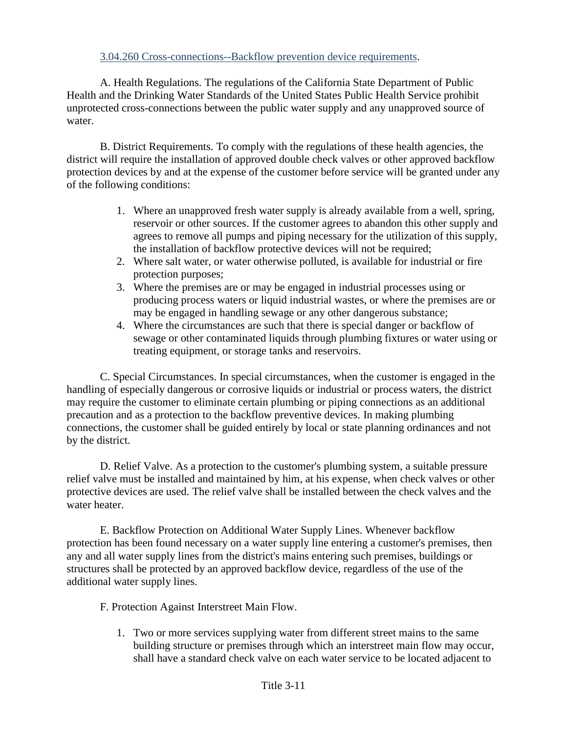#### <span id="page-22-0"></span>3.04.260 Cross-connections--Backflow prevention device requirements.

A. Health Regulations. The regulations of the California State Department of Public Health and the Drinking Water Standards of the United States Public Health Service prohibit unprotected cross-connections between the public water supply and any unapproved source of water.

B. District Requirements. To comply with the regulations of these health agencies, the district will require the installation of approved double check valves or other approved backflow protection devices by and at the expense of the customer before service will be granted under any of the following conditions:

- 1. Where an unapproved fresh water supply is already available from a well, spring, reservoir or other sources. If the customer agrees to abandon this other supply and agrees to remove all pumps and piping necessary for the utilization of this supply, the installation of backflow protective devices will not be required;
- 2. Where salt water, or water otherwise polluted, is available for industrial or fire protection purposes;
- 3. Where the premises are or may be engaged in industrial processes using or producing process waters or liquid industrial wastes, or where the premises are or may be engaged in handling sewage or any other dangerous substance;
- 4. Where the circumstances are such that there is special danger or backflow of sewage or other contaminated liquids through plumbing fixtures or water using or treating equipment, or storage tanks and reservoirs.

C. Special Circumstances. In special circumstances, when the customer is engaged in the handling of especially dangerous or corrosive liquids or industrial or process waters, the district may require the customer to eliminate certain plumbing or piping connections as an additional precaution and as a protection to the backflow preventive devices. In making plumbing connections, the customer shall be guided entirely by local or state planning ordinances and not by the district.

D. Relief Valve. As a protection to the customer's plumbing system, a suitable pressure relief valve must be installed and maintained by him, at his expense, when check valves or other protective devices are used. The relief valve shall be installed between the check valves and the water heater.

E. Backflow Protection on Additional Water Supply Lines. Whenever backflow protection has been found necessary on a water supply line entering a customer's premises, then any and all water supply lines from the district's mains entering such premises, buildings or structures shall be protected by an approved backflow device, regardless of the use of the additional water supply lines.

- F. Protection Against Interstreet Main Flow.
	- 1. Two or more services supplying water from different street mains to the same building structure or premises through which an interstreet main flow may occur, shall have a standard check valve on each water service to be located adjacent to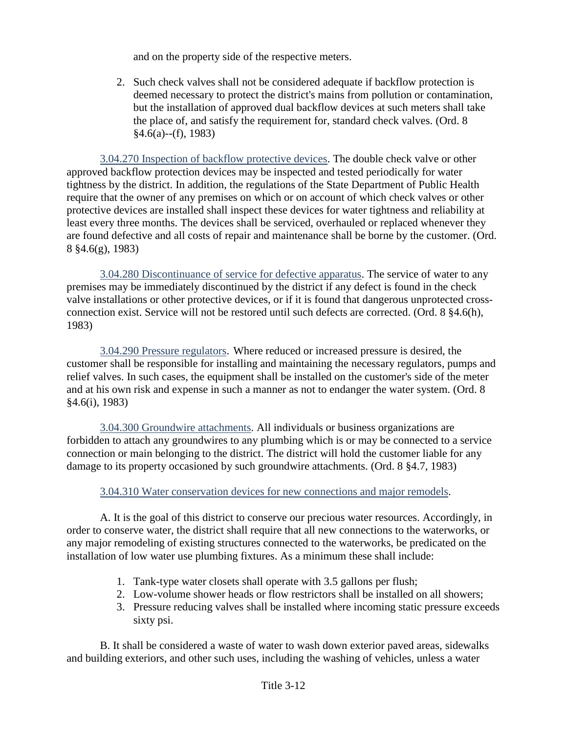and on the property side of the respective meters.

2. Such check valves shall not be considered adequate if backflow protection is deemed necessary to protect the district's mains from pollution or contamination, but the installation of approved dual backflow devices at such meters shall take the place of, and satisfy the requirement for, standard check valves. (Ord. 8 §4.6(a)--(f), 1983)

<span id="page-23-0"></span>3.04.270 Inspection of backflow protective devices. The double check valve or other approved backflow protection devices may be inspected and tested periodically for water tightness by the district. In addition, the regulations of the State Department of Public Health require that the owner of any premises on which or on account of which check valves or other protective devices are installed shall inspect these devices for water tightness and reliability at least every three months. The devices shall be serviced, overhauled or replaced whenever they are found defective and all costs of repair and maintenance shall be borne by the customer. (Ord. 8 §4.6(g), 1983)

<span id="page-23-1"></span>3.04.280 Discontinuance of service for defective apparatus. The service of water to any premises may be immediately discontinued by the district if any defect is found in the check valve installations or other protective devices, or if it is found that dangerous unprotected crossconnection exist. Service will not be restored until such defects are corrected. (Ord. 8 §4.6(h), 1983)

<span id="page-23-2"></span>3.04.290 Pressure regulators. Where reduced or increased pressure is desired, the customer shall be responsible for installing and maintaining the necessary regulators, pumps and relief valves. In such cases, the equipment shall be installed on the customer's side of the meter and at his own risk and expense in such a manner as not to endanger the water system. (Ord. 8 §4.6(i), 1983)

<span id="page-23-3"></span>3.04.300 Groundwire attachments. All individuals or business organizations are forbidden to attach any groundwires to any plumbing which is or may be connected to a service connection or main belonging to the district. The district will hold the customer liable for any damage to its property occasioned by such groundwire attachments. (Ord. 8 §4.7, 1983)

#### <span id="page-23-4"></span>3.04.310 Water conservation devices for new connections and major remodels.

A. It is the goal of this district to conserve our precious water resources. Accordingly, in order to conserve water, the district shall require that all new connections to the waterworks, or any major remodeling of existing structures connected to the waterworks, be predicated on the installation of low water use plumbing fixtures. As a minimum these shall include:

- 1. Tank-type water closets shall operate with 3.5 gallons per flush;
- 2. Low-volume shower heads or flow restrictors shall be installed on all showers;
- 3. Pressure reducing valves shall be installed where incoming static pressure exceeds sixty psi.

B. It shall be considered a waste of water to wash down exterior paved areas, sidewalks and building exteriors, and other such uses, including the washing of vehicles, unless a water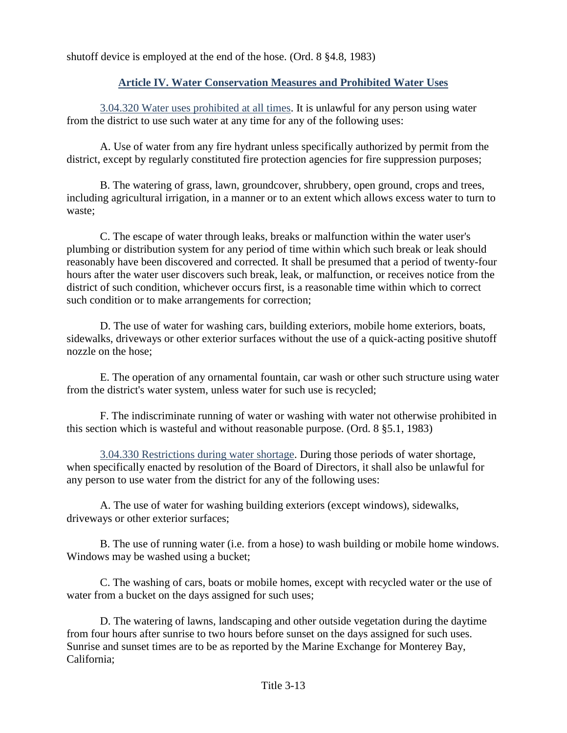<span id="page-24-0"></span>shutoff device is employed at the end of the hose. (Ord. 8 §4.8, 1983)

## **Article IV. Water Conservation Measures and Prohibited Water Uses**

<span id="page-24-1"></span>3.04.320 Water uses prohibited at all times. It is unlawful for any person using water from the district to use such water at any time for any of the following uses:

A. Use of water from any fire hydrant unless specifically authorized by permit from the district, except by regularly constituted fire protection agencies for fire suppression purposes;

B. The watering of grass, lawn, groundcover, shrubbery, open ground, crops and trees, including agricultural irrigation, in a manner or to an extent which allows excess water to turn to waste;

C. The escape of water through leaks, breaks or malfunction within the water user's plumbing or distribution system for any period of time within which such break or leak should reasonably have been discovered and corrected. It shall be presumed that a period of twenty-four hours after the water user discovers such break, leak, or malfunction, or receives notice from the district of such condition, whichever occurs first, is a reasonable time within which to correct such condition or to make arrangements for correction;

D. The use of water for washing cars, building exteriors, mobile home exteriors, boats, sidewalks, driveways or other exterior surfaces without the use of a quick-acting positive shutoff nozzle on the hose;

E. The operation of any ornamental fountain, car wash or other such structure using water from the district's water system, unless water for such use is recycled;

F. The indiscriminate running of water or washing with water not otherwise prohibited in this section which is wasteful and without reasonable purpose. (Ord. 8 §5.1, 1983)

<span id="page-24-2"></span>3.04.330 Restrictions during water shortage. During those periods of water shortage, when specifically enacted by resolution of the Board of Directors, it shall also be unlawful for any person to use water from the district for any of the following uses:

A. The use of water for washing building exteriors (except windows), sidewalks, driveways or other exterior surfaces;

B. The use of running water (i.e. from a hose) to wash building or mobile home windows. Windows may be washed using a bucket;

C. The washing of cars, boats or mobile homes, except with recycled water or the use of water from a bucket on the days assigned for such uses;

D. The watering of lawns, landscaping and other outside vegetation during the daytime from four hours after sunrise to two hours before sunset on the days assigned for such uses. Sunrise and sunset times are to be as reported by the Marine Exchange for Monterey Bay, California;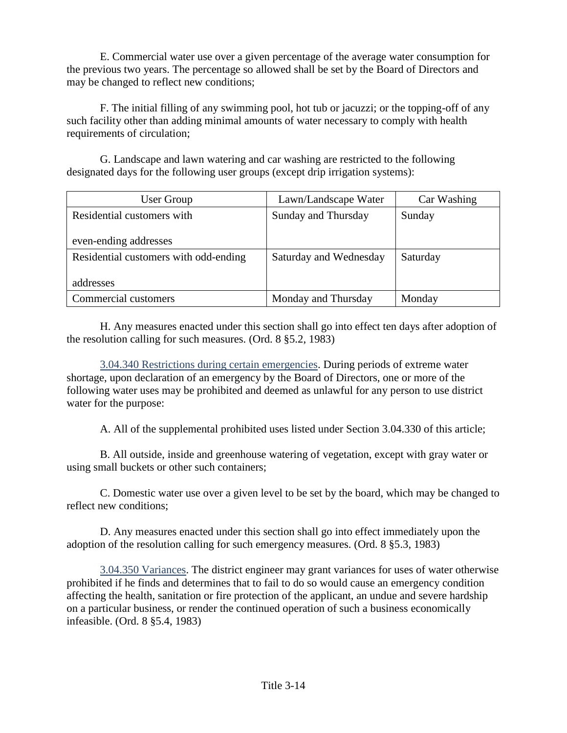E. Commercial water use over a given percentage of the average water consumption for the previous two years. The percentage so allowed shall be set by the Board of Directors and may be changed to reflect new conditions;

F. The initial filling of any swimming pool, hot tub or jacuzzi; or the topping-off of any such facility other than adding minimal amounts of water necessary to comply with health requirements of circulation;

G. Landscape and lawn watering and car washing are restricted to the following designated days for the following user groups (except drip irrigation systems):

| User Group                            | Lawn/Landscape Water   | Car Washing |
|---------------------------------------|------------------------|-------------|
| Residential customers with            | Sunday and Thursday    | Sunday      |
| even-ending addresses                 |                        |             |
| Residential customers with odd-ending | Saturday and Wednesday | Saturday    |
| addresses                             |                        |             |
| Commercial customers                  | Monday and Thursday    | Monday      |

H. Any measures enacted under this section shall go into effect ten days after adoption of the resolution calling for such measures. (Ord. 8 §5.2, 1983)

<span id="page-25-0"></span>3.04.340 Restrictions during certain emergencies. During periods of extreme water shortage, upon declaration of an emergency by the Board of Directors, one or more of the following water uses may be prohibited and deemed as unlawful for any person to use district water for the purpose:

A. All of the supplemental prohibited uses listed under Section 3.04.330 of this article;

B. All outside, inside and greenhouse watering of vegetation, except with gray water or using small buckets or other such containers;

C. Domestic water use over a given level to be set by the board, which may be changed to reflect new conditions;

D. Any measures enacted under this section shall go into effect immediately upon the adoption of the resolution calling for such emergency measures. (Ord. 8 §5.3, 1983)

<span id="page-25-1"></span>3.04.350 Variances. The district engineer may grant variances for uses of water otherwise prohibited if he finds and determines that to fail to do so would cause an emergency condition affecting the health, sanitation or fire protection of the applicant, an undue and severe hardship on a particular business, or render the continued operation of such a business economically infeasible. (Ord. 8 §5.4, 1983)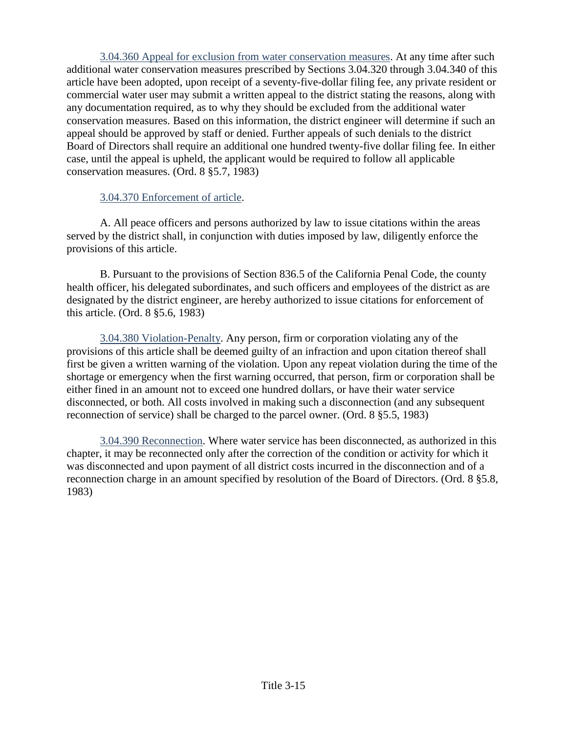<span id="page-26-0"></span>3.04.360 Appeal for exclusion from water conservation measures. At any time after such additional water conservation measures prescribed by Sections 3.04.320 through 3.04.340 of this article have been adopted, upon receipt of a seventy-five-dollar filing fee, any private resident or commercial water user may submit a written appeal to the district stating the reasons, along with any documentation required, as to why they should be excluded from the additional water conservation measures. Based on this information, the district engineer will determine if such an appeal should be approved by staff or denied. Further appeals of such denials to the district Board of Directors shall require an additional one hundred twenty-five dollar filing fee. In either case, until the appeal is upheld, the applicant would be required to follow all applicable conservation measures. (Ord. 8 §5.7, 1983)

#### <span id="page-26-1"></span>3.04.370 Enforcement of article.

A. All peace officers and persons authorized by law to issue citations within the areas served by the district shall, in conjunction with duties imposed by law, diligently enforce the provisions of this article.

B. Pursuant to the provisions of Section 836.5 of the California Penal Code, the county health officer, his delegated subordinates, and such officers and employees of the district as are designated by the district engineer, are hereby authorized to issue citations for enforcement of this article. (Ord. 8 §5.6, 1983)

<span id="page-26-2"></span>3.04.380 Violation-Penalty. Any person, firm or corporation violating any of the provisions of this article shall be deemed guilty of an infraction and upon citation thereof shall first be given a written warning of the violation. Upon any repeat violation during the time of the shortage or emergency when the first warning occurred, that person, firm or corporation shall be either fined in an amount not to exceed one hundred dollars, or have their water service disconnected, or both. All costs involved in making such a disconnection (and any subsequent reconnection of service) shall be charged to the parcel owner. (Ord. 8 §5.5, 1983)

<span id="page-26-3"></span>3.04.390 Reconnection. Where water service has been disconnected, as authorized in this chapter, it may be reconnected only after the correction of the condition or activity for which it was disconnected and upon payment of all district costs incurred in the disconnection and of a reconnection charge in an amount specified by resolution of the Board of Directors. (Ord. 8 §5.8, 1983)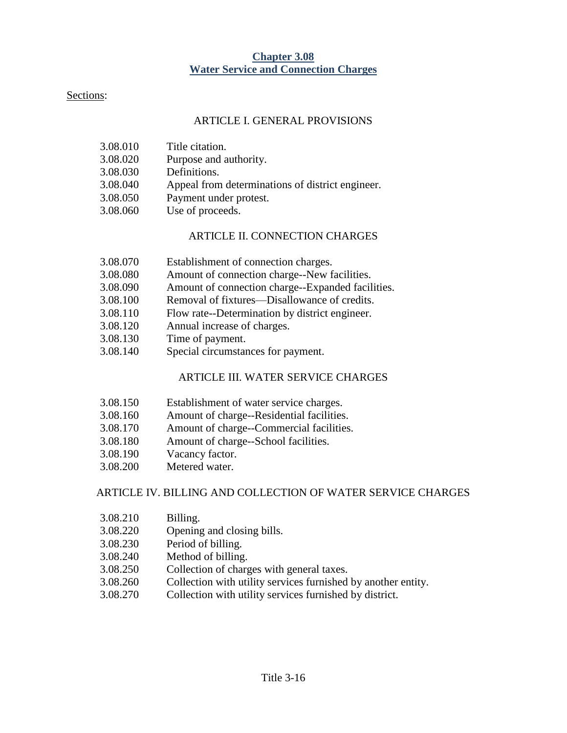#### **Chapter 3.08 Water Service and Connection Charges**

#### <span id="page-27-0"></span>Sections:

#### ARTICLE I. GENERAL PROVISIONS

| 3.08.010 | Title citation.                                  |
|----------|--------------------------------------------------|
| 3.08.020 | Purpose and authority.                           |
| 3.08.030 | Definitions.                                     |
| 3.08.040 | Appeal from determinations of district engineer. |
| 3.08.050 | Payment under protest.                           |
| 3.08.060 | Use of proceeds.                                 |
|          |                                                  |

#### ARTICLE II. CONNECTION CHARGES

| 3.08.070 | Establishment of connection charges. |
|----------|--------------------------------------|
|----------|--------------------------------------|

- 3.08.080 Amount of connection charge--New facilities.
- 3.08.090 Amount of connection charge--Expanded facilities.
- 3.08.100 Removal of fixtures—Disallowance of credits.
- 3.08.110 Flow rate--Determination by district engineer.
- 3.08.120 Annual increase of charges.
- 3.08.130 Time of payment.
- 3.08.140 Special circumstances for payment.

#### ARTICLE III. WATER SERVICE CHARGES

- 3.08.150 Establishment of water service charges.
- 3.08.160 Amount of charge--Residential facilities.
- 3.08.170 Amount of charge--Commercial facilities.
- 3.08.180 Amount of charge--School facilities.
- 3.08.190 Vacancy factor.
- 3.08.200 Metered water.

#### ARTICLE IV. BILLING AND COLLECTION OF WATER SERVICE CHARGES

- 3.08.210 Billing.
- 3.08.220 Opening and closing bills.
- 3.08.230 Period of billing.
- 3.08.240 Method of billing.
- 3.08.250 Collection of charges with general taxes.
- 3.08.260 Collection with utility services furnished by another entity.
- 3.08.270 Collection with utility services furnished by district.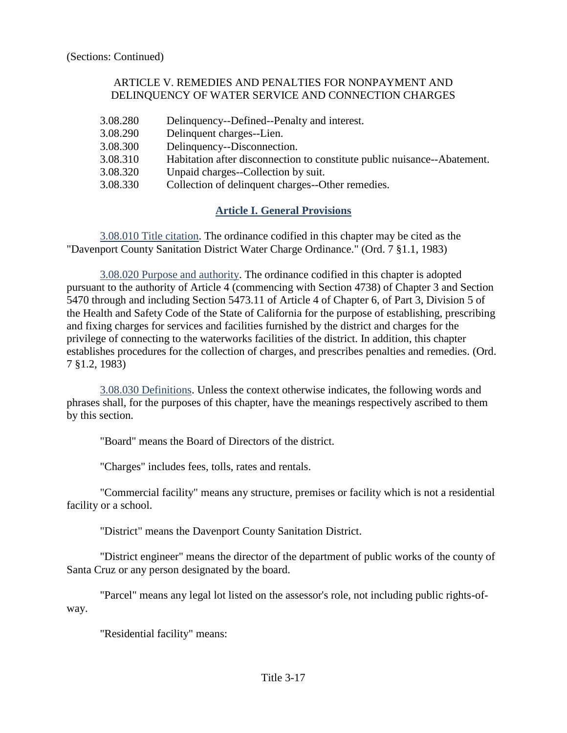#### ARTICLE V. REMEDIES AND PENALTIES FOR NONPAYMENT AND DELINQUENCY OF WATER SERVICE AND CONNECTION CHARGES

3.08.280 Delinquency--Defined--Penalty and interest. 3.08.290 Delinquent charges--Lien. 3.08.300 Delinquency--Disconnection. 3.08.310 Habitation after disconnection to constitute public nuisance--Abatement. 3.08.320 Unpaid charges--Collection by suit. 3.08.330 Collection of delinquent charges--Other remedies.

# **Article I. General Provisions**

<span id="page-28-1"></span><span id="page-28-0"></span>3.08.010 Title citation. The ordinance codified in this chapter may be cited as the "Davenport County Sanitation District Water Charge Ordinance." (Ord. 7 §1.1, 1983)

<span id="page-28-2"></span>3.08.020 Purpose and authority. The ordinance codified in this chapter is adopted pursuant to the authority of Article 4 (commencing with Section 4738) of Chapter 3 and Section 5470 through and including Section 5473.11 of Article 4 of Chapter 6, of Part 3, Division 5 of the Health and Safety Code of the State of California for the purpose of establishing, prescribing and fixing charges for services and facilities furnished by the district and charges for the privilege of connecting to the waterworks facilities of the district. In addition, this chapter establishes procedures for the collection of charges, and prescribes penalties and remedies. (Ord. 7 §1.2, 1983)

<span id="page-28-3"></span>3.08.030 Definitions. Unless the context otherwise indicates, the following words and phrases shall, for the purposes of this chapter, have the meanings respectively ascribed to them by this section.

"Board" means the Board of Directors of the district.

"Charges" includes fees, tolls, rates and rentals.

"Commercial facility" means any structure, premises or facility which is not a residential facility or a school.

"District" means the Davenport County Sanitation District.

"District engineer" means the director of the department of public works of the county of Santa Cruz or any person designated by the board.

"Parcel" means any legal lot listed on the assessor's role, not including public rights-ofway.

"Residential facility" means: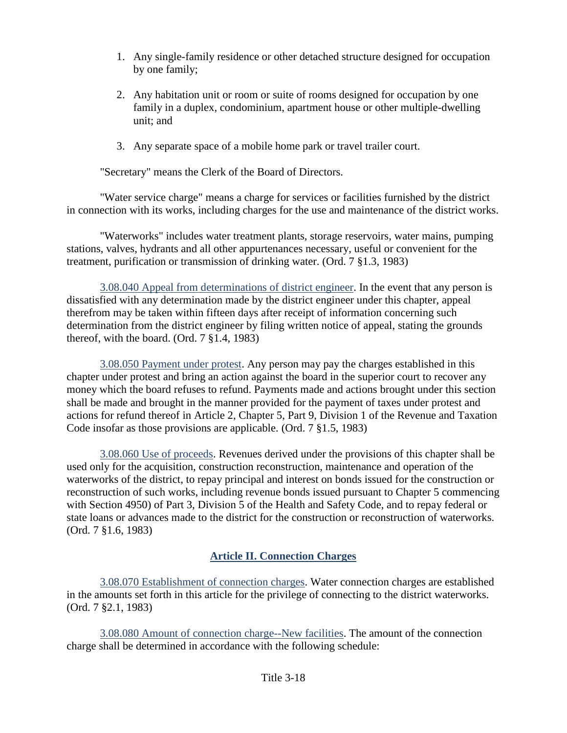- 1. Any single-family residence or other detached structure designed for occupation by one family;
- 2. Any habitation unit or room or suite of rooms designed for occupation by one family in a duplex, condominium, apartment house or other multiple-dwelling unit; and
- 3. Any separate space of a mobile home park or travel trailer court.

"Secretary" means the Clerk of the Board of Directors.

"Water service charge" means a charge for services or facilities furnished by the district in connection with its works, including charges for the use and maintenance of the district works.

"Waterworks" includes water treatment plants, storage reservoirs, water mains, pumping stations, valves, hydrants and all other appurtenances necessary, useful or convenient for the treatment, purification or transmission of drinking water. (Ord. 7 §1.3, 1983)

<span id="page-29-0"></span>3.08.040 Appeal from determinations of district engineer. In the event that any person is dissatisfied with any determination made by the district engineer under this chapter, appeal therefrom may be taken within fifteen days after receipt of information concerning such determination from the district engineer by filing written notice of appeal, stating the grounds thereof, with the board. (Ord. 7 §1.4, 1983)

<span id="page-29-1"></span>3.08.050 Payment under protest. Any person may pay the charges established in this chapter under protest and bring an action against the board in the superior court to recover any money which the board refuses to refund. Payments made and actions brought under this section shall be made and brought in the manner provided for the payment of taxes under protest and actions for refund thereof in Article 2, Chapter 5, Part 9, Division 1 of the Revenue and Taxation Code insofar as those provisions are applicable. (Ord. 7 §1.5, 1983)

<span id="page-29-2"></span>3.08.060 Use of proceeds. Revenues derived under the provisions of this chapter shall be used only for the acquisition, construction reconstruction, maintenance and operation of the waterworks of the district, to repay principal and interest on bonds issued for the construction or reconstruction of such works, including revenue bonds issued pursuant to Chapter 5 commencing with Section 4950) of Part 3, Division 5 of the Health and Safety Code, and to repay federal or state loans or advances made to the district for the construction or reconstruction of waterworks. (Ord. 7 §1.6, 1983)

# **Article II. Connection Charges**

<span id="page-29-4"></span><span id="page-29-3"></span>3.08.070 Establishment of connection charges. Water connection charges are established in the amounts set forth in this article for the privilege of connecting to the district waterworks. (Ord. 7 §2.1, 1983)

<span id="page-29-5"></span>3.08.080 Amount of connection charge--New facilities. The amount of the connection charge shall be determined in accordance with the following schedule: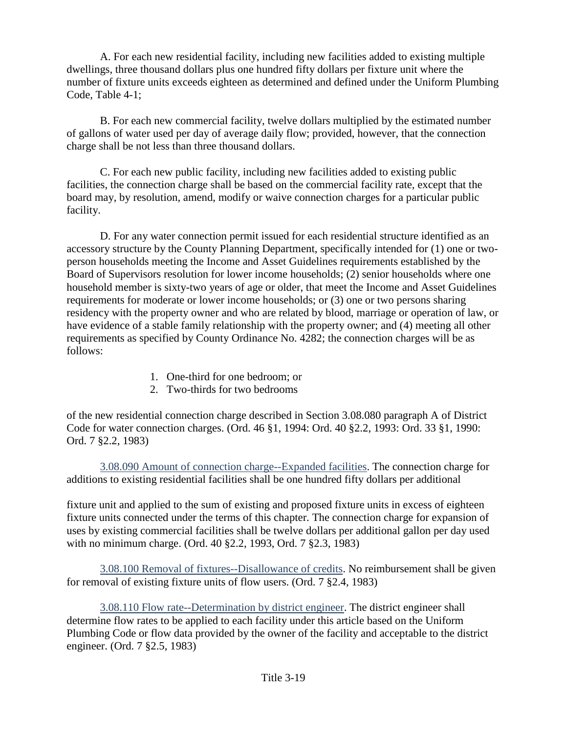A. For each new residential facility, including new facilities added to existing multiple dwellings, three thousand dollars plus one hundred fifty dollars per fixture unit where the number of fixture units exceeds eighteen as determined and defined under the Uniform Plumbing Code, Table 4-1;

B. For each new commercial facility, twelve dollars multiplied by the estimated number of gallons of water used per day of average daily flow; provided, however, that the connection charge shall be not less than three thousand dollars.

C. For each new public facility, including new facilities added to existing public facilities, the connection charge shall be based on the commercial facility rate, except that the board may, by resolution, amend, modify or waive connection charges for a particular public facility.

D. For any water connection permit issued for each residential structure identified as an accessory structure by the County Planning Department, specifically intended for (1) one or twoperson households meeting the Income and Asset Guidelines requirements established by the Board of Supervisors resolution for lower income households; (2) senior households where one household member is sixty-two years of age or older, that meet the Income and Asset Guidelines requirements for moderate or lower income households; or (3) one or two persons sharing residency with the property owner and who are related by blood, marriage or operation of law, or have evidence of a stable family relationship with the property owner; and (4) meeting all other requirements as specified by County Ordinance No. 4282; the connection charges will be as follows:

- 1. One-third for one bedroom; or
- 2. Two-thirds for two bedrooms

of the new residential connection charge described in Section 3.08.080 paragraph A of District Code for water connection charges. (Ord. 46 §1, 1994: Ord. 40 §2.2, 1993: Ord. 33 §1, 1990: Ord. 7 §2.2, 1983)

<span id="page-30-0"></span>3.08.090 Amount of connection charge--Expanded facilities. The connection charge for additions to existing residential facilities shall be one hundred fifty dollars per additional

fixture unit and applied to the sum of existing and proposed fixture units in excess of eighteen fixture units connected under the terms of this chapter. The connection charge for expansion of uses by existing commercial facilities shall be twelve dollars per additional gallon per day used with no minimum charge. (Ord. 40 §2.2, 1993, Ord. 7 §2.3, 1983)

<span id="page-30-1"></span>3.08.100 Removal of fixtures--Disallowance of credits. No reimbursement shall be given for removal of existing fixture units of flow users. (Ord. 7 §2.4, 1983)

<span id="page-30-2"></span>3.08.110 Flow rate--Determination by district engineer. The district engineer shall determine flow rates to be applied to each facility under this article based on the Uniform Plumbing Code or flow data provided by the owner of the facility and acceptable to the district engineer. (Ord. 7 §2.5, 1983)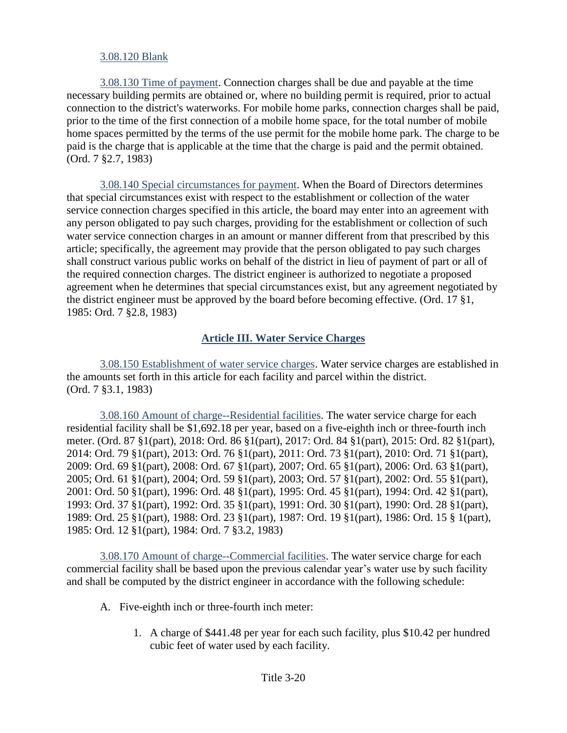#### <span id="page-31-1"></span><span id="page-31-0"></span>3.08.120 Blank

3.08.130 Time of payment. Connection charges shall be due and payable at the time necessary building permits are obtained or, where no building permit is required, prior to actual connection to the district's waterworks. For mobile home parks, connection charges shall be paid, prior to the time of the first connection of a mobile home space, for the total number of mobile home spaces permitted by the terms of the use permit for the mobile home park. The charge to be paid is the charge that is applicable at the time that the charge is paid and the permit obtained. (Ord. 7 §2.7, 1983)

<span id="page-31-2"></span>3.08.140 Special circumstances for payment. When the Board of Directors determines that special circumstances exist with respect to the establishment or collection of the water service connection charges specified in this article, the board may enter into an agreement with any person obligated to pay such charges, providing for the establishment or collection of such water service connection charges in an amount or manner different from that prescribed by this article; specifically, the agreement may provide that the person obligated to pay such charges shall construct various public works on behalf of the district in lieu of payment of part or all of the required connection charges. The district engineer is authorized to negotiate a proposed agreement when he determines that special circumstances exist, but any agreement negotiated by the district engineer must be approved by the board before becoming effective. (Ord. 17 §1, 1985: Ord. 7 §2.8, 1983)

### **Article III. Water Service Charges**

<span id="page-31-4"></span><span id="page-31-3"></span>3.08.150 Establishment of water service charges. Water service charges are established in the amounts set forth in this article for each facility and parcel within the district. (Ord. 7 §3.1, 1983)

<span id="page-31-5"></span>3.08.160 Amount of charge--Residential facilities. The water service charge for each residential facility shall be \$1,692.18 per year, based on a five-eighth inch or three-fourth inch meter. (Ord. 87 §1(part), 2018: Ord. 86 §1(part), 2017: Ord. 84 §1(part), 2015: Ord. 82 §1(part), 2014: Ord. 79 §1(part), 2013: Ord. 76 §1(part), 2011: Ord. 73 §1(part), 2010: Ord. 71 §1(part), 2009: Ord. 69 §1(part), 2008: Ord. 67 §1(part), 2007; Ord. 65 §1(part), 2006: Ord. 63 §1(part), 2005; Ord. 61 §1(part), 2004; Ord. 59 §1(part), 2003; Ord. 57 §1(part), 2002: Ord. 55 §1(part), 2001: Ord. 50 §1(part), 1996: Ord. 48 §1(part), 1995: Ord. 45 §1(part), 1994: Ord. 42 §1(part), 1993: Ord. 37 §1(part), 1992: Ord. 35 §1(part), 1991: Ord. 30 §1(part), 1990: Ord. 28 §1(part), 1989: Ord. 25 §1(part), 1988: Ord. 23 §1(part), 1987: Ord. 19 §1(part), 1986: Ord. 15 § 1(part), 1985: Ord. 12 §1(part), 1984: Ord. 7 §3.2, 1983)

<span id="page-31-6"></span>3.08.170 Amount of charge--Commercial facilities. The water service charge for each commercial facility shall be based upon the previous calendar year's water use by such facility and shall be computed by the district engineer in accordance with the following schedule:

- A. Five-eighth inch or three-fourth inch meter:
	- 1. A charge of \$441.48 per year for each such facility, plus \$10.42 per hundred cubic feet of water used by each facility.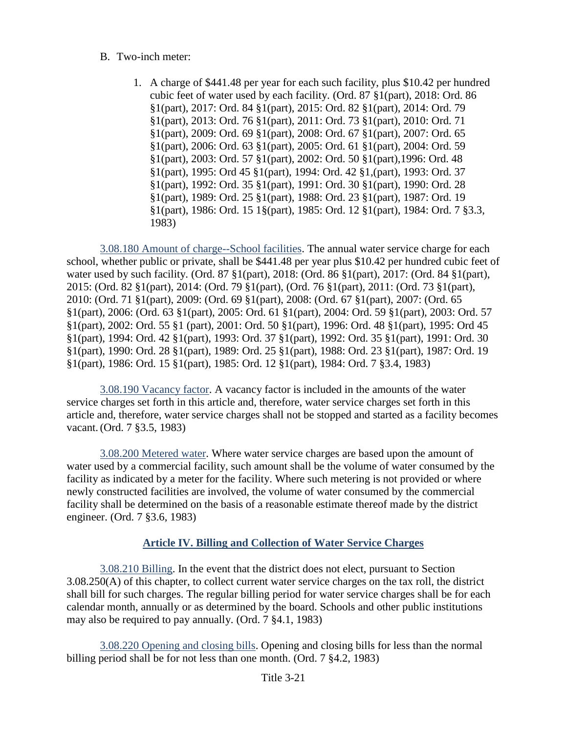- B. Two-inch meter:
	- 1. A charge of \$441.48 per year for each such facility, plus \$10.42 per hundred cubic feet of water used by each facility. (Ord. 87 §1(part), 2018: Ord. 86 §1(part), 2017: Ord. 84 §1(part), 2015: Ord. 82 §1(part), 2014: Ord. 79 §1(part), 2013: Ord. 76 §1(part), 2011: Ord. 73 §1(part), 2010: Ord. 71 §1(part), 2009: Ord. 69 §1(part), 2008: Ord. 67 §1(part), 2007: Ord. 65 §1(part), 2006: Ord. 63 §1(part), 2005: Ord. 61 §1(part), 2004: Ord. 59 §1(part), 2003: Ord. 57 §1(part), 2002: Ord. 50 §1(part),1996: Ord. 48 §1(part), 1995: Ord 45 §1(part), 1994: Ord. 42 §1,(part), 1993: Ord. 37 §1(part), 1992: Ord. 35 §1(part), 1991: Ord. 30 §1(part), 1990: Ord. 28 §1(part), 1989: Ord. 25 §1(part), 1988: Ord. 23 §1(part), 1987: Ord. 19 §1(part), 1986: Ord. 15 1§(part), 1985: Ord. 12 §1(part), 1984: Ord. 7 §3.3, 1983)

<span id="page-32-0"></span>3.08.180 Amount of charge--School facilities. The annual water service charge for each school, whether public or private, shall be \$441.48 per year plus \$10.42 per hundred cubic feet of water used by such facility. (Ord. 87 §1(part), 2018: (Ord. 86 §1(part), 2017: (Ord. 84 §1(part), 2015: (Ord. 82 §1(part), 2014: (Ord. 79 §1(part), (Ord. 76 §1(part), 2011: (Ord. 73 §1(part), 2010: (Ord. 71 §1(part), 2009: (Ord. 69 §1(part), 2008: (Ord. 67 §1(part), 2007: (Ord. 65 §1(part), 2006: (Ord. 63 §1(part), 2005: Ord. 61 §1(part), 2004: Ord. 59 §1(part), 2003: Ord. 57 §1(part), 2002: Ord. 55 §1 (part), 2001: Ord. 50 §1(part), 1996: Ord. 48 §1(part), 1995: Ord 45 §1(part), 1994: Ord. 42 §1(part), 1993: Ord. 37 §1(part), 1992: Ord. 35 §1(part), 1991: Ord. 30 §1(part), 1990: Ord. 28 §1(part), 1989: Ord. 25 §1(part), 1988: Ord. 23 §1(part), 1987: Ord. 19 §1(part), 1986: Ord. 15 §1(part), 1985: Ord. 12 §1(part), 1984: Ord. 7 §3.4, 1983)

<span id="page-32-1"></span>3.08.190 Vacancy factor. A vacancy factor is included in the amounts of the water service charges set forth in this article and, therefore, water service charges set forth in this article and, therefore, water service charges shall not be stopped and started as a facility becomes vacant.(Ord. 7 §3.5, 1983)

<span id="page-32-2"></span>3.08.200 Metered water. Where water service charges are based upon the amount of water used by a commercial facility, such amount shall be the volume of water consumed by the facility as indicated by a meter for the facility. Where such metering is not provided or where newly constructed facilities are involved, the volume of water consumed by the commercial facility shall be determined on the basis of a reasonable estimate thereof made by the district engineer. (Ord. 7 §3.6, 1983)

# **Article IV. Billing and Collection of Water Service Charges**

<span id="page-32-4"></span><span id="page-32-3"></span>3.08.210 Billing. In the event that the district does not elect, pursuant to Section 3.08.250(A) of this chapter, to collect current water service charges on the tax roll, the district shall bill for such charges. The regular billing period for water service charges shall be for each calendar month, annually or as determined by the board. Schools and other public institutions may also be required to pay annually. (Ord. 7 §4.1, 1983)

<span id="page-32-5"></span>3.08.220 Opening and closing bills. Opening and closing bills for less than the normal billing period shall be for not less than one month. (Ord. 7 §4.2, 1983)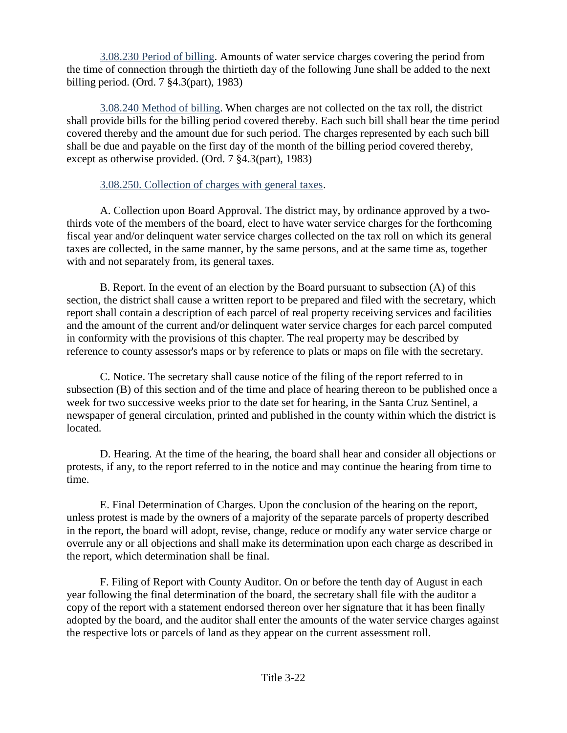<span id="page-33-0"></span>3.08.230 Period of billing. Amounts of water service charges covering the period from the time of connection through the thirtieth day of the following June shall be added to the next billing period. (Ord. 7 §4.3(part), 1983)

<span id="page-33-1"></span>3.08.240 Method of billing. When charges are not collected on the tax roll, the district shall provide bills for the billing period covered thereby. Each such bill shall bear the time period covered thereby and the amount due for such period. The charges represented by each such bill shall be due and payable on the first day of the month of the billing period covered thereby, except as otherwise provided. (Ord. 7 §4.3(part), 1983)

#### <span id="page-33-2"></span>3.08.250. Collection of charges with general taxes.

A. Collection upon Board Approval. The district may, by ordinance approved by a twothirds vote of the members of the board, elect to have water service charges for the forthcoming fiscal year and/or delinquent water service charges collected on the tax roll on which its general taxes are collected, in the same manner, by the same persons, and at the same time as, together with and not separately from, its general taxes.

B. Report. In the event of an election by the Board pursuant to subsection (A) of this section, the district shall cause a written report to be prepared and filed with the secretary, which report shall contain a description of each parcel of real property receiving services and facilities and the amount of the current and/or delinquent water service charges for each parcel computed in conformity with the provisions of this chapter. The real property may be described by reference to county assessor's maps or by reference to plats or maps on file with the secretary.

C. Notice. The secretary shall cause notice of the filing of the report referred to in subsection (B) of this section and of the time and place of hearing thereon to be published once a week for two successive weeks prior to the date set for hearing, in the Santa Cruz Sentinel, a newspaper of general circulation, printed and published in the county within which the district is located.

D. Hearing. At the time of the hearing, the board shall hear and consider all objections or protests, if any, to the report referred to in the notice and may continue the hearing from time to time.

E. Final Determination of Charges. Upon the conclusion of the hearing on the report, unless protest is made by the owners of a majority of the separate parcels of property described in the report, the board will adopt, revise, change, reduce or modify any water service charge or overrule any or all objections and shall make its determination upon each charge as described in the report, which determination shall be final.

F. Filing of Report with County Auditor. On or before the tenth day of August in each year following the final determination of the board, the secretary shall file with the auditor a copy of the report with a statement endorsed thereon over her signature that it has been finally adopted by the board, and the auditor shall enter the amounts of the water service charges against the respective lots or parcels of land as they appear on the current assessment roll.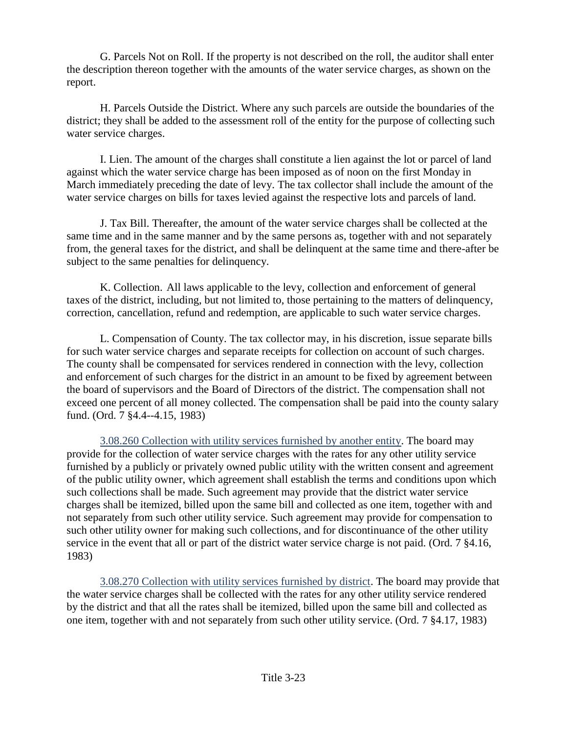G. Parcels Not on Roll. If the property is not described on the roll, the auditor shall enter the description thereon together with the amounts of the water service charges, as shown on the report.

H. Parcels Outside the District. Where any such parcels are outside the boundaries of the district; they shall be added to the assessment roll of the entity for the purpose of collecting such water service charges.

I. Lien. The amount of the charges shall constitute a lien against the lot or parcel of land against which the water service charge has been imposed as of noon on the first Monday in March immediately preceding the date of levy. The tax collector shall include the amount of the water service charges on bills for taxes levied against the respective lots and parcels of land.

J. Tax Bill. Thereafter, the amount of the water service charges shall be collected at the same time and in the same manner and by the same persons as, together with and not separately from, the general taxes for the district, and shall be delinquent at the same time and there-after be subject to the same penalties for delinquency.

K. Collection. All laws applicable to the levy, collection and enforcement of general taxes of the district, including, but not limited to, those pertaining to the matters of delinquency, correction, cancellation, refund and redemption, are applicable to such water service charges.

L. Compensation of County. The tax collector may, in his discretion, issue separate bills for such water service charges and separate receipts for collection on account of such charges. The county shall be compensated for services rendered in connection with the levy, collection and enforcement of such charges for the district in an amount to be fixed by agreement between the board of supervisors and the Board of Directors of the district. The compensation shall not exceed one percent of all money collected. The compensation shall be paid into the county salary fund. (Ord. 7 §4.4--4.15, 1983)

<span id="page-34-0"></span>3.08.260 Collection with utility services furnished by another entity. The board may provide for the collection of water service charges with the rates for any other utility service furnished by a publicly or privately owned public utility with the written consent and agreement of the public utility owner, which agreement shall establish the terms and conditions upon which such collections shall be made. Such agreement may provide that the district water service charges shall be itemized, billed upon the same bill and collected as one item, together with and not separately from such other utility service. Such agreement may provide for compensation to such other utility owner for making such collections, and for discontinuance of the other utility service in the event that all or part of the district water service charge is not paid. (Ord. 7 §4.16, 1983)

<span id="page-34-1"></span>3.08.270 Collection with utility services furnished by district. The board may provide that the water service charges shall be collected with the rates for any other utility service rendered by the district and that all the rates shall be itemized, billed upon the same bill and collected as one item, together with and not separately from such other utility service. (Ord. 7 §4.17, 1983)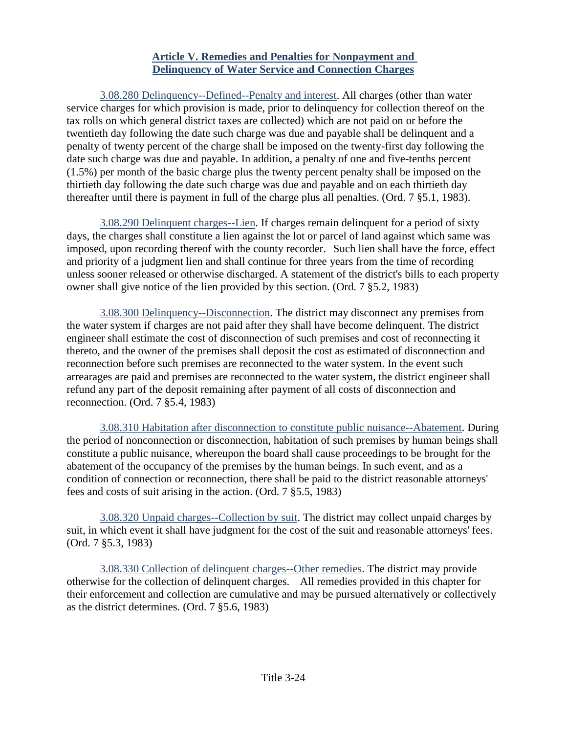#### **Article V. Remedies and Penalties for Nonpayment and Delinquency of Water Service and Connection Charges**

<span id="page-35-1"></span><span id="page-35-0"></span>3.08.280 Delinquency--Defined--Penalty and interest. All charges (other than water service charges for which provision is made, prior to delinquency for collection thereof on the tax rolls on which general district taxes are collected) which are not paid on or before the twentieth day following the date such charge was due and payable shall be delinquent and a penalty of twenty percent of the charge shall be imposed on the twenty-first day following the date such charge was due and payable. In addition, a penalty of one and five-tenths percent (1.5%) per month of the basic charge plus the twenty percent penalty shall be imposed on the thirtieth day following the date such charge was due and payable and on each thirtieth day thereafter until there is payment in full of the charge plus all penalties. (Ord. 7 §5.1, 1983).

<span id="page-35-2"></span>3.08.290 Delinquent charges--Lien. If charges remain delinquent for a period of sixty days, the charges shall constitute a lien against the lot or parcel of land against which same was imposed, upon recording thereof with the county recorder. Such lien shall have the force, effect and priority of a judgment lien and shall continue for three years from the time of recording unless sooner released or otherwise discharged. A statement of the district's bills to each property owner shall give notice of the lien provided by this section. (Ord. 7 §5.2, 1983)

<span id="page-35-3"></span>3.08.300 Delinquency--Disconnection. The district may disconnect any premises from the water system if charges are not paid after they shall have become delinquent. The district engineer shall estimate the cost of disconnection of such premises and cost of reconnecting it thereto, and the owner of the premises shall deposit the cost as estimated of disconnection and reconnection before such premises are reconnected to the water system. In the event such arrearages are paid and premises are reconnected to the water system, the district engineer shall refund any part of the deposit remaining after payment of all costs of disconnection and reconnection. (Ord. 7 §5.4, 1983)

<span id="page-35-4"></span>3.08.310 Habitation after disconnection to constitute public nuisance--Abatement. During the period of nonconnection or disconnection, habitation of such premises by human beings shall constitute a public nuisance, whereupon the board shall cause proceedings to be brought for the abatement of the occupancy of the premises by the human beings. In such event, and as a condition of connection or reconnection, there shall be paid to the district reasonable attorneys' fees and costs of suit arising in the action. (Ord. 7 §5.5, 1983)

<span id="page-35-5"></span>3.08.320 Unpaid charges--Collection by suit. The district may collect unpaid charges by suit, in which event it shall have judgment for the cost of the suit and reasonable attorneys' fees. (Ord. 7 §5.3, 1983)

<span id="page-35-6"></span>3.08.330 Collection of delinquent charges--Other remedies. The district may provide otherwise for the collection of delinquent charges. All remedies provided in this chapter for their enforcement and collection are cumulative and may be pursued alternatively or collectively as the district determines. (Ord. 7 §5.6, 1983)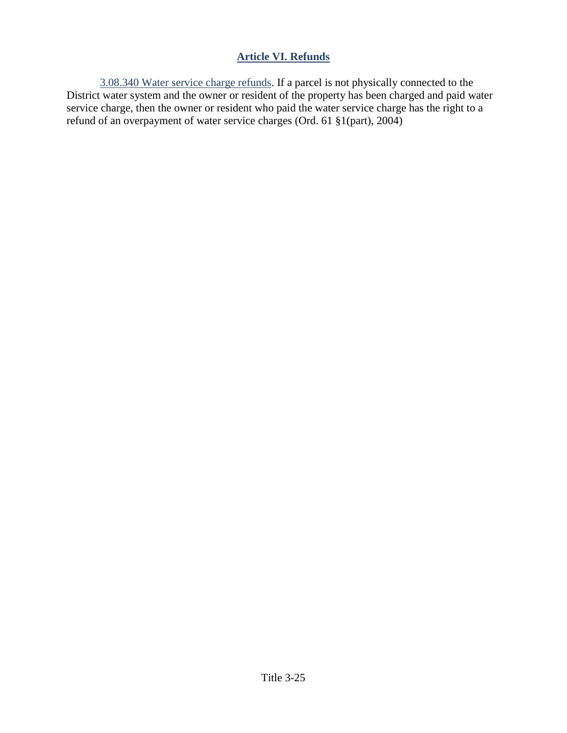## **Article VI. Refunds**

3.08.340 Water service charge refunds. If a parcel is not physically connected to the District water system and the owner or resident of the property has been charged and paid water service charge, then the owner or resident who paid the water service charge has the right to a refund of an overpayment of water service charges (Ord. 61 §1(part), 2004)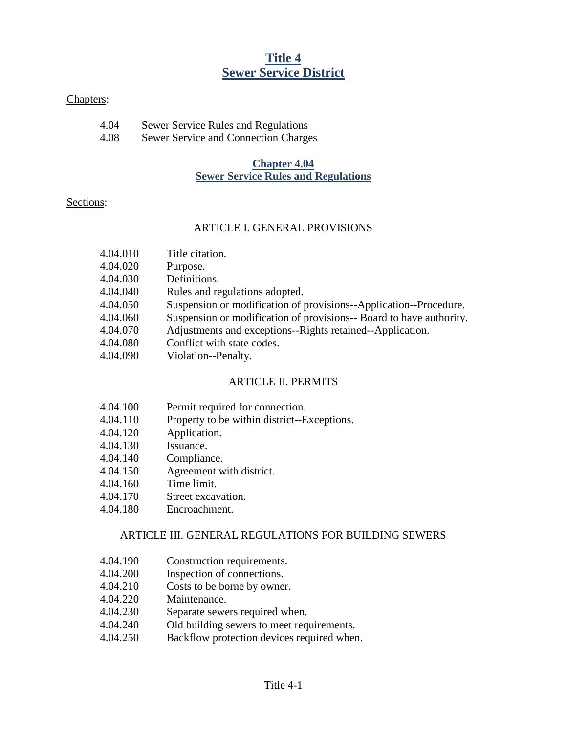# **Title 4 Sewer Service District**

#### Chapters:

| 4.04 | <b>Sewer Service Rules and Regulations</b> |
|------|--------------------------------------------|
| 4.08 | Sewer Service and Connection Charges       |

### **Chapter 4.04 Sewer Service Rules and Regulations**

#### Sections:

#### ARTICLE I. GENERAL PROVISIONS

- 4.04.010 Title citation.
- 4.04.020 Purpose.
- 4.04.030 Definitions.
- 4.04.040 Rules and regulations adopted.
- 4.04.050 Suspension or modification of provisions--Application--Procedure.
- 4.04.060 Suspension or modification of provisions-- Board to have authority.
- 4.04.070 Adjustments and exceptions--Rights retained--Application.
- 4.04.080 Conflict with state codes.
- 4.04.090 Violation--Penalty.

## ARTICLE II. PERMITS

- 4.04.100 Permit required for connection.
- 4.04.110 Property to be within district--Exceptions.
- 4.04.120 Application.
- 4.04.130 Issuance.
- 4.04.140 Compliance.
- 4.04.150 Agreement with district.
- 4.04.160 Time limit.
- 4.04.170 Street excavation.
- 4.04.180 Encroachment.

## ARTICLE III. GENERAL REGULATIONS FOR BUILDING SEWERS

- 4.04.190 Construction requirements.
- 4.04.200 Inspection of connections.
- 4.04.210 Costs to be borne by owner.
- 4.04.220 Maintenance.
- 4.04.230 Separate sewers required when.
- 4.04.240 Old building sewers to meet requirements.
- 4.04.250 Backflow protection devices required when.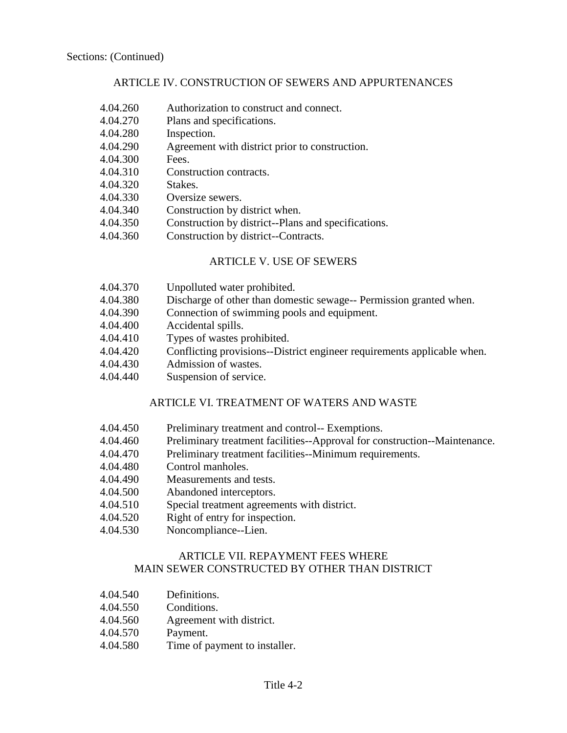### ARTICLE IV. CONSTRUCTION OF SEWERS AND APPURTENANCES

- 4.04.260 Authorization to construct and connect.
- 4.04.270 Plans and specifications.
- 4.04.280 Inspection.
- 4.04.290 Agreement with district prior to construction.
- 4.04.300 Fees.
- 4.04.310 Construction contracts.
- 4.04.320 Stakes.
- 4.04.330 Oversize sewers.
- 4.04.340 Construction by district when.
- 4.04.350 Construction by district--Plans and specifications.
- 4.04.360 Construction by district--Contracts.

#### ARTICLE V. USE OF SEWERS

- 4.04.370 Unpolluted water prohibited.
- 4.04.380 Discharge of other than domestic sewage-- Permission granted when.
- 4.04.390 Connection of swimming pools and equipment.
- 4.04.400 Accidental spills.
- 4.04.410 Types of wastes prohibited.
- 4.04.420 Conflicting provisions--District engineer requirements applicable when.
- 4.04.430 Admission of wastes.
- 4.04.440 Suspension of service.

#### ARTICLE VI. TREATMENT OF WATERS AND WASTE

- 4.04.450 Preliminary treatment and control-- Exemptions.
- 4.04.460 Preliminary treatment facilities--Approval for construction--Maintenance.
- 4.04.470 Preliminary treatment facilities--Minimum requirements.
- 4.04.480 Control manholes.
- 4.04.490 Measurements and tests.
- 4.04.500 Abandoned interceptors.
- 4.04.510 Special treatment agreements with district.
- 4.04.520 Right of entry for inspection.
- 4.04.530 Noncompliance--Lien.

### ARTICLE VII. REPAYMENT FEES WHERE MAIN SEWER CONSTRUCTED BY OTHER THAN DISTRICT

- 4.04.540 Definitions.
- 4.04.550 Conditions.
- 4.04.560 Agreement with district.
- 4.04.570 Payment.
- 4.04.580 Time of payment to installer.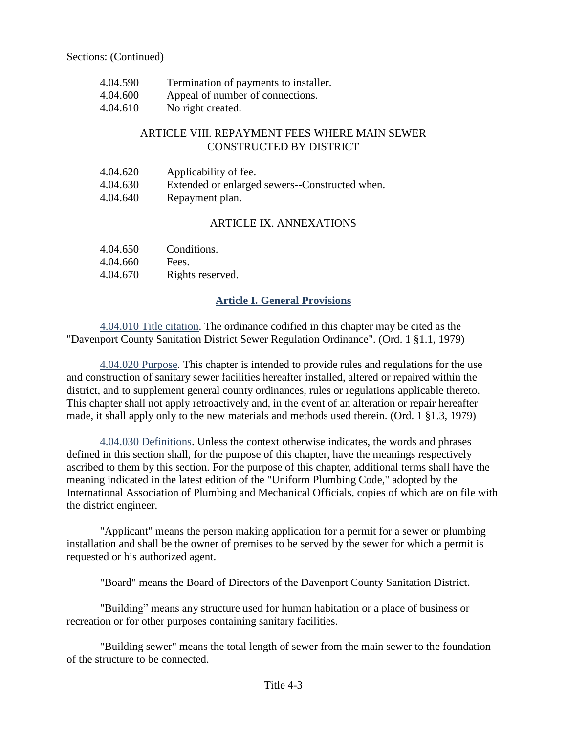| 4.04.590 | Termination of payments to installer. |
|----------|---------------------------------------|
| 4.04.600 | Appeal of number of connections.      |
| 4.04.610 | No right created.                     |

### ARTICLE VIII. REPAYMENT FEES WHERE MAIN SEWER CONSTRUCTED BY DISTRICT

| 4.04.620 | Applicability of fee.                          |
|----------|------------------------------------------------|
| 4.04.630 | Extended or enlarged sewers--Constructed when. |
| 4.04.640 | Repayment plan.                                |

### ARTICLE IX. ANNEXATIONS

| 4.04.650 | Conditions.      |
|----------|------------------|
| 4.04.660 | Fees.            |
| 4.04.670 | Rights reserved. |

## **Article I. General Provisions**

4.04.010 Title citation. The ordinance codified in this chapter may be cited as the "Davenport County Sanitation District Sewer Regulation Ordinance". (Ord. 1 §1.1, 1979)

4.04.020 Purpose. This chapter is intended to provide rules and regulations for the use and construction of sanitary sewer facilities hereafter installed, altered or repaired within the district, and to supplement general county ordinances, rules or regulations applicable thereto. This chapter shall not apply retroactively and, in the event of an alteration or repair hereafter made, it shall apply only to the new materials and methods used therein. (Ord. 1 §1.3, 1979)

4.04.030 Definitions. Unless the context otherwise indicates, the words and phrases defined in this section shall, for the purpose of this chapter, have the meanings respectively ascribed to them by this section. For the purpose of this chapter, additional terms shall have the meaning indicated in the latest edition of the "Uniform Plumbing Code," adopted by the International Association of Plumbing and Mechanical Officials, copies of which are on file with the district engineer.

"Applicant" means the person making application for a permit for a sewer or plumbing installation and shall be the owner of premises to be served by the sewer for which a permit is requested or his authorized agent.

"Board" means the Board of Directors of the Davenport County Sanitation District.

"Building" means any structure used for human habitation or a place of business or recreation or for other purposes containing sanitary facilities.

"Building sewer" means the total length of sewer from the main sewer to the foundation of the structure to be connected.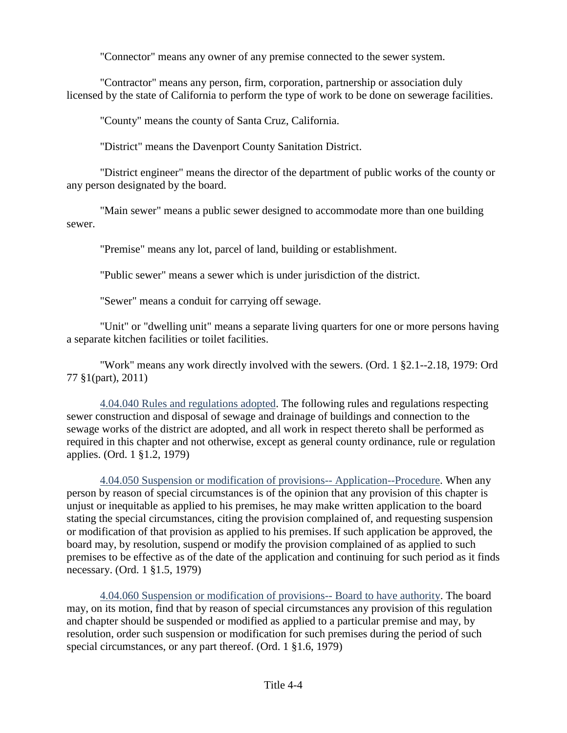"Connector" means any owner of any premise connected to the sewer system.

"Contractor" means any person, firm, corporation, partnership or association duly licensed by the state of California to perform the type of work to be done on sewerage facilities.

"County" means the county of Santa Cruz, California.

"District" means the Davenport County Sanitation District.

"District engineer" means the director of the department of public works of the county or any person designated by the board.

"Main sewer" means a public sewer designed to accommodate more than one building sewer.

"Premise" means any lot, parcel of land, building or establishment.

"Public sewer" means a sewer which is under jurisdiction of the district.

"Sewer" means a conduit for carrying off sewage.

"Unit" or "dwelling unit" means a separate living quarters for one or more persons having a separate kitchen facilities or toilet facilities.

"Work" means any work directly involved with the sewers. (Ord. 1 §2.1--2.18, 1979: Ord 77 §1(part), 2011)

4.04.040 Rules and regulations adopted. The following rules and regulations respecting sewer construction and disposal of sewage and drainage of buildings and connection to the sewage works of the district are adopted, and all work in respect thereto shall be performed as required in this chapter and not otherwise, except as general county ordinance, rule or regulation applies. (Ord. 1 §1.2, 1979)

4.04.050 Suspension or modification of provisions-- Application--Procedure. When any person by reason of special circumstances is of the opinion that any provision of this chapter is unjust or inequitable as applied to his premises, he may make written application to the board stating the special circumstances, citing the provision complained of, and requesting suspension or modification of that provision as applied to his premises. If such application be approved, the board may, by resolution, suspend or modify the provision complained of as applied to such premises to be effective as of the date of the application and continuing for such period as it finds necessary. (Ord. 1 §1.5, 1979)

4.04.060 Suspension or modification of provisions-- Board to have authority. The board may, on its motion, find that by reason of special circumstances any provision of this regulation and chapter should be suspended or modified as applied to a particular premise and may, by resolution, order such suspension or modification for such premises during the period of such special circumstances, or any part thereof. (Ord. 1 §1.6, 1979)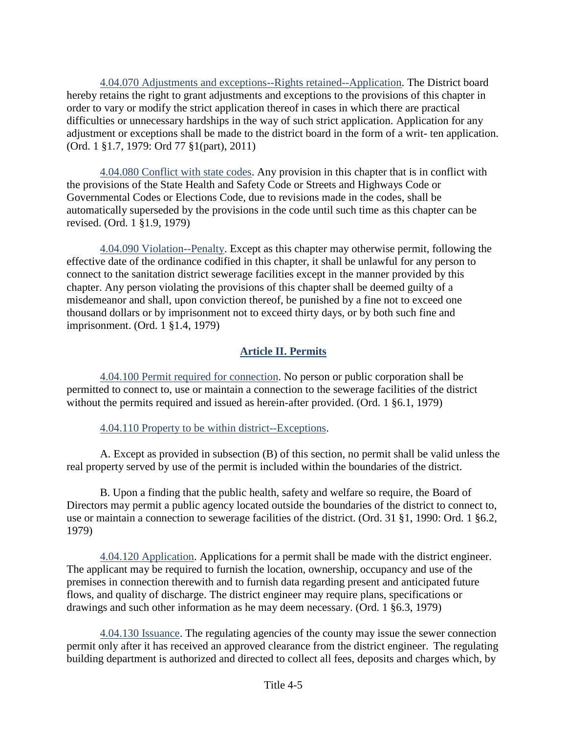4.04.070 Adjustments and exceptions--Rights retained--Application. The District board hereby retains the right to grant adjustments and exceptions to the provisions of this chapter in order to vary or modify the strict application thereof in cases in which there are practical difficulties or unnecessary hardships in the way of such strict application. Application for any adjustment or exceptions shall be made to the district board in the form of a writ- ten application. (Ord. 1 §1.7, 1979: Ord 77 §1(part), 2011)

4.04.080 Conflict with state codes. Any provision in this chapter that is in conflict with the provisions of the State Health and Safety Code or Streets and Highways Code or Governmental Codes or Elections Code, due to revisions made in the codes, shall be automatically superseded by the provisions in the code until such time as this chapter can be revised. (Ord. 1 §1.9, 1979)

4.04.090 Violation--Penalty. Except as this chapter may otherwise permit, following the effective date of the ordinance codified in this chapter, it shall be unlawful for any person to connect to the sanitation district sewerage facilities except in the manner provided by this chapter. Any person violating the provisions of this chapter shall be deemed guilty of a misdemeanor and shall, upon conviction thereof, be punished by a fine not to exceed one thousand dollars or by imprisonment not to exceed thirty days, or by both such fine and imprisonment. (Ord. 1 §1.4, 1979)

## **Article II. Permits**

4.04.100 Permit required for connection. No person or public corporation shall be permitted to connect to, use or maintain a connection to the sewerage facilities of the district without the permits required and issued as herein-after provided. (Ord. 1 §6.1, 1979)

4.04.110 Property to be within district--Exceptions.

A. Except as provided in subsection (B) of this section, no permit shall be valid unless the real property served by use of the permit is included within the boundaries of the district.

B. Upon a finding that the public health, safety and welfare so require, the Board of Directors may permit a public agency located outside the boundaries of the district to connect to, use or maintain a connection to sewerage facilities of the district. (Ord. 31 §1, 1990: Ord. 1 §6.2, 1979)

4.04.120 Application. Applications for a permit shall be made with the district engineer. The applicant may be required to furnish the location, ownership, occupancy and use of the premises in connection therewith and to furnish data regarding present and anticipated future flows, and quality of discharge. The district engineer may require plans, specifications or drawings and such other information as he may deem necessary. (Ord. 1 §6.3, 1979)

4.04.130 Issuance. The regulating agencies of the county may issue the sewer connection permit only after it has received an approved clearance from the district engineer. The regulating building department is authorized and directed to collect all fees, deposits and charges which, by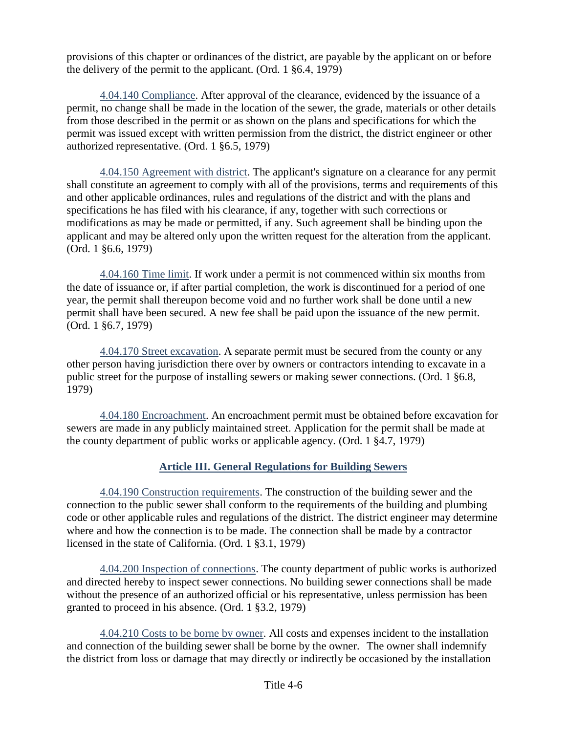provisions of this chapter or ordinances of the district, are payable by the applicant on or before the delivery of the permit to the applicant. (Ord. 1 §6.4, 1979)

4.04.140 Compliance. After approval of the clearance, evidenced by the issuance of a permit, no change shall be made in the location of the sewer, the grade, materials or other details from those described in the permit or as shown on the plans and specifications for which the permit was issued except with written permission from the district, the district engineer or other authorized representative. (Ord. 1 §6.5, 1979)

4.04.150 Agreement with district. The applicant's signature on a clearance for any permit shall constitute an agreement to comply with all of the provisions, terms and requirements of this and other applicable ordinances, rules and regulations of the district and with the plans and specifications he has filed with his clearance, if any, together with such corrections or modifications as may be made or permitted, if any. Such agreement shall be binding upon the applicant and may be altered only upon the written request for the alteration from the applicant. (Ord. 1 §6.6, 1979)

4.04.160 Time limit. If work under a permit is not commenced within six months from the date of issuance or, if after partial completion, the work is discontinued for a period of one year, the permit shall thereupon become void and no further work shall be done until a new permit shall have been secured. A new fee shall be paid upon the issuance of the new permit. (Ord. 1 §6.7, 1979)

4.04.170 Street excavation. A separate permit must be secured from the county or any other person having jurisdiction there over by owners or contractors intending to excavate in a public street for the purpose of installing sewers or making sewer connections. (Ord. 1 §6.8, 1979)

4.04.180 Encroachment. An encroachment permit must be obtained before excavation for sewers are made in any publicly maintained street. Application for the permit shall be made at the county department of public works or applicable agency. (Ord. 1 §4.7, 1979)

## **Article III. General Regulations for Building Sewers**

4.04.190 Construction requirements. The construction of the building sewer and the connection to the public sewer shall conform to the requirements of the building and plumbing code or other applicable rules and regulations of the district. The district engineer may determine where and how the connection is to be made. The connection shall be made by a contractor licensed in the state of California. (Ord. 1 §3.1, 1979)

4.04.200 Inspection of connections. The county department of public works is authorized and directed hereby to inspect sewer connections. No building sewer connections shall be made without the presence of an authorized official or his representative, unless permission has been granted to proceed in his absence. (Ord. 1 §3.2, 1979)

4.04.210 Costs to be borne by owner. All costs and expenses incident to the installation and connection of the building sewer shall be borne by the owner. The owner shall indemnify the district from loss or damage that may directly or indirectly be occasioned by the installation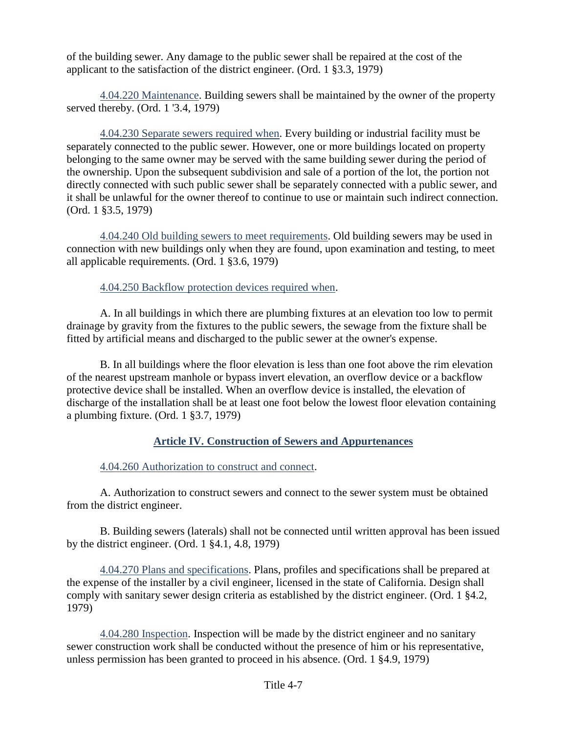of the building sewer. Any damage to the public sewer shall be repaired at the cost of the applicant to the satisfaction of the district engineer. (Ord. 1 §3.3, 1979)

4.04.220 Maintenance. Building sewers shall be maintained by the owner of the property served thereby. (Ord. 1 '3.4, 1979)

4.04.230 Separate sewers required when. Every building or industrial facility must be separately connected to the public sewer. However, one or more buildings located on property belonging to the same owner may be served with the same building sewer during the period of the ownership. Upon the subsequent subdivision and sale of a portion of the lot, the portion not directly connected with such public sewer shall be separately connected with a public sewer, and it shall be unlawful for the owner thereof to continue to use or maintain such indirect connection. (Ord. 1 §3.5, 1979)

4.04.240 Old building sewers to meet requirements. Old building sewers may be used in connection with new buildings only when they are found, upon examination and testing, to meet all applicable requirements. (Ord. 1 §3.6, 1979)

4.04.250 Backflow protection devices required when.

A. In all buildings in which there are plumbing fixtures at an elevation too low to permit drainage by gravity from the fixtures to the public sewers, the sewage from the fixture shall be fitted by artificial means and discharged to the public sewer at the owner's expense.

B. In all buildings where the floor elevation is less than one foot above the rim elevation of the nearest upstream manhole or bypass invert elevation, an overflow device or a backflow protective device shall be installed. When an overflow device is installed, the elevation of discharge of the installation shall be at least one foot below the lowest floor elevation containing a plumbing fixture. (Ord. 1 §3.7, 1979)

## **Article IV. Construction of Sewers and Appurtenances**

4.04.260 Authorization to construct and connect.

A. Authorization to construct sewers and connect to the sewer system must be obtained from the district engineer.

B. Building sewers (laterals) shall not be connected until written approval has been issued by the district engineer. (Ord. 1 §4.1, 4.8, 1979)

4.04.270 Plans and specifications. Plans, profiles and specifications shall be prepared at the expense of the installer by a civil engineer, licensed in the state of California. Design shall comply with sanitary sewer design criteria as established by the district engineer. (Ord. 1 §4.2, 1979)

4.04.280 Inspection. Inspection will be made by the district engineer and no sanitary sewer construction work shall be conducted without the presence of him or his representative, unless permission has been granted to proceed in his absence. (Ord. 1 §4.9, 1979)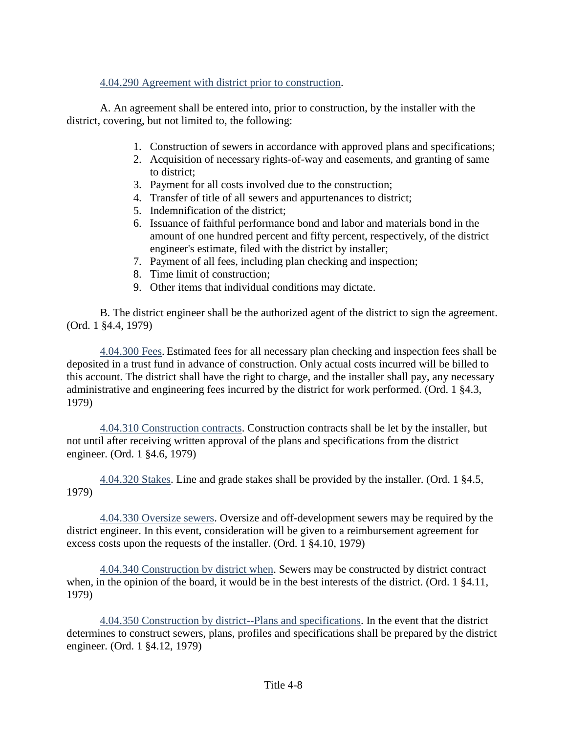## 4.04.290 Agreement with district prior to construction.

A. An agreement shall be entered into, prior to construction, by the installer with the district, covering, but not limited to, the following:

- 1. Construction of sewers in accordance with approved plans and specifications;
- 2. Acquisition of necessary rights-of-way and easements, and granting of same to district;
- 3. Payment for all costs involved due to the construction;
- 4. Transfer of title of all sewers and appurtenances to district;
- 5. Indemnification of the district;
- 6. Issuance of faithful performance bond and labor and materials bond in the amount of one hundred percent and fifty percent, respectively, of the district engineer's estimate, filed with the district by installer;
- 7. Payment of all fees, including plan checking and inspection;
- 8. Time limit of construction;
- 9. Other items that individual conditions may dictate.

B. The district engineer shall be the authorized agent of the district to sign the agreement. (Ord. 1 §4.4, 1979)

4.04.300 Fees. Estimated fees for all necessary plan checking and inspection fees shall be deposited in a trust fund in advance of construction. Only actual costs incurred will be billed to this account. The district shall have the right to charge, and the installer shall pay, any necessary administrative and engineering fees incurred by the district for work performed. (Ord. 1 §4.3, 1979)

4.04.310 Construction contracts. Construction contracts shall be let by the installer, but not until after receiving written approval of the plans and specifications from the district engineer. (Ord. 1 §4.6, 1979)

4.04.320 Stakes. Line and grade stakes shall be provided by the installer. (Ord. 1 §4.5, 1979)

4.04.330 Oversize sewers. Oversize and off-development sewers may be required by the district engineer. In this event, consideration will be given to a reimbursement agreement for excess costs upon the requests of the installer. (Ord. 1 §4.10, 1979)

4.04.340 Construction by district when. Sewers may be constructed by district contract when, in the opinion of the board, it would be in the best interests of the district. (Ord. 1  $\S 4.11$ , 1979)

4.04.350 Construction by district--Plans and specifications. In the event that the district determines to construct sewers, plans, profiles and specifications shall be prepared by the district engineer. (Ord. 1 §4.12, 1979)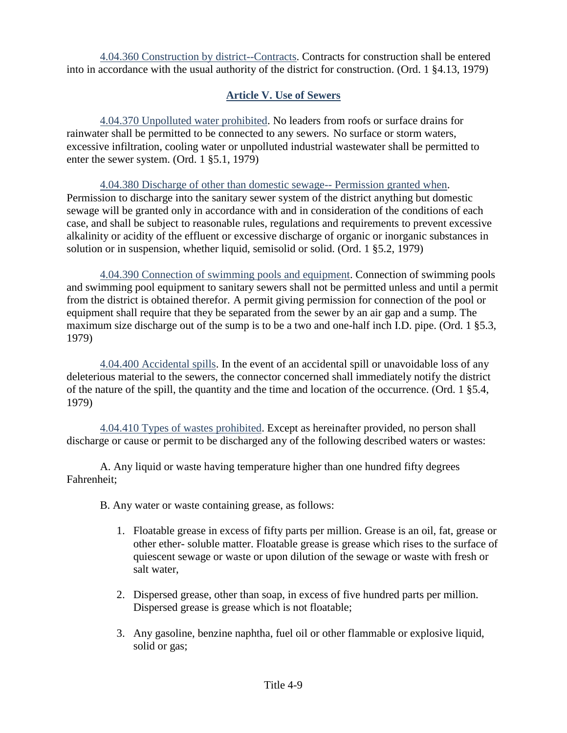4.04.360 Construction by district--Contracts. Contracts for construction shall be entered into in accordance with the usual authority of the district for construction. (Ord. 1 §4.13, 1979)

## **Article V. Use of Sewers**

4.04.370 Unpolluted water prohibited. No leaders from roofs or surface drains for rainwater shall be permitted to be connected to any sewers. No surface or storm waters, excessive infiltration, cooling water or unpolluted industrial wastewater shall be permitted to enter the sewer system. (Ord. 1 §5.1, 1979)

4.04.380 Discharge of other than domestic sewage-- Permission granted when. Permission to discharge into the sanitary sewer system of the district anything but domestic sewage will be granted only in accordance with and in consideration of the conditions of each case, and shall be subject to reasonable rules, regulations and requirements to prevent excessive alkalinity or acidity of the effluent or excessive discharge of organic or inorganic substances in solution or in suspension, whether liquid, semisolid or solid. (Ord. 1 §5.2, 1979)

4.04.390 Connection of swimming pools and equipment. Connection of swimming pools and swimming pool equipment to sanitary sewers shall not be permitted unless and until a permit from the district is obtained therefor. A permit giving permission for connection of the pool or equipment shall require that they be separated from the sewer by an air gap and a sump. The maximum size discharge out of the sump is to be a two and one-half inch I.D. pipe. (Ord. 1 §5.3, 1979)

4.04.400 Accidental spills. In the event of an accidental spill or unavoidable loss of any deleterious material to the sewers, the connector concerned shall immediately notify the district of the nature of the spill, the quantity and the time and location of the occurrence. (Ord. 1 §5.4, 1979)

4.04.410 Types of wastes prohibited. Except as hereinafter provided, no person shall discharge or cause or permit to be discharged any of the following described waters or wastes:

A. Any liquid or waste having temperature higher than one hundred fifty degrees Fahrenheit;

B. Any water or waste containing grease, as follows:

- 1. Floatable grease in excess of fifty parts per million. Grease is an oil, fat, grease or other ether- soluble matter. Floatable grease is grease which rises to the surface of quiescent sewage or waste or upon dilution of the sewage or waste with fresh or salt water,
- 2. Dispersed grease, other than soap, in excess of five hundred parts per million. Dispersed grease is grease which is not floatable;
- 3. Any gasoline, benzine naphtha, fuel oil or other flammable or explosive liquid, solid or gas;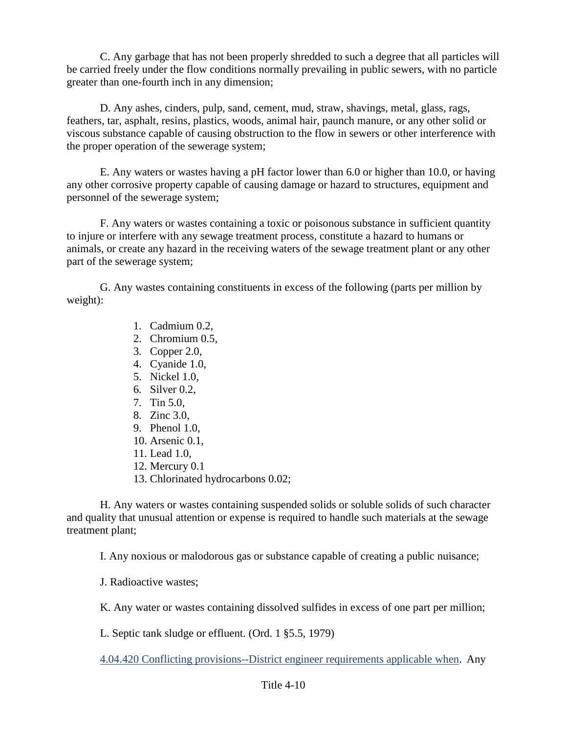C. Any garbage that has not been properly shredded to such a degree that all particles will be carried freely under the flow conditions normally prevailing in public sewers, with no particle greater than one-fourth inch in any dimension;

D. Any ashes, cinders, pulp, sand, cement, mud, straw, shavings, metal, glass, rags, feathers, tar, asphalt, resins, plastics, woods, animal hair, paunch manure, or any other solid or viscous substance capable of causing obstruction to the flow in sewers or other interference with the proper operation of the sewerage system;

E. Any waters or wastes having a pH factor lower than 6.0 or higher than 10.0, or having any other corrosive property capable of causing damage or hazard to structures, equipment and personnel of the sewerage system;

F. Any waters or wastes containing a toxic or poisonous substance in sufficient quantity to injure or interfere with any sewage treatment process, constitute a hazard to humans or animals, or create any hazard in the receiving waters of the sewage treatment plant or any other part of the sewerage system;

G. Any wastes containing constituents in excess of the following (parts per million by weight):

- 1. Cadmium 0.2,
- 2. Chromium 0.5,
- 3. Copper 2.0,
- 4. Cyanide 1.0,
- 5. Nickel 1.0,
- 6. Silver 0.2,
- 7. Tin 5.0,
- 8. Zinc 3.0,
- 9. Phenol 1.0,
- 10. Arsenic 0.1,
- 11. Lead 1.0,
- 12. Mercury 0.1
- 13. Chlorinated hydrocarbons 0.02;

H. Any waters or wastes containing suspended solids or soluble solids of such character and quality that unusual attention or expense is required to handle such materials at the sewage treatment plant;

I. Any noxious or malodorous gas or substance capable of creating a public nuisance;

J. Radioactive wastes;

K. Any water or wastes containing dissolved sulfides in excess of one part per million;

L. Septic tank sludge or effluent. (Ord. 1 §5.5, 1979)

4.04.420 Conflicting provisions--District engineer requirements applicable when. Any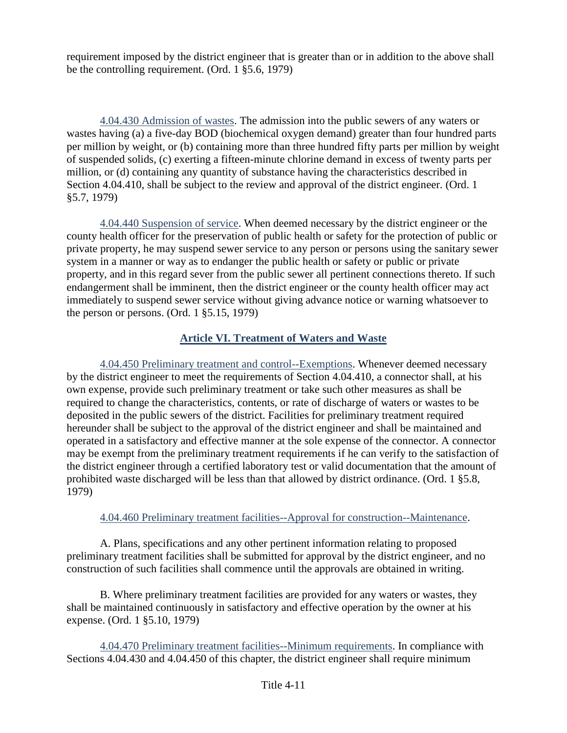requirement imposed by the district engineer that is greater than or in addition to the above shall be the controlling requirement. (Ord. 1 §5.6, 1979)

4.04.430 Admission of wastes. The admission into the public sewers of any waters or wastes having (a) a five-day BOD (biochemical oxygen demand) greater than four hundred parts per million by weight, or (b) containing more than three hundred fifty parts per million by weight of suspended solids, (c) exerting a fifteen-minute chlorine demand in excess of twenty parts per million, or (d) containing any quantity of substance having the characteristics described in Section 4.04.410, shall be subject to the review and approval of the district engineer. (Ord. 1 §5.7, 1979)

4.04.440 Suspension of service. When deemed necessary by the district engineer or the county health officer for the preservation of public health or safety for the protection of public or private property, he may suspend sewer service to any person or persons using the sanitary sewer system in a manner or way as to endanger the public health or safety or public or private property, and in this regard sever from the public sewer all pertinent connections thereto. If such endangerment shall be imminent, then the district engineer or the county health officer may act immediately to suspend sewer service without giving advance notice or warning whatsoever to the person or persons. (Ord. 1 §5.15, 1979)

## **Article VI. Treatment of Waters and Waste**

4.04.450 Preliminary treatment and control--Exemptions. Whenever deemed necessary by the district engineer to meet the requirements of Section 4.04.410, a connector shall, at his own expense, provide such preliminary treatment or take such other measures as shall be required to change the characteristics, contents, or rate of discharge of waters or wastes to be deposited in the public sewers of the district. Facilities for preliminary treatment required hereunder shall be subject to the approval of the district engineer and shall be maintained and operated in a satisfactory and effective manner at the sole expense of the connector. A connector may be exempt from the preliminary treatment requirements if he can verify to the satisfaction of the district engineer through a certified laboratory test or valid documentation that the amount of prohibited waste discharged will be less than that allowed by district ordinance. (Ord. 1 §5.8, 1979)

## 4.04.460 Preliminary treatment facilities--Approval for construction--Maintenance.

A. Plans, specifications and any other pertinent information relating to proposed preliminary treatment facilities shall be submitted for approval by the district engineer, and no construction of such facilities shall commence until the approvals are obtained in writing.

B. Where preliminary treatment facilities are provided for any waters or wastes, they shall be maintained continuously in satisfactory and effective operation by the owner at his expense. (Ord. 1 §5.10, 1979)

4.04.470 Preliminary treatment facilities--Minimum requirements. In compliance with Sections 4.04.430 and 4.04.450 of this chapter, the district engineer shall require minimum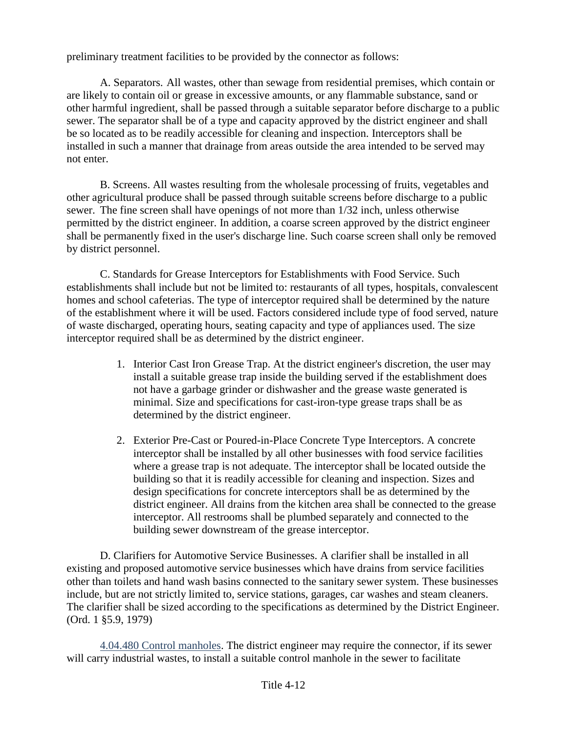preliminary treatment facilities to be provided by the connector as follows:

A. Separators. All wastes, other than sewage from residential premises, which contain or are likely to contain oil or grease in excessive amounts, or any flammable substance, sand or other harmful ingredient, shall be passed through a suitable separator before discharge to a public sewer. The separator shall be of a type and capacity approved by the district engineer and shall be so located as to be readily accessible for cleaning and inspection. Interceptors shall be installed in such a manner that drainage from areas outside the area intended to be served may not enter.

B. Screens. All wastes resulting from the wholesale processing of fruits, vegetables and other agricultural produce shall be passed through suitable screens before discharge to a public sewer. The fine screen shall have openings of not more than 1/32 inch, unless otherwise permitted by the district engineer. In addition, a coarse screen approved by the district engineer shall be permanently fixed in the user's discharge line. Such coarse screen shall only be removed by district personnel.

C. Standards for Grease Interceptors for Establishments with Food Service. Such establishments shall include but not be limited to: restaurants of all types, hospitals, convalescent homes and school cafeterias. The type of interceptor required shall be determined by the nature of the establishment where it will be used. Factors considered include type of food served, nature of waste discharged, operating hours, seating capacity and type of appliances used. The size interceptor required shall be as determined by the district engineer.

- 1. Interior Cast Iron Grease Trap. At the district engineer's discretion, the user may install a suitable grease trap inside the building served if the establishment does not have a garbage grinder or dishwasher and the grease waste generated is minimal. Size and specifications for cast-iron-type grease traps shall be as determined by the district engineer.
- 2. Exterior Pre-Cast or Poured-in-Place Concrete Type Interceptors. A concrete interceptor shall be installed by all other businesses with food service facilities where a grease trap is not adequate. The interceptor shall be located outside the building so that it is readily accessible for cleaning and inspection. Sizes and design specifications for concrete interceptors shall be as determined by the district engineer. All drains from the kitchen area shall be connected to the grease interceptor. All restrooms shall be plumbed separately and connected to the building sewer downstream of the grease interceptor.

D. Clarifiers for Automotive Service Businesses. A clarifier shall be installed in all existing and proposed automotive service businesses which have drains from service facilities other than toilets and hand wash basins connected to the sanitary sewer system. These businesses include, but are not strictly limited to, service stations, garages, car washes and steam cleaners. The clarifier shall be sized according to the specifications as determined by the District Engineer. (Ord. 1 §5.9, 1979)

4.04.480 Control manholes. The district engineer may require the connector, if its sewer will carry industrial wastes, to install a suitable control manhole in the sewer to facilitate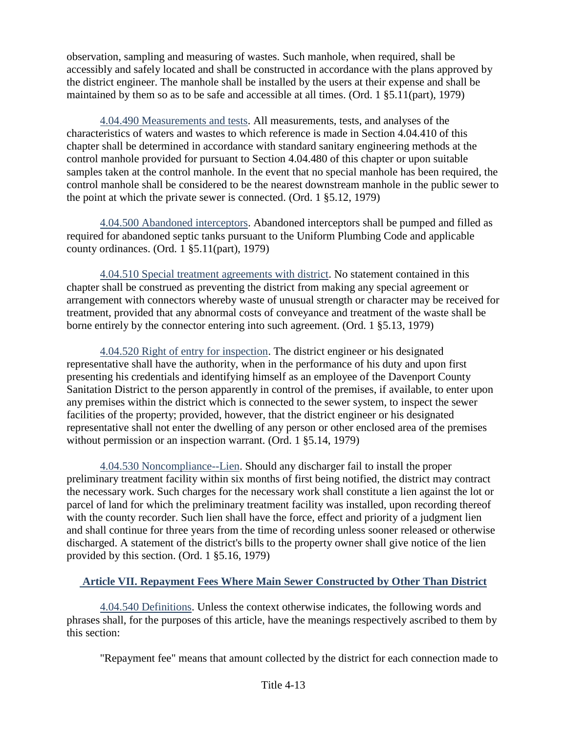observation, sampling and measuring of wastes. Such manhole, when required, shall be accessibly and safely located and shall be constructed in accordance with the plans approved by the district engineer. The manhole shall be installed by the users at their expense and shall be maintained by them so as to be safe and accessible at all times. (Ord. 1 §5.11(part), 1979)

4.04.490 Measurements and tests. All measurements, tests, and analyses of the characteristics of waters and wastes to which reference is made in Section 4.04.410 of this chapter shall be determined in accordance with standard sanitary engineering methods at the control manhole provided for pursuant to Section 4.04.480 of this chapter or upon suitable samples taken at the control manhole. In the event that no special manhole has been required, the control manhole shall be considered to be the nearest downstream manhole in the public sewer to the point at which the private sewer is connected. (Ord. 1 §5.12, 1979)

4.04.500 Abandoned interceptors. Abandoned interceptors shall be pumped and filled as required for abandoned septic tanks pursuant to the Uniform Plumbing Code and applicable county ordinances. (Ord. 1 §5.11(part), 1979)

4.04.510 Special treatment agreements with district. No statement contained in this chapter shall be construed as preventing the district from making any special agreement or arrangement with connectors whereby waste of unusual strength or character may be received for treatment, provided that any abnormal costs of conveyance and treatment of the waste shall be borne entirely by the connector entering into such agreement. (Ord. 1 §5.13, 1979)

4.04.520 Right of entry for inspection. The district engineer or his designated representative shall have the authority, when in the performance of his duty and upon first presenting his credentials and identifying himself as an employee of the Davenport County Sanitation District to the person apparently in control of the premises, if available, to enter upon any premises within the district which is connected to the sewer system, to inspect the sewer facilities of the property; provided, however, that the district engineer or his designated representative shall not enter the dwelling of any person or other enclosed area of the premises without permission or an inspection warrant. (Ord. 1  $\S 5.14$ , 1979)

4.04.530 Noncompliance--Lien. Should any discharger fail to install the proper preliminary treatment facility within six months of first being notified, the district may contract the necessary work. Such charges for the necessary work shall constitute a lien against the lot or parcel of land for which the preliminary treatment facility was installed, upon recording thereof with the county recorder. Such lien shall have the force, effect and priority of a judgment lien and shall continue for three years from the time of recording unless sooner released or otherwise discharged. A statement of the district's bills to the property owner shall give notice of the lien provided by this section. (Ord. 1 §5.16, 1979)

## **Article VII. Repayment Fees Where Main Sewer Constructed by Other Than District**

4.04.540 Definitions. Unless the context otherwise indicates, the following words and phrases shall, for the purposes of this article, have the meanings respectively ascribed to them by this section:

"Repayment fee" means that amount collected by the district for each connection made to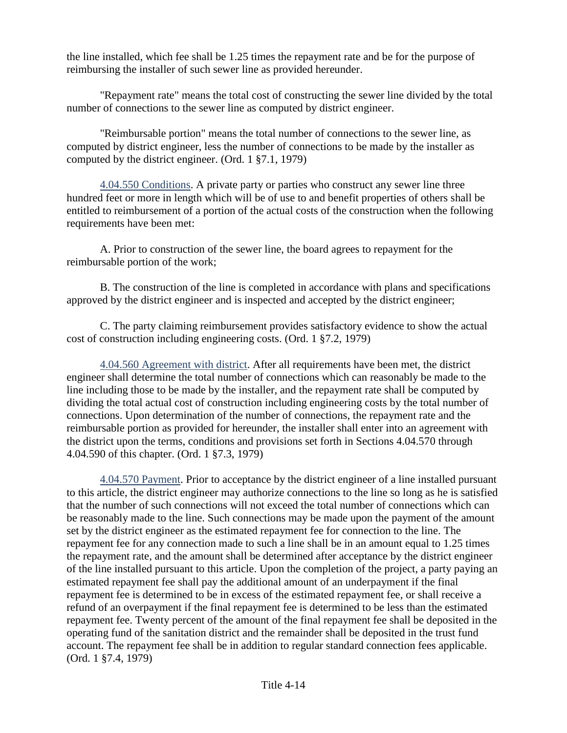the line installed, which fee shall be 1.25 times the repayment rate and be for the purpose of reimbursing the installer of such sewer line as provided hereunder.

"Repayment rate" means the total cost of constructing the sewer line divided by the total number of connections to the sewer line as computed by district engineer.

"Reimbursable portion" means the total number of connections to the sewer line, as computed by district engineer, less the number of connections to be made by the installer as computed by the district engineer. (Ord. 1 §7.1, 1979)

4.04.550 Conditions. A private party or parties who construct any sewer line three hundred feet or more in length which will be of use to and benefit properties of others shall be entitled to reimbursement of a portion of the actual costs of the construction when the following requirements have been met:

A. Prior to construction of the sewer line, the board agrees to repayment for the reimbursable portion of the work;

B. The construction of the line is completed in accordance with plans and specifications approved by the district engineer and is inspected and accepted by the district engineer;

C. The party claiming reimbursement provides satisfactory evidence to show the actual cost of construction including engineering costs. (Ord. 1 §7.2, 1979)

4.04.560 Agreement with district. After all requirements have been met, the district engineer shall determine the total number of connections which can reasonably be made to the line including those to be made by the installer, and the repayment rate shall be computed by dividing the total actual cost of construction including engineering costs by the total number of connections. Upon determination of the number of connections, the repayment rate and the reimbursable portion as provided for hereunder, the installer shall enter into an agreement with the district upon the terms, conditions and provisions set forth in Sections 4.04.570 through 4.04.590 of this chapter. (Ord. 1 §7.3, 1979)

4.04.570 Payment. Prior to acceptance by the district engineer of a line installed pursuant to this article, the district engineer may authorize connections to the line so long as he is satisfied that the number of such connections will not exceed the total number of connections which can be reasonably made to the line. Such connections may be made upon the payment of the amount set by the district engineer as the estimated repayment fee for connection to the line. The repayment fee for any connection made to such a line shall be in an amount equal to 1.25 times the repayment rate, and the amount shall be determined after acceptance by the district engineer of the line installed pursuant to this article. Upon the completion of the project, a party paying an estimated repayment fee shall pay the additional amount of an underpayment if the final repayment fee is determined to be in excess of the estimated repayment fee, or shall receive a refund of an overpayment if the final repayment fee is determined to be less than the estimated repayment fee. Twenty percent of the amount of the final repayment fee shall be deposited in the operating fund of the sanitation district and the remainder shall be deposited in the trust fund account. The repayment fee shall be in addition to regular standard connection fees applicable. (Ord. 1 §7.4, 1979)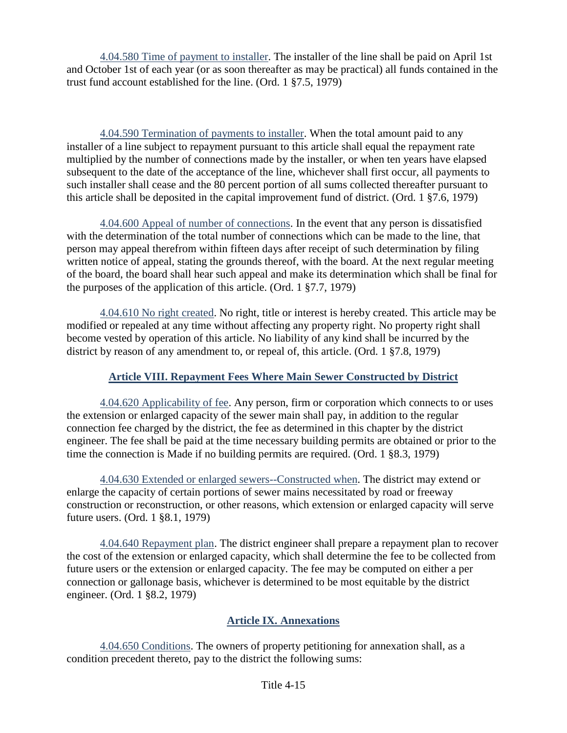4.04.580 Time of payment to installer. The installer of the line shall be paid on April 1st and October 1st of each year (or as soon thereafter as may be practical) all funds contained in the trust fund account established for the line. (Ord. 1 §7.5, 1979)

4.04.590 Termination of payments to installer. When the total amount paid to any installer of a line subject to repayment pursuant to this article shall equal the repayment rate multiplied by the number of connections made by the installer, or when ten years have elapsed subsequent to the date of the acceptance of the line, whichever shall first occur, all payments to such installer shall cease and the 80 percent portion of all sums collected thereafter pursuant to this article shall be deposited in the capital improvement fund of district. (Ord. 1 §7.6, 1979)

4.04.600 Appeal of number of connections. In the event that any person is dissatisfied with the determination of the total number of connections which can be made to the line, that person may appeal therefrom within fifteen days after receipt of such determination by filing written notice of appeal, stating the grounds thereof, with the board. At the next regular meeting of the board, the board shall hear such appeal and make its determination which shall be final for the purposes of the application of this article. (Ord. 1 §7.7, 1979)

4.04.610 No right created. No right, title or interest is hereby created. This article may be modified or repealed at any time without affecting any property right. No property right shall become vested by operation of this article. No liability of any kind shall be incurred by the district by reason of any amendment to, or repeal of, this article. (Ord. 1 §7.8, 1979)

## **Article VIII. Repayment Fees Where Main Sewer Constructed by District**

4.04.620 Applicability of fee. Any person, firm or corporation which connects to or uses the extension or enlarged capacity of the sewer main shall pay, in addition to the regular connection fee charged by the district, the fee as determined in this chapter by the district engineer. The fee shall be paid at the time necessary building permits are obtained or prior to the time the connection is Made if no building permits are required. (Ord. 1 §8.3, 1979)

4.04.630 Extended or enlarged sewers--Constructed when. The district may extend or enlarge the capacity of certain portions of sewer mains necessitated by road or freeway construction or reconstruction, or other reasons, which extension or enlarged capacity will serve future users. (Ord. 1 §8.1, 1979)

4.04.640 Repayment plan. The district engineer shall prepare a repayment plan to recover the cost of the extension or enlarged capacity, which shall determine the fee to be collected from future users or the extension or enlarged capacity. The fee may be computed on either a per connection or gallonage basis, whichever is determined to be most equitable by the district engineer. (Ord. 1 §8.2, 1979)

## **Article IX. Annexations**

4.04.650 Conditions. The owners of property petitioning for annexation shall, as a condition precedent thereto, pay to the district the following sums: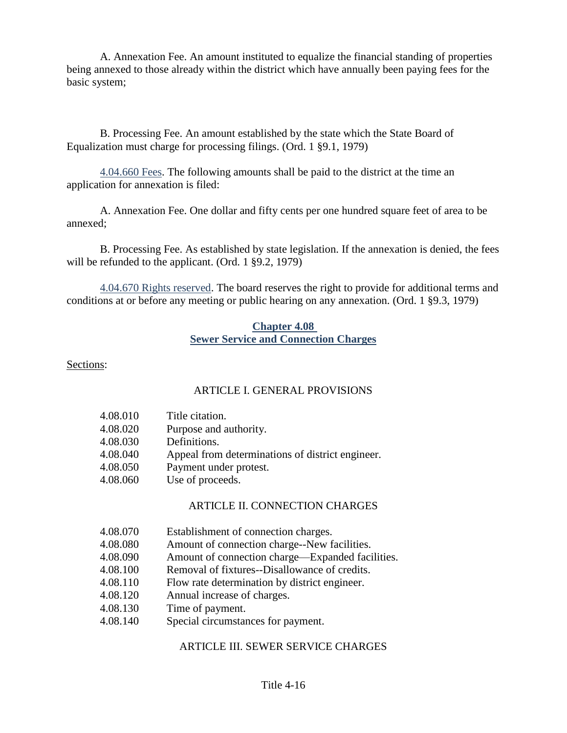A. Annexation Fee. An amount instituted to equalize the financial standing of properties being annexed to those already within the district which have annually been paying fees for the basic system;

B. Processing Fee. An amount established by the state which the State Board of Equalization must charge for processing filings. (Ord. 1 §9.1, 1979)

4.04.660 Fees. The following amounts shall be paid to the district at the time an application for annexation is filed:

A. Annexation Fee. One dollar and fifty cents per one hundred square feet of area to be annexed;

B. Processing Fee. As established by state legislation. If the annexation is denied, the fees will be refunded to the applicant. (Ord. 1 §9.2, 1979)

4.04.670 Rights reserved. The board reserves the right to provide for additional terms and conditions at or before any meeting or public hearing on any annexation. (Ord. 1 §9.3, 1979)

### **Chapter 4.08 Sewer Service and Connection Charges**

Sections:

## ARTICLE I. GENERAL PROVISIONS

| 4.08.010 | Title citation.                                  |
|----------|--------------------------------------------------|
| 4.08.020 | Purpose and authority.                           |
| 4.08.030 | Definitions.                                     |
| 4.08.040 | Appeal from determinations of district engineer. |
| 4.08.050 | Payment under protest.                           |
| 4.08.060 | Use of proceeds.                                 |
|          |                                                  |

## ARTICLE II. CONNECTION CHARGES

| 4.08.070 | Establishment of connection charges. |
|----------|--------------------------------------|
|----------|--------------------------------------|

- 4.08.080 Amount of connection charge--New facilities.
- 4.08.090 Amount of connection charge—Expanded facilities.
- 4.08.100 Removal of fixtures--Disallowance of credits.
- 4.08.110 Flow rate determination by district engineer.
- 4.08.120 Annual increase of charges.
- 4.08.130 Time of payment.
- 4.08.140 Special circumstances for payment.

## ARTICLE III. SEWER SERVICE CHARGES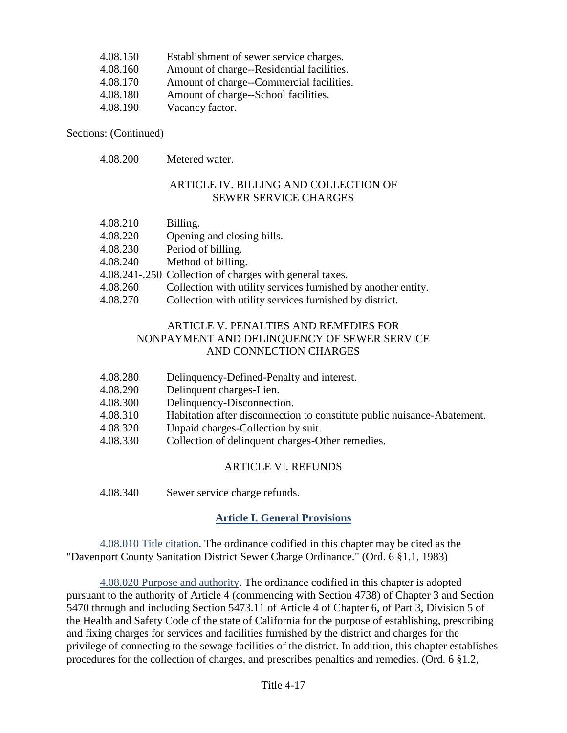| 4.08.150 | Establishment of sewer service charges.   |
|----------|-------------------------------------------|
| 4.08.160 | Amount of charge--Residential facilities. |
| 4.08.170 | Amount of charge--Commercial facilities.  |
| 4.08.180 | Amount of charge--School facilities.      |
| 4.08.190 | Vacancy factor.                           |

Sections: (Continued)

4.08.200 Metered water.

#### ARTICLE IV. BILLING AND COLLECTION OF SEWER SERVICE CHARGES

- 4.08.210 Billing.
- 4.08.220 Opening and closing bills.
- 4.08.230 Period of billing.
- 4.08.240 Method of billing.
- 4.08.241-.250 Collection of charges with general taxes.
- 4.08.260 Collection with utility services furnished by another entity.
- 4.08.270 Collection with utility services furnished by district.

### ARTICLE V. PENALTIES AND REMEDIES FOR NONPAYMENT AND DELINQUENCY OF SEWER SERVICE AND CONNECTION CHARGES

- 4.08.280 Delinquency-Defined-Penalty and interest.
- 4.08.290 Delinquent charges-Lien.
- 4.08.300 Delinquency-Disconnection.
- 4.08.310 Habitation after disconnection to constitute public nuisance-Abatement.
- 4.08.320 Unpaid charges-Collection by suit.
- 4.08.330 Collection of delinquent charges-Other remedies.

#### ARTICLE VI. REFUNDS

4.08.340 Sewer service charge refunds.

## **Article I. General Provisions**

4.08.010 Title citation. The ordinance codified in this chapter may be cited as the "Davenport County Sanitation District Sewer Charge Ordinance." (Ord. 6 §1.1, 1983)

4.08.020 Purpose and authority. The ordinance codified in this chapter is adopted pursuant to the authority of Article 4 (commencing with Section 4738) of Chapter 3 and Section 5470 through and including Section 5473.11 of Article 4 of Chapter 6, of Part 3, Division 5 of the Health and Safety Code of the state of California for the purpose of establishing, prescribing and fixing charges for services and facilities furnished by the district and charges for the privilege of connecting to the sewage facilities of the district. In addition, this chapter establishes procedures for the collection of charges, and prescribes penalties and remedies. (Ord. 6 §1.2,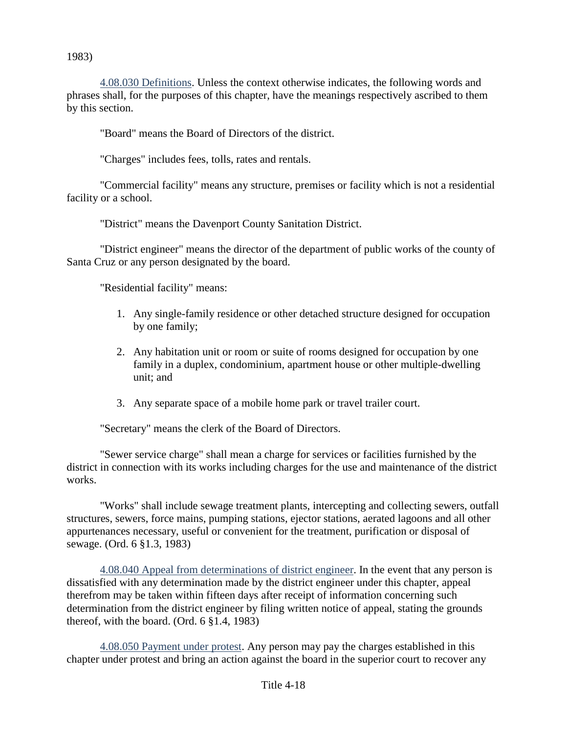1983)

4.08.030 Definitions. Unless the context otherwise indicates, the following words and phrases shall, for the purposes of this chapter, have the meanings respectively ascribed to them by this section.

"Board" means the Board of Directors of the district.

"Charges" includes fees, tolls, rates and rentals.

"Commercial facility" means any structure, premises or facility which is not a residential facility or a school.

"District" means the Davenport County Sanitation District.

"District engineer" means the director of the department of public works of the county of Santa Cruz or any person designated by the board.

"Residential facility" means:

- 1. Any single-family residence or other detached structure designed for occupation by one family;
- 2. Any habitation unit or room or suite of rooms designed for occupation by one family in a duplex, condominium, apartment house or other multiple-dwelling unit; and
- 3. Any separate space of a mobile home park or travel trailer court.

"Secretary" means the clerk of the Board of Directors.

"Sewer service charge" shall mean a charge for services or facilities furnished by the district in connection with its works including charges for the use and maintenance of the district works.

"Works" shall include sewage treatment plants, intercepting and collecting sewers, outfall structures, sewers, force mains, pumping stations, ejector stations, aerated lagoons and all other appurtenances necessary, useful or convenient for the treatment, purification or disposal of sewage. (Ord. 6 §1.3, 1983)

4.08.040 Appeal from determinations of district engineer. In the event that any person is dissatisfied with any determination made by the district engineer under this chapter, appeal therefrom may be taken within fifteen days after receipt of information concerning such determination from the district engineer by filing written notice of appeal, stating the grounds thereof, with the board. (Ord. 6 §1.4, 1983)

4.08.050 Payment under protest. Any person may pay the charges established in this chapter under protest and bring an action against the board in the superior court to recover any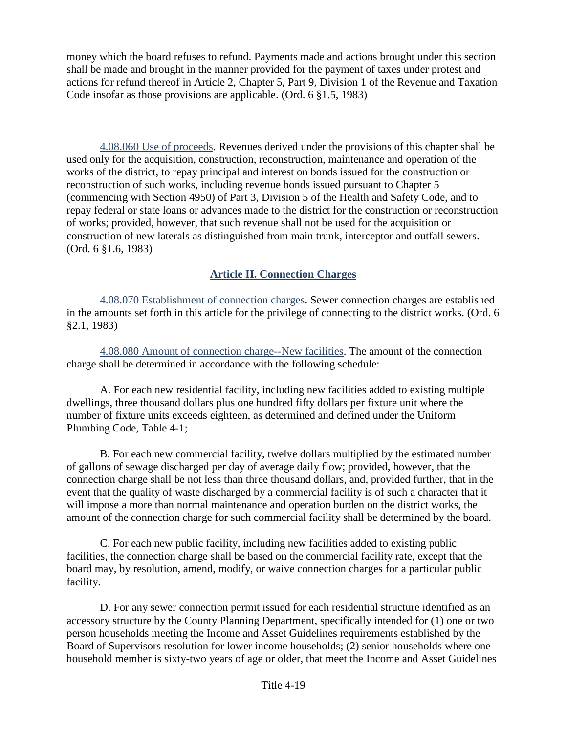money which the board refuses to refund. Payments made and actions brought under this section shall be made and brought in the manner provided for the payment of taxes under protest and actions for refund thereof in Article 2, Chapter 5, Part 9, Division 1 of the Revenue and Taxation Code insofar as those provisions are applicable. (Ord. 6 §1.5, 1983)

4.08.060 Use of proceeds. Revenues derived under the provisions of this chapter shall be used only for the acquisition, construction, reconstruction, maintenance and operation of the works of the district, to repay principal and interest on bonds issued for the construction or reconstruction of such works, including revenue bonds issued pursuant to Chapter 5 (commencing with Section 4950) of Part 3, Division 5 of the Health and Safety Code, and to repay federal or state loans or advances made to the district for the construction or reconstruction of works; provided, however, that such revenue shall not be used for the acquisition or construction of new laterals as distinguished from main trunk, interceptor and outfall sewers. (Ord. 6 §1.6, 1983)

## **Article II. Connection Charges**

4.08.070 Establishment of connection charges. Sewer connection charges are established in the amounts set forth in this article for the privilege of connecting to the district works. (Ord. 6 §2.1, 1983)

4.08.080 Amount of connection charge--New facilities. The amount of the connection charge shall be determined in accordance with the following schedule:

A. For each new residential facility, including new facilities added to existing multiple dwellings, three thousand dollars plus one hundred fifty dollars per fixture unit where the number of fixture units exceeds eighteen, as determined and defined under the Uniform Plumbing Code, Table 4-1;

B. For each new commercial facility, twelve dollars multiplied by the estimated number of gallons of sewage discharged per day of average daily flow; provided, however, that the connection charge shall be not less than three thousand dollars, and, provided further, that in the event that the quality of waste discharged by a commercial facility is of such a character that it will impose a more than normal maintenance and operation burden on the district works, the amount of the connection charge for such commercial facility shall be determined by the board.

C. For each new public facility, including new facilities added to existing public facilities, the connection charge shall be based on the commercial facility rate, except that the board may, by resolution, amend, modify, or waive connection charges for a particular public facility.

D. For any sewer connection permit issued for each residential structure identified as an accessory structure by the County Planning Department, specifically intended for (1) one or two person households meeting the Income and Asset Guidelines requirements established by the Board of Supervisors resolution for lower income households; (2) senior households where one household member is sixty-two years of age or older, that meet the Income and Asset Guidelines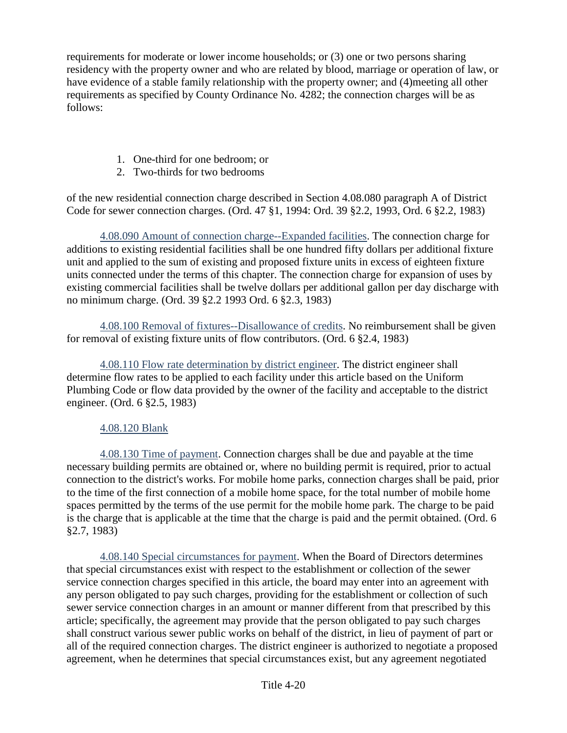requirements for moderate or lower income households; or (3) one or two persons sharing residency with the property owner and who are related by blood, marriage or operation of law, or have evidence of a stable family relationship with the property owner; and (4)meeting all other requirements as specified by County Ordinance No. 4282; the connection charges will be as follows:

- 1. One-third for one bedroom; or
- 2. Two-thirds for two bedrooms

of the new residential connection charge described in Section 4.08.080 paragraph A of District Code for sewer connection charges. (Ord. 47 §1, 1994: Ord. 39 §2.2, 1993, Ord. 6 §2.2, 1983)

4.08.090 Amount of connection charge--Expanded facilities. The connection charge for additions to existing residential facilities shall be one hundred fifty dollars per additional fixture unit and applied to the sum of existing and proposed fixture units in excess of eighteen fixture units connected under the terms of this chapter. The connection charge for expansion of uses by existing commercial facilities shall be twelve dollars per additional gallon per day discharge with no minimum charge. (Ord. 39 §2.2 1993 Ord. 6 §2.3, 1983)

4.08.100 Removal of fixtures--Disallowance of credits. No reimbursement shall be given for removal of existing fixture units of flow contributors. (Ord. 6 §2.4, 1983)

4.08.110 Flow rate determination by district engineer. The district engineer shall determine flow rates to be applied to each facility under this article based on the Uniform Plumbing Code or flow data provided by the owner of the facility and acceptable to the district engineer. (Ord. 6 §2.5, 1983)

## 4.08.120 Blank

4.08.130 Time of payment. Connection charges shall be due and payable at the time necessary building permits are obtained or, where no building permit is required, prior to actual connection to the district's works. For mobile home parks, connection charges shall be paid, prior to the time of the first connection of a mobile home space, for the total number of mobile home spaces permitted by the terms of the use permit for the mobile home park. The charge to be paid is the charge that is applicable at the time that the charge is paid and the permit obtained. (Ord. 6 §2.7, 1983)

4.08.140 Special circumstances for payment. When the Board of Directors determines that special circumstances exist with respect to the establishment or collection of the sewer service connection charges specified in this article, the board may enter into an agreement with any person obligated to pay such charges, providing for the establishment or collection of such sewer service connection charges in an amount or manner different from that prescribed by this article; specifically, the agreement may provide that the person obligated to pay such charges shall construct various sewer public works on behalf of the district, in lieu of payment of part or all of the required connection charges. The district engineer is authorized to negotiate a proposed agreement, when he determines that special circumstances exist, but any agreement negotiated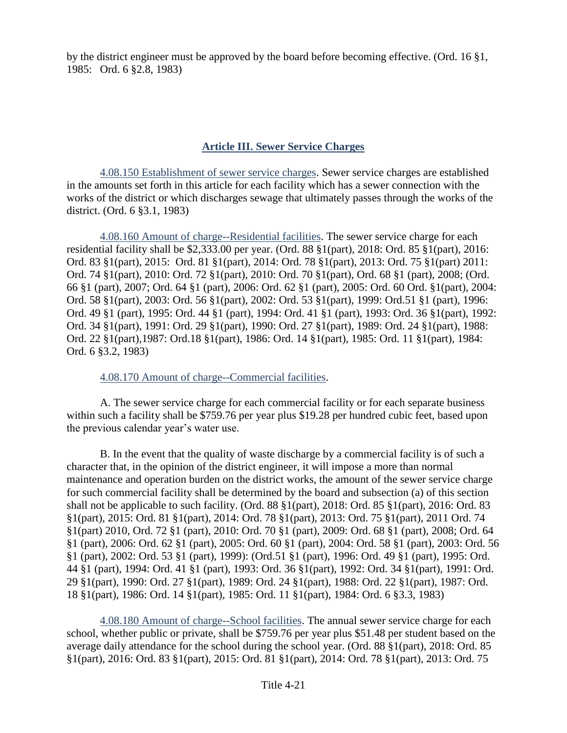by the district engineer must be approved by the board before becoming effective. (Ord. 16 §1, 1985: Ord. 6 §2.8, 1983)

## **Article III. Sewer Service Charges**

4.08.150 Establishment of sewer service charges. Sewer service charges are established in the amounts set forth in this article for each facility which has a sewer connection with the works of the district or which discharges sewage that ultimately passes through the works of the district. (Ord. 6 §3.1, 1983)

4.08.160 Amount of charge--Residential facilities. The sewer service charge for each residential facility shall be \$2,333.00 per year. (Ord. 88 §1(part), 2018: Ord. 85 §1(part), 2016: Ord. 83 §1(part), 2015: Ord. 81 §1(part), 2014: Ord. 78 §1(part), 2013: Ord. 75 §1(part) 2011: Ord. 74 §1(part), 2010: Ord. 72 §1(part), 2010: Ord. 70 §1(part), Ord. 68 §1 (part), 2008; (Ord. 66 §1 (part), 2007; Ord. 64 §1 (part), 2006: Ord. 62 §1 (part), 2005: Ord. 60 Ord. §1(part), 2004: Ord. 58 §1(part), 2003: Ord. 56 §1(part), 2002: Ord. 53 §1(part), 1999: Ord.51 §1 (part), 1996: Ord. 49 §1 (part), 1995: Ord. 44 §1 (part), 1994: Ord. 41 §1 (part), 1993: Ord. 36 §1(part), 1992: Ord. 34 §1(part), 1991: Ord. 29 §1(part), 1990: Ord. 27 §1(part), 1989: Ord. 24 §1(part), 1988: Ord. 22 §1(part),1987: Ord.18 §1(part), 1986: Ord. 14 §1(part), 1985: Ord. 11 §1(part), 1984: Ord. 6 §3.2, 1983)

4.08.170 Amount of charge--Commercial facilities.

A. The sewer service charge for each commercial facility or for each separate business within such a facility shall be \$759.76 per year plus \$19.28 per hundred cubic feet, based upon the previous calendar year's water use.

B. In the event that the quality of waste discharge by a commercial facility is of such a character that, in the opinion of the district engineer, it will impose a more than normal maintenance and operation burden on the district works, the amount of the sewer service charge for such commercial facility shall be determined by the board and subsection (a) of this section shall not be applicable to such facility. (Ord. 88 §1(part), 2018: Ord. 85 §1(part), 2016: Ord. 83 §1(part), 2015: Ord. 81 §1(part), 2014: Ord. 78 §1(part), 2013: Ord. 75 §1(part), 2011 Ord. 74 §1(part) 2010, Ord. 72 §1 (part), 2010: Ord. 70 §1 (part), 2009: Ord. 68 §1 (part), 2008; Ord. 64 §1 (part), 2006: Ord. 62 §1 (part), 2005: Ord. 60 §1 (part), 2004: Ord. 58 §1 (part), 2003: Ord. 56 §1 (part), 2002: Ord. 53 §1 (part), 1999): (Ord.51 §1 (part), 1996: Ord. 49 §1 (part), 1995: Ord. 44 §1 (part), 1994: Ord. 41 §1 (part), 1993: Ord. 36 §1(part), 1992: Ord. 34 §1(part), 1991: Ord. 29 §1(part), 1990: Ord. 27 §1(part), 1989: Ord. 24 §1(part), 1988: Ord. 22 §1(part), 1987: Ord. 18 §1(part), 1986: Ord. 14 §1(part), 1985: Ord. 11 §1(part), 1984: Ord. 6 §3.3, 1983)

4.08.180 Amount of charge--School facilities. The annual sewer service charge for each school, whether public or private, shall be \$759.76 per year plus \$51.48 per student based on the average daily attendance for the school during the school year. (Ord. 88 §1(part), 2018: Ord. 85 §1(part), 2016: Ord. 83 §1(part), 2015: Ord. 81 §1(part), 2014: Ord. 78 §1(part), 2013: Ord. 75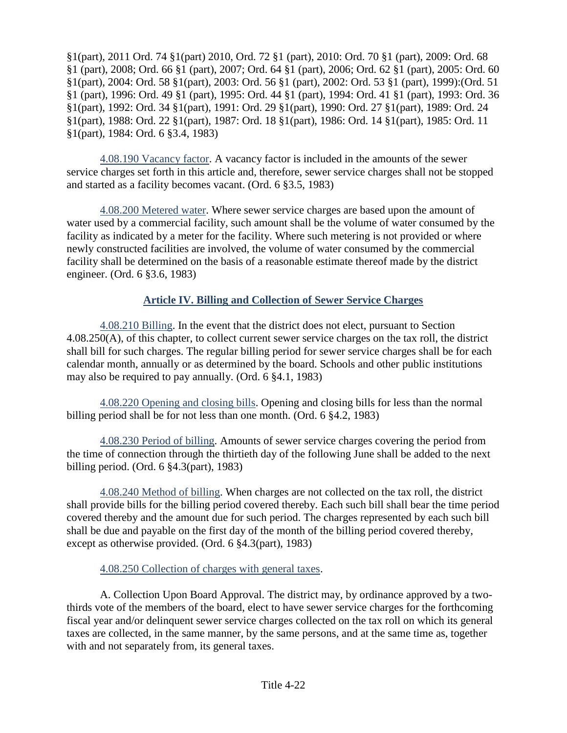§1(part), 2011 Ord. 74 §1(part) 2010, Ord. 72 §1 (part), 2010: Ord. 70 §1 (part), 2009: Ord. 68 §1 (part), 2008; Ord. 66 §1 (part), 2007; Ord. 64 §1 (part), 2006; Ord. 62 §1 (part), 2005: Ord. 60 §1(part), 2004: Ord. 58 §1(part), 2003: Ord. 56 §1 (part), 2002: Ord. 53 §1 (part), 1999):(Ord. 51 §1 (part), 1996: Ord. 49 §1 (part), 1995: Ord. 44 §1 (part), 1994: Ord. 41 §1 (part), 1993: Ord. 36 §1(part), 1992: Ord. 34 §1(part), 1991: Ord. 29 §1(part), 1990: Ord. 27 §1(part), 1989: Ord. 24 §1(part), 1988: Ord. 22 §1(part), 1987: Ord. 18 §1(part), 1986: Ord. 14 §1(part), 1985: Ord. 11 §1(part), 1984: Ord. 6 §3.4, 1983)

4.08.190 Vacancy factor. A vacancy factor is included in the amounts of the sewer service charges set forth in this article and, therefore, sewer service charges shall not be stopped and started as a facility becomes vacant. (Ord. 6 §3.5, 1983)

4.08.200 Metered water. Where sewer service charges are based upon the amount of water used by a commercial facility, such amount shall be the volume of water consumed by the facility as indicated by a meter for the facility. Where such metering is not provided or where newly constructed facilities are involved, the volume of water consumed by the commercial facility shall be determined on the basis of a reasonable estimate thereof made by the district engineer. (Ord. 6 §3.6, 1983)

## **Article IV. Billing and Collection of Sewer Service Charges**

4.08.210 Billing. In the event that the district does not elect, pursuant to Section 4.08.250(A), of this chapter, to collect current sewer service charges on the tax roll, the district shall bill for such charges. The regular billing period for sewer service charges shall be for each calendar month, annually or as determined by the board. Schools and other public institutions may also be required to pay annually. (Ord. 6 §4.1, 1983)

4.08.220 Opening and closing bills. Opening and closing bills for less than the normal billing period shall be for not less than one month. (Ord. 6 §4.2, 1983)

4.08.230 Period of billing. Amounts of sewer service charges covering the period from the time of connection through the thirtieth day of the following June shall be added to the next billing period. (Ord. 6 §4.3(part), 1983)

4.08.240 Method of billing. When charges are not collected on the tax roll, the district shall provide bills for the billing period covered thereby. Each such bill shall bear the time period covered thereby and the amount due for such period. The charges represented by each such bill shall be due and payable on the first day of the month of the billing period covered thereby, except as otherwise provided. (Ord. 6 §4.3(part), 1983)

## 4.08.250 Collection of charges with general taxes.

A. Collection Upon Board Approval. The district may, by ordinance approved by a twothirds vote of the members of the board, elect to have sewer service charges for the forthcoming fiscal year and/or delinquent sewer service charges collected on the tax roll on which its general taxes are collected, in the same manner, by the same persons, and at the same time as, together with and not separately from, its general taxes.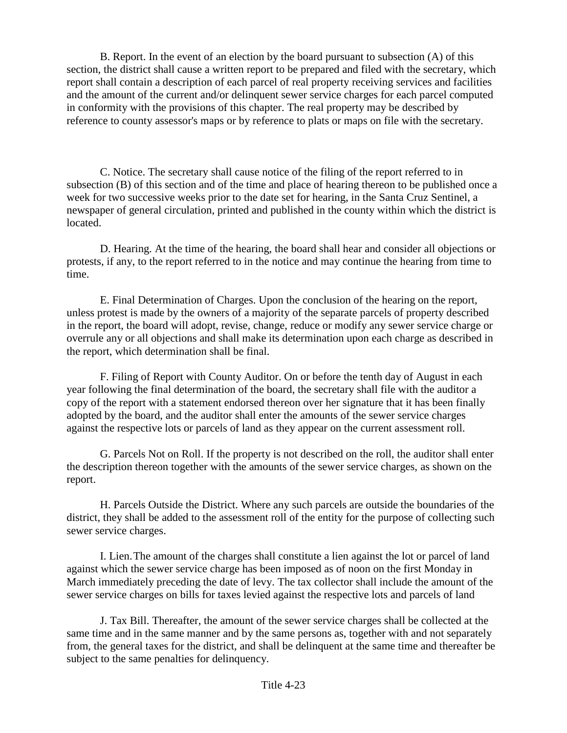B. Report. In the event of an election by the board pursuant to subsection (A) of this section, the district shall cause a written report to be prepared and filed with the secretary, which report shall contain a description of each parcel of real property receiving services and facilities and the amount of the current and/or delinquent sewer service charges for each parcel computed in conformity with the provisions of this chapter. The real property may be described by reference to county assessor's maps or by reference to plats or maps on file with the secretary.

C. Notice. The secretary shall cause notice of the filing of the report referred to in subsection (B) of this section and of the time and place of hearing thereon to be published once a week for two successive weeks prior to the date set for hearing, in the Santa Cruz Sentinel, a newspaper of general circulation, printed and published in the county within which the district is located.

D. Hearing. At the time of the hearing, the board shall hear and consider all objections or protests, if any, to the report referred to in the notice and may continue the hearing from time to time.

E. Final Determination of Charges. Upon the conclusion of the hearing on the report, unless protest is made by the owners of a majority of the separate parcels of property described in the report, the board will adopt, revise, change, reduce or modify any sewer service charge or overrule any or all objections and shall make its determination upon each charge as described in the report, which determination shall be final.

F. Filing of Report with County Auditor. On or before the tenth day of August in each year following the final determination of the board, the secretary shall file with the auditor a copy of the report with a statement endorsed thereon over her signature that it has been finally adopted by the board, and the auditor shall enter the amounts of the sewer service charges against the respective lots or parcels of land as they appear on the current assessment roll.

G. Parcels Not on Roll. If the property is not described on the roll, the auditor shall enter the description thereon together with the amounts of the sewer service charges, as shown on the report.

H. Parcels Outside the District. Where any such parcels are outside the boundaries of the district, they shall be added to the assessment roll of the entity for the purpose of collecting such sewer service charges.

I. Lien.The amount of the charges shall constitute a lien against the lot or parcel of land against which the sewer service charge has been imposed as of noon on the first Monday in March immediately preceding the date of levy. The tax collector shall include the amount of the sewer service charges on bills for taxes levied against the respective lots and parcels of land

J. Tax Bill. Thereafter, the amount of the sewer service charges shall be collected at the same time and in the same manner and by the same persons as, together with and not separately from, the general taxes for the district, and shall be delinquent at the same time and thereafter be subject to the same penalties for delinquency.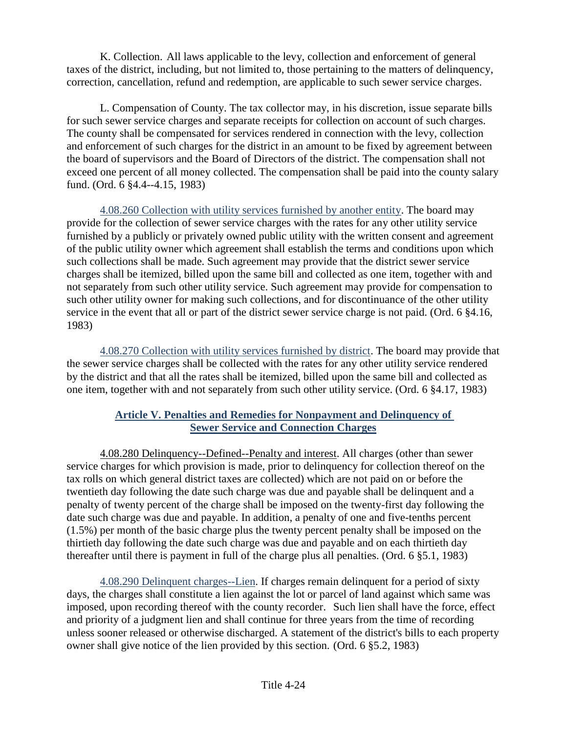K. Collection. All laws applicable to the levy, collection and enforcement of general taxes of the district, including, but not limited to, those pertaining to the matters of delinquency, correction, cancellation, refund and redemption, are applicable to such sewer service charges.

L. Compensation of County. The tax collector may, in his discretion, issue separate bills for such sewer service charges and separate receipts for collection on account of such charges. The county shall be compensated for services rendered in connection with the levy, collection and enforcement of such charges for the district in an amount to be fixed by agreement between the board of supervisors and the Board of Directors of the district. The compensation shall not exceed one percent of all money collected. The compensation shall be paid into the county salary fund. (Ord. 6 §4.4--4.15, 1983)

4.08.260 Collection with utility services furnished by another entity. The board may provide for the collection of sewer service charges with the rates for any other utility service furnished by a publicly or privately owned public utility with the written consent and agreement of the public utility owner which agreement shall establish the terms and conditions upon which such collections shall be made. Such agreement may provide that the district sewer service charges shall be itemized, billed upon the same bill and collected as one item, together with and not separately from such other utility service. Such agreement may provide for compensation to such other utility owner for making such collections, and for discontinuance of the other utility service in the event that all or part of the district sewer service charge is not paid. (Ord. 6 §4.16, 1983)

4.08.270 Collection with utility services furnished by district. The board may provide that the sewer service charges shall be collected with the rates for any other utility service rendered by the district and that all the rates shall be itemized, billed upon the same bill and collected as one item, together with and not separately from such other utility service. (Ord. 6 §4.17, 1983)

## **Article V. Penalties and Remedies for Nonpayment and Delinquency of Sewer Service and Connection Charges**

4.08.280 Delinquency--Defined--Penalty and interest. All charges (other than sewer service charges for which provision is made, prior to delinquency for collection thereof on the tax rolls on which general district taxes are collected) which are not paid on or before the twentieth day following the date such charge was due and payable shall be delinquent and a penalty of twenty percent of the charge shall be imposed on the twenty-first day following the date such charge was due and payable. In addition, a penalty of one and five-tenths percent (1.5%) per month of the basic charge plus the twenty percent penalty shall be imposed on the thirtieth day following the date such charge was due and payable and on each thirtieth day thereafter until there is payment in full of the charge plus all penalties. (Ord. 6 §5.1, 1983)

4.08.290 Delinquent charges--Lien. If charges remain delinquent for a period of sixty days, the charges shall constitute a lien against the lot or parcel of land against which same was imposed, upon recording thereof with the county recorder. Such lien shall have the force, effect and priority of a judgment lien and shall continue for three years from the time of recording unless sooner released or otherwise discharged. A statement of the district's bills to each property owner shall give notice of the lien provided by this section. (Ord. 6 §5.2, 1983)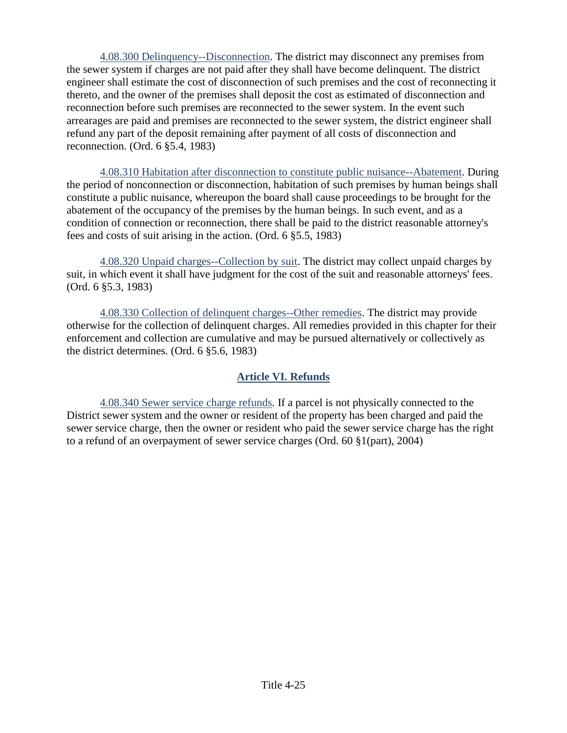4.08.300 Delinquency--Disconnection. The district may disconnect any premises from the sewer system if charges are not paid after they shall have become delinquent. The district engineer shall estimate the cost of disconnection of such premises and the cost of reconnecting it thereto, and the owner of the premises shall deposit the cost as estimated of disconnection and reconnection before such premises are reconnected to the sewer system. In the event such arrearages are paid and premises are reconnected to the sewer system, the district engineer shall refund any part of the deposit remaining after payment of all costs of disconnection and reconnection. (Ord. 6 §5.4, 1983)

4.08.310 Habitation after disconnection to constitute public nuisance--Abatement. During the period of nonconnection or disconnection, habitation of such premises by human beings shall constitute a public nuisance, whereupon the board shall cause proceedings to be brought for the abatement of the occupancy of the premises by the human beings. In such event, and as a condition of connection or reconnection, there shall be paid to the district reasonable attorney's fees and costs of suit arising in the action. (Ord. 6 §5.5, 1983)

4.08.320 Unpaid charges--Collection by suit. The district may collect unpaid charges by suit, in which event it shall have judgment for the cost of the suit and reasonable attorneys' fees. (Ord. 6 §5.3, 1983)

4.08.330 Collection of delinquent charges--Other remedies. The district may provide otherwise for the collection of delinquent charges. All remedies provided in this chapter for their enforcement and collection are cumulative and may be pursued alternatively or collectively as the district determines. (Ord. 6 §5.6, 1983)

## **Article VI. Refunds**

4.08.340 Sewer service charge refunds. If a parcel is not physically connected to the District sewer system and the owner or resident of the property has been charged and paid the sewer service charge, then the owner or resident who paid the sewer service charge has the right to a refund of an overpayment of sewer service charges (Ord. 60 §1(part), 2004)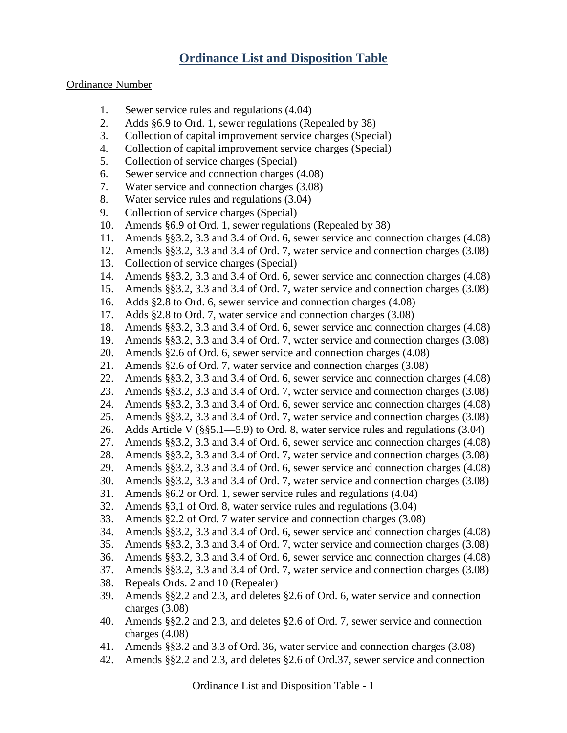# **Ordinance List and Disposition Table**

#### Ordinance Number

- 1. Sewer service rules and regulations (4.04)
- 2. Adds §6.9 to Ord. 1, sewer regulations (Repealed by 38)
- 3. Collection of capital improvement service charges (Special)
- 4. Collection of capital improvement service charges (Special)
- 5. Collection of service charges (Special)
- 6. Sewer service and connection charges (4.08)
- 7. Water service and connection charges (3.08)
- 8. Water service rules and regulations (3.04)
- 9. Collection of service charges (Special)
- 10. Amends §6.9 of Ord. 1, sewer regulations (Repealed by 38)
- 11. Amends §§3.2, 3.3 and 3.4 of Ord. 6, sewer service and connection charges (4.08)
- 12. Amends §§3.2, 3.3 and 3.4 of Ord. 7, water service and connection charges (3.08)
- 13. Collection of service charges (Special)
- 14. Amends §§3.2, 3.3 and 3.4 of Ord. 6, sewer service and connection charges (4.08)
- 15. Amends §§3.2, 3.3 and 3.4 of Ord. 7, water service and connection charges (3.08)
- 16. Adds §2.8 to Ord. 6, sewer service and connection charges (4.08)
- 17. Adds §2.8 to Ord. 7, water service and connection charges (3.08)
- 18. Amends §§3.2, 3.3 and 3.4 of Ord. 6, sewer service and connection charges (4.08)
- 19. Amends §§3.2, 3.3 and 3.4 of Ord. 7, water service and connection charges (3.08)
- 20. Amends §2.6 of Ord. 6, sewer service and connection charges (4.08)
- 21. Amends §2.6 of Ord. 7, water service and connection charges (3.08)
- 22. Amends §§3.2, 3.3 and 3.4 of Ord. 6, sewer service and connection charges (4.08)
- 23. Amends §§3.2, 3.3 and 3.4 of Ord. 7, water service and connection charges (3.08)
- 24. Amends §§3.2, 3.3 and 3.4 of Ord. 6, sewer service and connection charges (4.08)
- 25. Amends §§3.2, 3.3 and 3.4 of Ord. 7, water service and connection charges (3.08)
- 26. Adds Article V (§§5.1—5.9) to Ord. 8, water service rules and regulations (3.04)
- 27. Amends §§3.2, 3.3 and 3.4 of Ord. 6, sewer service and connection charges (4.08)
- 28. Amends §§3.2, 3.3 and 3.4 of Ord. 7, water service and connection charges (3.08)
- 29. Amends §§3.2, 3.3 and 3.4 of Ord. 6, sewer service and connection charges (4.08)
- 30. Amends §§3.2, 3.3 and 3.4 of Ord. 7, water service and connection charges (3.08)
- 31. Amends §6.2 or Ord. 1, sewer service rules and regulations (4.04)
- 32. Amends §3,1 of Ord. 8, water service rules and regulations (3.04)
- 33. Amends §2.2 of Ord. 7 water service and connection charges (3.08)
- 34. Amends §§3.2, 3.3 and 3.4 of Ord. 6, sewer service and connection charges (4.08)
- 35. Amends §§3.2, 3.3 and 3.4 of Ord. 7, water service and connection charges (3.08)
- 36. Amends §§3.2, 3.3 and 3.4 of Ord. 6, sewer service and connection charges (4.08)
- 37. Amends §§3.2, 3.3 and 3.4 of Ord. 7, water service and connection charges (3.08)
- 38. Repeals Ords. 2 and 10 (Repealer)
- 39. Amends §§2.2 and 2.3, and deletes §2.6 of Ord. 6, water service and connection charges (3.08)
- 40. Amends §§2.2 and 2.3, and deletes §2.6 of Ord. 7, sewer service and connection charges (4.08)
- 41. Amends §§3.2 and 3.3 of Ord. 36, water service and connection charges (3.08)
- 42. Amends §§2.2 and 2.3, and deletes §2.6 of Ord.37, sewer service and connection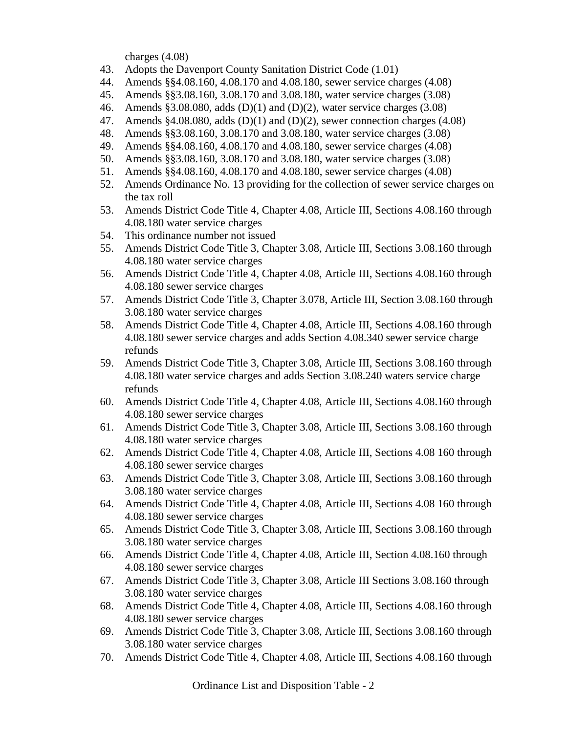charges (4.08)

- 43. Adopts the Davenport County Sanitation District Code (1.01)
- 44. Amends §§4.08.160, 4.08.170 and 4.08.180, sewer service charges (4.08)
- 45. Amends §§3.08.160, 3.08.170 and 3.08.180, water service charges (3.08)
- 46. Amends §3.08.080, adds (D)(1) and (D)(2), water service charges (3.08)
- 47. Amends  $§4.08.080$ , adds  $(D)(1)$  and  $(D)(2)$ , sewer connection charges (4.08)
- 48. Amends §§3.08.160, 3.08.170 and 3.08.180, water service charges (3.08)
- 49. Amends §§4.08.160, 4.08.170 and 4.08.180, sewer service charges (4.08)
- 50. Amends §§3.08.160, 3.08.170 and 3.08.180, water service charges (3.08)
- 51. Amends §§4.08.160, 4.08.170 and 4.08.180, sewer service charges (4.08)
- 52. Amends Ordinance No. 13 providing for the collection of sewer service charges on the tax roll
- 53. Amends District Code Title 4, Chapter 4.08, Article III, Sections 4.08.160 through 4.08.180 water service charges
- 54. This ordinance number not issued
- 55. Amends District Code Title 3, Chapter 3.08, Article III, Sections 3.08.160 through 4.08.180 water service charges
- 56. Amends District Code Title 4, Chapter 4.08, Article III, Sections 4.08.160 through 4.08.180 sewer service charges
- 57. Amends District Code Title 3, Chapter 3.078, Article III, Section 3.08.160 through 3.08.180 water service charges
- 58. Amends District Code Title 4, Chapter 4.08, Article III, Sections 4.08.160 through 4.08.180 sewer service charges and adds Section 4.08.340 sewer service charge refunds
- 59. Amends District Code Title 3, Chapter 3.08, Article III, Sections 3.08.160 through 4.08.180 water service charges and adds Section 3.08.240 waters service charge refunds
- 60. Amends District Code Title 4, Chapter 4.08, Article III, Sections 4.08.160 through 4.08.180 sewer service charges
- 61. Amends District Code Title 3, Chapter 3.08, Article III, Sections 3.08.160 through 4.08.180 water service charges
- 62. Amends District Code Title 4, Chapter 4.08, Article III, Sections 4.08 160 through 4.08.180 sewer service charges
- 63. Amends District Code Title 3, Chapter 3.08, Article III, Sections 3.08.160 through 3.08.180 water service charges
- 64. Amends District Code Title 4, Chapter 4.08, Article III, Sections 4.08 160 through 4.08.180 sewer service charges
- 65. Amends District Code Title 3, Chapter 3.08, Article III, Sections 3.08.160 through 3.08.180 water service charges
- 66. Amends District Code Title 4, Chapter 4.08, Article III, Section 4.08.160 through 4.08.180 sewer service charges
- 67. Amends District Code Title 3, Chapter 3.08, Article III Sections 3.08.160 through 3.08.180 water service charges
- 68. Amends District Code Title 4, Chapter 4.08, Article III, Sections 4.08.160 through 4.08.180 sewer service charges
- 69. Amends District Code Title 3, Chapter 3.08, Article III, Sections 3.08.160 through 3.08.180 water service charges
- 70. Amends District Code Title 4, Chapter 4.08, Article III, Sections 4.08.160 through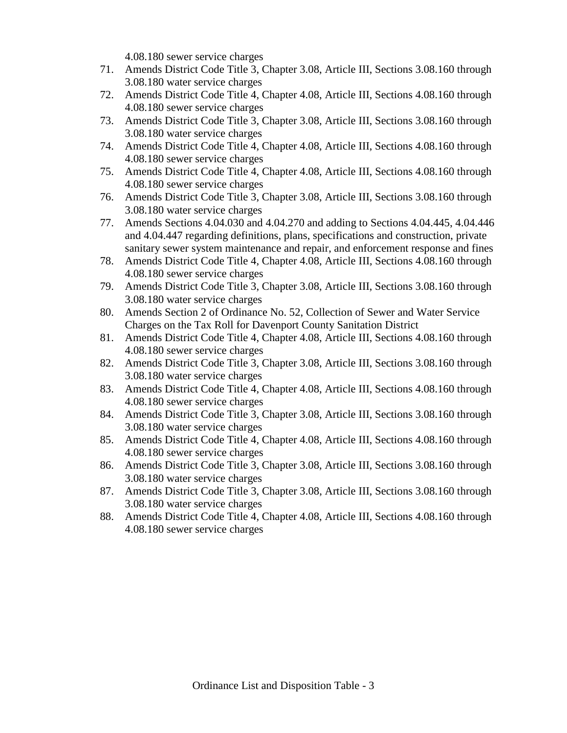4.08.180 sewer service charges

- 71. Amends District Code Title 3, Chapter 3.08, Article III, Sections 3.08.160 through 3.08.180 water service charges
- 72. Amends District Code Title 4, Chapter 4.08, Article III, Sections 4.08.160 through 4.08.180 sewer service charges
- 73. Amends District Code Title 3, Chapter 3.08, Article III, Sections 3.08.160 through 3.08.180 water service charges
- 74. Amends District Code Title 4, Chapter 4.08, Article III, Sections 4.08.160 through 4.08.180 sewer service charges
- 75. Amends District Code Title 4, Chapter 4.08, Article III, Sections 4.08.160 through 4.08.180 sewer service charges
- 76. Amends District Code Title 3, Chapter 3.08, Article III, Sections 3.08.160 through 3.08.180 water service charges
- 77. Amends Sections 4.04.030 and 4.04.270 and adding to Sections 4.04.445, 4.04.446 and 4.04.447 regarding definitions, plans, specifications and construction, private sanitary sewer system maintenance and repair, and enforcement response and fines
- 78. Amends District Code Title 4, Chapter 4.08, Article III, Sections 4.08.160 through 4.08.180 sewer service charges
- 79. Amends District Code Title 3, Chapter 3.08, Article III, Sections 3.08.160 through 3.08.180 water service charges
- 80. Amends Section 2 of Ordinance No. 52, Collection of Sewer and Water Service Charges on the Tax Roll for Davenport County Sanitation District
- 81. Amends District Code Title 4, Chapter 4.08, Article III, Sections 4.08.160 through 4.08.180 sewer service charges
- 82. Amends District Code Title 3, Chapter 3.08, Article III, Sections 3.08.160 through 3.08.180 water service charges
- 83. Amends District Code Title 4, Chapter 4.08, Article III, Sections 4.08.160 through 4.08.180 sewer service charges
- 84. Amends District Code Title 3, Chapter 3.08, Article III, Sections 3.08.160 through 3.08.180 water service charges
- 85. Amends District Code Title 4, Chapter 4.08, Article III, Sections 4.08.160 through 4.08.180 sewer service charges
- 86. Amends District Code Title 3, Chapter 3.08, Article III, Sections 3.08.160 through 3.08.180 water service charges
- 87. Amends District Code Title 3, Chapter 3.08, Article III, Sections 3.08.160 through 3.08.180 water service charges
- 88. Amends District Code Title 4, Chapter 4.08, Article III, Sections 4.08.160 through 4.08.180 sewer service charges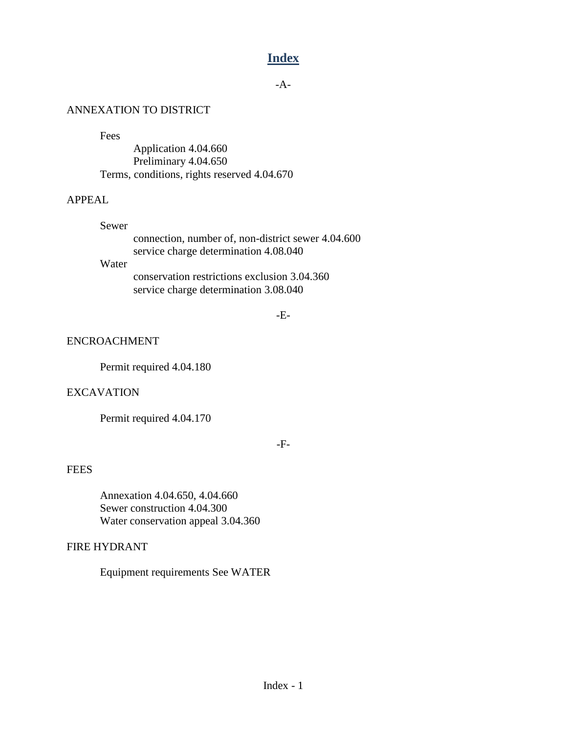# **Index**

-A-

### ANNEXATION TO DISTRICT

Fees

Application 4.04.660 Preliminary 4.04.650 Terms, conditions, rights reserved 4.04.670

## APPEAL

#### Sewer

connection, number of, non-district sewer 4.04.600 service charge determination 4.08.040

## Water

conservation restrictions exclusion 3.04.360 service charge determination 3.08.040

-E-

### ENCROACHMENT

Permit required 4.04.180

## EXCAVATION

Permit required 4.04.170

-F-

## **FEES**

Annexation 4.04.650, 4.04.660 Sewer construction 4.04.300 Water conservation appeal 3.04.360

## FIRE HYDRANT

Equipment requirements See WATER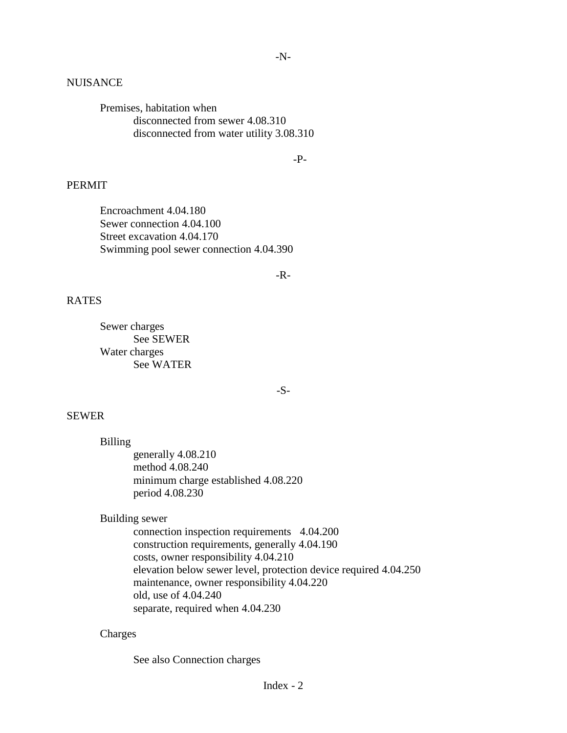#### **NUISANCE**

Premises, habitation when disconnected from sewer 4.08.310 disconnected from water utility 3.08.310

-P-

### PERMIT

Encroachment 4.04.180 Sewer connection 4.04.100 Street excavation 4.04.170 Swimming pool sewer connection 4.04.390

-R-

#### RATES

Sewer charges See SEWER Water charges See WATER

-S-

#### SEWER

Billing generally 4.08.210 method 4.08.240 minimum charge established 4.08.220 period 4.08.230

Building sewer

connection inspection requirements 4.04.200 construction requirements, generally 4.04.190 costs, owner responsibility 4.04.210 elevation below sewer level, protection device required 4.04.250 maintenance, owner responsibility 4.04.220 old, use of 4.04.240 separate, required when 4.04.230

#### Charges

See also Connection charges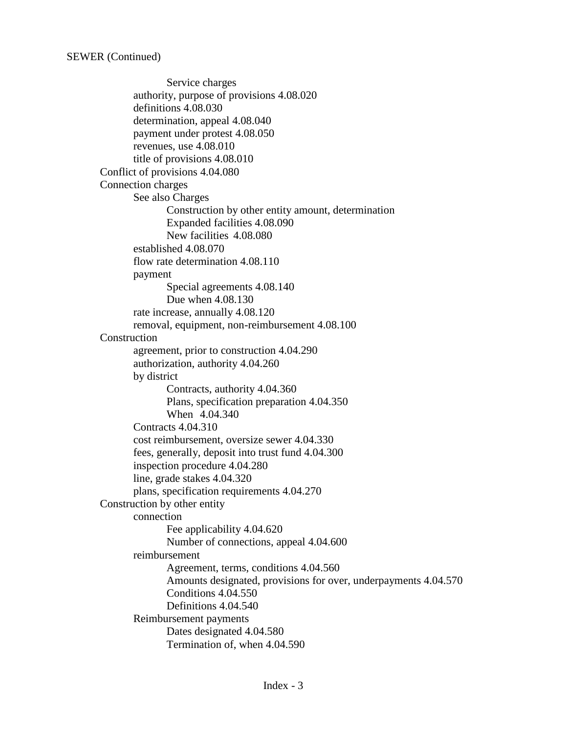Service charges authority, purpose of provisions 4.08.020 definitions 4.08.030 determination, appeal 4.08.040 payment under protest 4.08.050 revenues, use 4.08.010 title of provisions 4.08.010 Conflict of provisions 4.04.080 Connection charges See also Charges Construction by other entity amount, determination Expanded facilities 4.08.090 New facilities 4.08.080 established 4.08.070 flow rate determination 4.08.110 payment Special agreements 4.08.140 Due when 4.08.130 rate increase, annually 4.08.120 removal, equipment, non-reimbursement 4.08.100 Construction agreement, prior to construction 4.04.290 authorization, authority 4.04.260 by district Contracts, authority 4.04.360 Plans, specification preparation 4.04.350 When 4.04.340 Contracts 4.04.310 cost reimbursement, oversize sewer 4.04.330 fees, generally, deposit into trust fund 4.04.300 inspection procedure 4.04.280 line, grade stakes 4.04.320 plans, specification requirements 4.04.270 Construction by other entity connection Fee applicability 4.04.620 Number of connections, appeal 4.04.600 reimbursement Agreement, terms, conditions 4.04.560 Amounts designated, provisions for over, underpayments 4.04.570 Conditions 4.04.550 Definitions 4.04.540 Reimbursement payments Dates designated 4.04.580 Termination of, when 4.04.590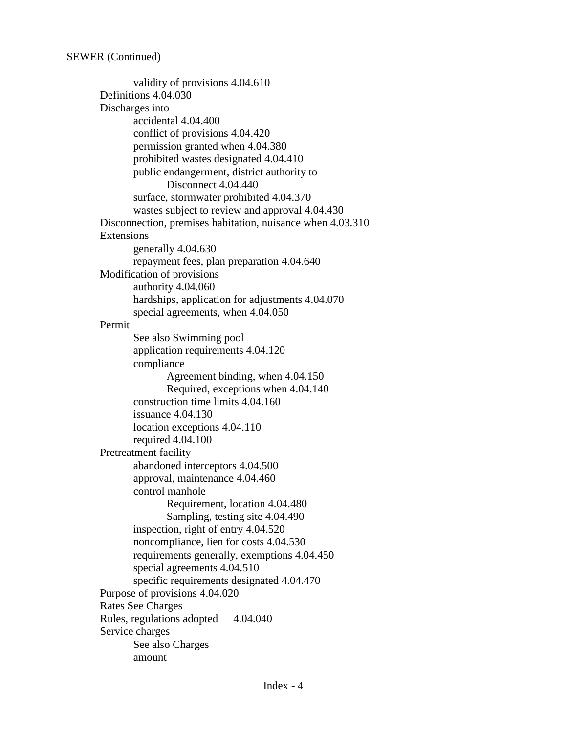validity of provisions 4.04.610 Definitions 4.04.030 Discharges into accidental 4.04.400 conflict of provisions 4.04.420 permission granted when 4.04.380 prohibited wastes designated 4.04.410 public endangerment, district authority to Disconnect 4.04.440 surface, stormwater prohibited 4.04.370 wastes subject to review and approval 4.04.430 Disconnection, premises habitation, nuisance when 4.03.310 Extensions generally 4.04.630 repayment fees, plan preparation 4.04.640 Modification of provisions authority 4.04.060 hardships, application for adjustments 4.04.070 special agreements, when 4.04.050 Permit See also Swimming pool application requirements 4.04.120 compliance Agreement binding, when 4.04.150 Required, exceptions when 4.04.140 construction time limits 4.04.160 issuance 4.04.130 location exceptions 4.04.110 required 4.04.100 Pretreatment facility abandoned interceptors 4.04.500 approval, maintenance 4.04.460 control manhole Requirement, location 4.04.480 Sampling, testing site 4.04.490 inspection, right of entry 4.04.520 noncompliance, lien for costs 4.04.530 requirements generally, exemptions 4.04.450 special agreements 4.04.510 specific requirements designated 4.04.470 Purpose of provisions 4.04.020 Rates See Charges Rules, regulations adopted 4.04.040 Service charges See also Charges amount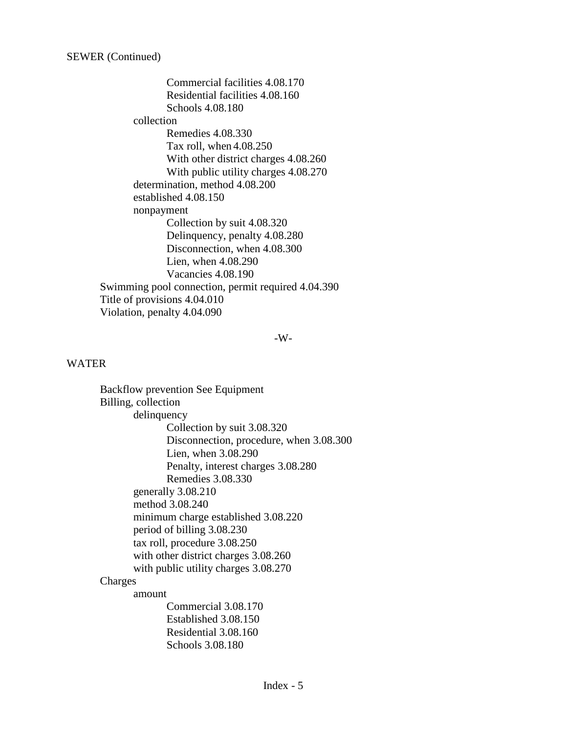Commercial facilities 4.08.170 Residential facilities 4.08.160 Schools 4.08.180 collection Remedies 4.08.330 Tax roll, when 4.08.250 With other district charges 4.08.260 With public utility charges 4.08.270 determination, method 4.08.200 established 4.08.150 nonpayment Collection by suit 4.08.320 Delinquency, penalty 4.08.280 Disconnection, when 4.08.300 Lien, when 4.08.290 Vacancies 4.08.190 Swimming pool connection, permit required 4.04.390 Title of provisions 4.04.010 Violation, penalty 4.04.090

#### -W-

#### WATER

Backflow prevention See Equipment Billing, collection delinquency Collection by suit 3.08.320 Disconnection, procedure, when 3.08.300 Lien, when 3.08.290 Penalty, interest charges 3.08.280 Remedies 3.08.330 generally 3.08.210 method 3.08.240 minimum charge established 3.08.220 period of billing 3.08.230 tax roll, procedure 3.08.250 with other district charges 3.08.260 with public utility charges 3.08.270 Charges amount Commercial 3.08.170 Established 3.08.150 Residential 3.08.160

Schools 3.08.180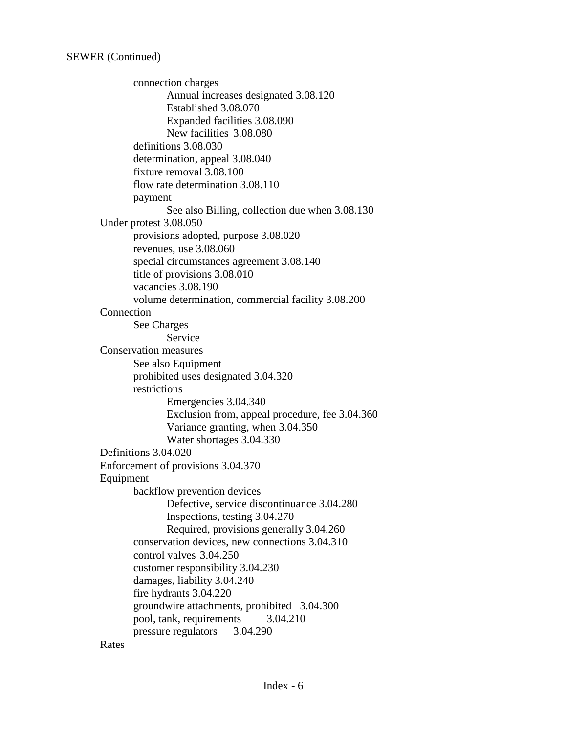connection charges Annual increases designated 3.08.120 Established 3.08.070 Expanded facilities 3.08.090 New facilities 3.08.080 definitions 3.08.030 determination, appeal 3.08.040 fixture removal 3.08.100 flow rate determination 3.08.110 payment See also Billing, collection due when 3.08.130 Under protest 3.08.050 provisions adopted, purpose 3.08.020 revenues, use 3.08.060 special circumstances agreement 3.08.140 title of provisions 3.08.010 vacancies 3.08.190 volume determination, commercial facility 3.08.200 Connection See Charges Service Conservation measures See also Equipment prohibited uses designated 3.04.320 restrictions Emergencies 3.04.340 Exclusion from, appeal procedure, fee 3.04.360 Variance granting, when 3.04.350 Water shortages 3.04.330 Definitions 3.04.020 Enforcement of provisions 3.04.370 Equipment backflow prevention devices Defective, service discontinuance 3.04.280 Inspections, testing 3.04.270 Required, provisions generally 3.04.260 conservation devices, new connections 3.04.310 control valves 3.04.250 customer responsibility 3.04.230 damages, liability 3.04.240 fire hydrants 3.04.220 groundwire attachments, prohibited 3.04.300 pool, tank, requirements 3.04.210 pressure regulators 3.04.290

Rates